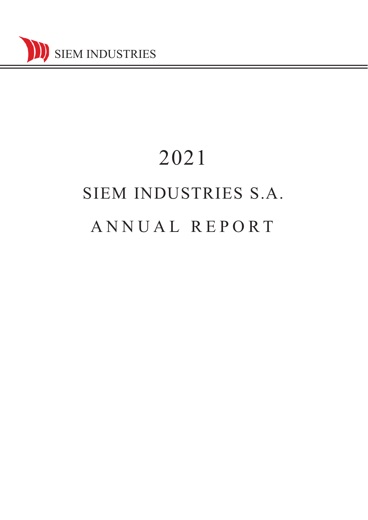

## 2021

# SIEM INDUSTRIES S.A. ANNUAL REPORT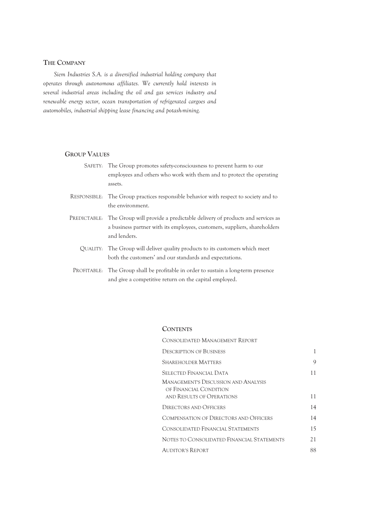## **THE COMPANY**

*Siem Industries S.A. is a diversified industrial holding company that operates through autonomous affiliates. We currently hold interests in several industrial areas including the oil and gas services industry and renewable energy sector, ocean transportation of refrigerated cargoes and automobiles, industrial shipping lease financing and potash-mining.* 

## **GROUP VALUES**

|              | SAFETY: The Group promotes safety-consciousness to prevent harm to our<br>employees and others who work with them and to protect the operating<br>assets.              |
|--------------|------------------------------------------------------------------------------------------------------------------------------------------------------------------------|
|              | RESPONSIBLE: The Group practices responsible behavior with respect to society and to<br>the environment.                                                               |
| PREDICTABLE: | The Group will provide a predictable delivery of products and services as<br>a business partner with its employees, customers, suppliers, shareholders<br>and lenders. |
|              | QUALITY: The Group will deliver quality products to its customers which meet<br>both the customers' and our standards and expectations.                                |
|              | PROFITABLE: The Group shall be profitable in order to sustain a long-term presence<br>and give a competitive return on the capital employed.                           |

## **CONTENTS**

| CONSOLIDATED MANAGEMENT REPORT                                                              |    |
|---------------------------------------------------------------------------------------------|----|
| DESCRIPTION OF BUSINESS                                                                     |    |
| SHAREHOLDER MATTERS                                                                         | Q  |
| SELECTED FINANCIAL DATA                                                                     | 11 |
| MANAGEMENT'S DISCUSSION AND ANALYSIS<br>OF FINANCIAL CONDITION<br>AND RESULTS OF OPERATIONS | 11 |
| DIRECTORS AND OFFICERS                                                                      | 14 |
| COMPENSATION OF DIRECTORS AND OFFICERS                                                      | 14 |
| CONSOLIDATED FINANCIAL STATEMENTS                                                           | 15 |
| NOTES TO CONSOLIDATED FINANCIAL STATEMENTS                                                  | 21 |
| AUDITOR'S REPORT                                                                            | 88 |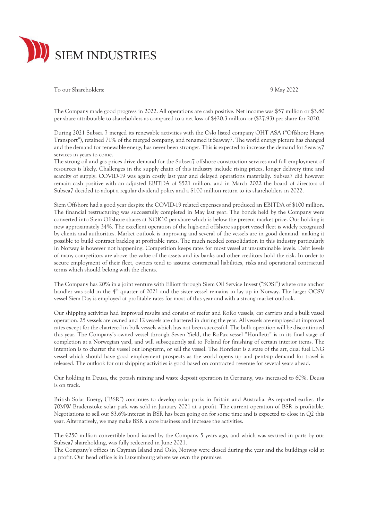

To our Shareholders: 9 May 2022

The Company made good progress in 2022. All operations are cash positive. Net income was \$57 million or \$3.80 per share attributable to shareholders as compared to a net loss of \$420.3 million or (\$27.93) per share for 2020.

During 2021 Subsea 7 merged its renewable activities with the Oslo listed company OHT ASA ("Offshore Heavy Transport"), retained 71% of the merged company, and renamed it Seaway7. The world energy picture has changed and the demand for renewable energy has never been stronger. This is expected to increase the demand for Seaway7 services in years to come.

The strong oil and gas prices drive demand for the Subsea7 offshore construction services and full employment of resources is likely. Challenges in the supply chain of this industry include rising prices, longer delivery time and scarcity of supply. COVID-19 was again costly last year and delayed operations materially. Subsea7 did however remain cash positive with an adjusted EBITDA of \$521 million, and in March 2022 the board of directors of Subsea7 decided to adopt a regular dividend policy and a \$100 million return to its shareholders in 2022.

Siem Offshore had a good year despite the COVID-19 related expenses and produced an EBITDA of \$100 million. The financial restructuring was successfully completed in May last year. The bonds held by the Company were converted into Siem Offshore shares at NOK10 per share which is below the present market price. Our holding is now approximately 34%. The excellent operation of the high-end offshore support vessel fleet is widely recognized by clients and authorities. Market outlook is improving and several of the vessels are in good demand, making it possible to build contract backlog at profitable rates. The much needed consolidation in this industry particularly in Norway is however not happening. Competition keeps rates for most vessel at unsustainable levels. Debt levels of many competitors are above the value of the assets and its banks and other creditors hold the risk. In order to secure employment of their fleet, owners tend to assume contractual liabilities, risks and operational contractual terms which should belong with the clients.

The Company has 20% in a joint venture with Elliott through Siem Oil Service Invest ("SOSI") where one anchor handler was sold in the  $4<sup>th</sup>$  quarter of 2021 and the sister vessel remains in lay up in Norway. The larger OCSV vessel Siem Day is employed at profitable rates for most of this year and with a strong market outlook.

Our shipping activities had improved results and consist of reefer and RoRo vessels, car carriers and a bulk vessel operation. 25 vessels are owned and 12 vessels are chartered in during the year. All vessels are employed at improved rates except for the chartered in bulk vessels which has not been successful. The bulk operation will be discontinued this year. The Company's owned vessel through Seven Yield, the RoPax vessel "Honfleur" is in its final stage of completion at a Norwegian yard, and will subsequently sail to Poland for finishing of certain interior items. The intention is to charter the vessel out long-term, or sell the vessel. The Honfleur is a state of the art, dual fuel LNG vessel which should have good employment prospects as the world opens up and pent-up demand for travel is released. The outlook for our shipping activities is good based on contracted revenue for several years ahead.

Our holding in Deusa, the potash mining and waste deposit operation in Germany, was increased to 60%. Deusa is on track.

British Solar Energy ("BSR") continues to develop solar parks in Britain and Australia. As reported earlier, the 70MW Bradenstoke solar park was sold in January 2021 at a profit. The current operation of BSR is profitable. Negotiations to sell our 83.6%-interest in BSR has been going on for some time and is expected to close in Q2 this year. Alternatively, we may make BSR a core business and increase the activities.

The €250 million convertible bond issued by the Company 5 years ago, and which was secured in parts by our Subsea7 shareholding, was fully redeemed in June 2021.

The Company's offices in Cayman Island and Oslo, Norway were closed during the year and the buildings sold at a profit. Our head office is in Luxembourg where we own the premises.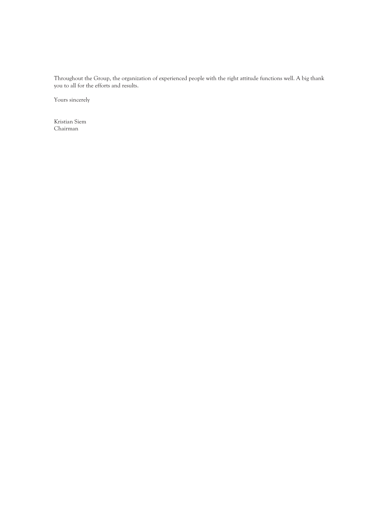Throughout the Group, the organization of experienced people with the right attitude functions well. A big thank you to all for the efforts and results.

Yours sincerely

Kristian Siem Chairman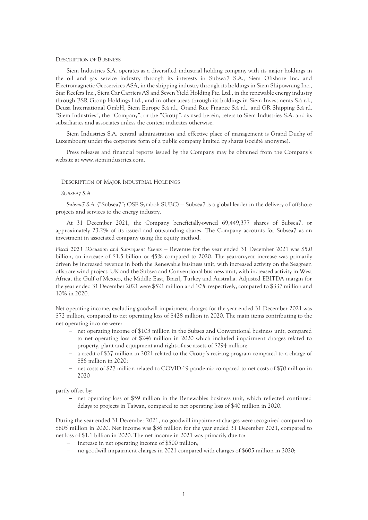#### DESCRIPTION OF BUSINESS

Siem Industries S.A. operates as a diversified industrial holding company with its major holdings in the oil and gas service industry through its interests in Subsea7 S.A., Siem Offshore Inc. and Electromagnetic Geoservices ASA, in the shipping industry through its holdings in Siem Shipowning Inc., Star Reefers Inc., Siem Car Carriers AS and Seven Yield Holding Pte. Ltd., in the renewable energy industry through BSR Group Holdings Ltd., and in other areas through its holdings in Siem Investments S.à r.l., Deusa International GmbH, Siem Europe S.à r.l., Grand Rue Finance S.à r.l., and GR Shipping S.à r.l. "Siem Industries", the "Company", or the "Group", as used herein, refers to Siem Industries S.A. and its subsidiaries and associates unless the context indicates otherwise.

Siem Industries S.A. central administration and effective place of management is Grand Duchy of Luxembourg under the corporate form of a public company limited by shares (société anonyme).

Press releases and financial reports issued by the Company may be obtained from the Company's website at www.siemindustries.com.

#### DESCRIPTION OF MAJOR INDUSTRIAL HOLDINGS

#### *SUBSEA7 S.A.*

*Subsea7 S.A.* ("Subsea7"; OSE Symbol: SUBC) — Subsea7 is a global leader in the delivery of offshore projects and services to the energy industry.

At 31 December 2021, the Company beneficially-owned 69,449,377 shares of Subsea7, or approximately 23.2% of its issued and outstanding shares. The Company accounts for Subsea7 as an investment in associated company using the equity method.

*Fiscal 2021 Discussion and Subsequent Events* — Revenue for the year ended 31 December 2021 was \$5.0 billion, an increase of \$1.5 billion or 45% compared to 2020. The year-on-year increase was primarily driven by increased revenue in both the Renewable business unit, with increased activity on the Seagreen offshore wind project, UK and the Subsea and Conventional business unit, with increased activity in West Africa, the Gulf of Mexico, the Middle East, Brazil, Turkey and Australia. Adjusted EBITDA margin for the year ended 31 December 2021 were \$521 million and 10% respectively, compared to \$337 million and 10% in 2020.

Net operating income, excluding goodwill impairment charges for the year ended 31 December 2021 was \$72 million, compared to net operating loss of \$428 million in 2020. The main items contributing to the net operating income were:

- net operating income of \$103 million in the Subsea and Conventional business unit, compared to net operating loss of \$246 million in 2020 which included impairment charges related to property, plant and equipment and right-of-use assets of \$294 million;
- a credit of \$37 million in 2021 related to the Group's resizing program compared to a charge of \$86 million in 2020;
- net costs of \$27 million related to COVID-19 pandemic compared to net costs of \$70 million in 2020

#### partly offset by:

- net operating loss of \$59 million in the Renewables business unit, which reflected continued delays to projects in Taiwan, compared to net operating loss of \$40 million in 2020.

During the year ended 31 December 2021, no goodwill impairment charges were recognized compared to \$605 million in 2020. Net income was \$36 million for the year ended 31 December 2021, compared to net loss of \$1.1 billion in 2020. The net income in 2021 was primarily due to:

- increase in net operating income of \$500 million;
- no goodwill impairment charges in 2021 compared with charges of \$605 million in 2020;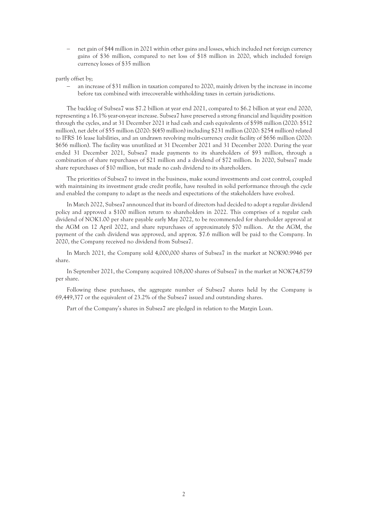net gain of \$44 million in 2021 within other gains and losses, which included net foreign currency gains of \$36 million, compared to net loss of \$18 million in 2020, which included foreign currency losses of \$35 million

partly offset by;

 an increase of \$31 million in taxation compared to 2020, mainly driven by the increase in income before tax combined with irrecoverable withholding taxes in certain jurisdictions.

The backlog of Subsea7 was \$7.2 billion at year end 2021, compared to \$6.2 billion at year end 2020, representing a 16.1% year-on-year increase. Subsea7 have preserved a strong financial and liquidity position through the cycles, and at 31 December 2021 it had cash and cash equivalents of \$598 million (2020: \$512 million), net debt of \$55 million (2020: \$(45) million) including \$231 million (2020: \$254 million) related to IFRS 16 lease liabilities, and an undrawn revolving multi-currency credit facility of \$656 million (2020: \$656 million). The facility was unutilized at 31 December 2021 and 31 December 2020. During the year ended 31 December 2021, Subsea7 made payments to its shareholders of \$93 million, through a combination of share repurchases of \$21 million and a dividend of \$72 million. In 2020, Subsea7 made share repurchases of \$10 million, but made no cash dividend to its shareholders.

The priorities of Subsea7 to invest in the business, make sound investments and cost control, coupled with maintaining its investment grade credit profile, have resulted in solid performance through the cycle and enabled the company to adapt as the needs and expectations of the stakeholders have evolved.

In March 2022, Subsea7 announced that its board of directors had decided to adopt a regular dividend policy and approved a \$100 million return to shareholders in 2022. This comprises of a regular cash dividend of NOK1.00 per share payable early May 2022, to be recommended for shareholder approval at the AGM on 12 April 2022, and share repurchases of approximately \$70 million. At the AGM, the payment of the cash dividend was approved, and approx. \$7.6 million will be paid to the Company. In 2020, the Company received no dividend from Subsea7.

In March 2021, the Company sold 4,000,000 shares of Subsea7 in the market at NOK90.9946 per share.

In September 2021, the Company acquired 108,000 shares of Subsea7 in the market at NOK74,8759 per share.

Following these purchases, the aggregate number of Subsea7 shares held by the Company is 69,449,377 or the equivalent of 23.2% of the Subsea7 issued and outstanding shares.

Part of the Company's shares in Subsea7 are pledged in relation to the Margin Loan.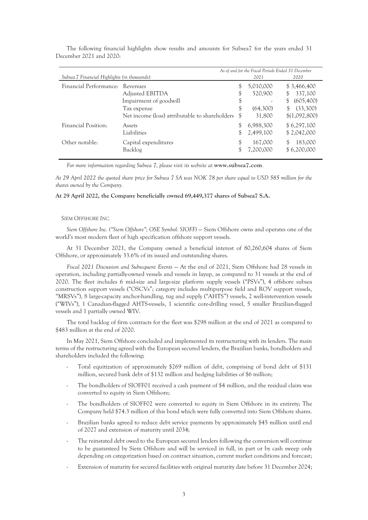|                                               |                                                |                 | As of and for the Fiscal Periods Ended 31 December |
|-----------------------------------------------|------------------------------------------------|-----------------|----------------------------------------------------|
| Subsea 7 Financial Highlights (in thousands): |                                                | 2021            | 2020                                               |
| Financial Performance: Revenues               |                                                | \$<br>5,010,000 | \$3,466,400                                        |
|                                               | Adjusted EBITDA                                | \$<br>520,900   | 337,100<br>\$                                      |
|                                               | Impairment of goodwill                         | \$<br>٠         | (605, 400)<br>$\mathbb{S}$                         |
|                                               | Tax expense                                    | \$<br>(64,300)  | (33,300)<br>\$                                     |
|                                               | Net income (loss) attributable to shareholders | \$<br>31,800    | \$(1,092,800)                                      |
| Financial Position:                           | Assets                                         | \$<br>6,988,300 | \$6,297,100                                        |
|                                               | Liabilities                                    | \$<br>2,499,100 | \$2,042,000                                        |
| Other notable:                                | Capital expenditures                           | \$<br>167,000   | 183,000                                            |
|                                               | Backlog                                        | \$<br>7,200,000 | \$6,200,000                                        |

The following financial highlights show results and amounts for Subsea7 for the years ended 31 December 2021 and 2020:

For more information regarding Subsea 7, please visit its website at www.subsea7.com.

*At 29 April 2022 the quoted share price for Subsea 7 SA was NOK 78 per share equal to USD 585 million for the shares owned by the Company.* 

**At 29 April 2022, the Company beneficially owned 69,449,377 shares of Subsea7 S.A.** 

#### *SIEM OFFSHORE INC.*

*Siem Offshore Inc. ("Siem Offshore"; OSE Symbol: SIOFF)* — Siem Offshore owns and operates one of the world's most modern fleet of high specification offshore support vessels.

At 31 December 2021, the Company owned a beneficial interest of 80,260,604 shares of Siem Offshore, or approximately 33.6% of its issued and outstanding shares.

*Fiscal 2021 Discussion and Subsequent Events* — At the end of 2021, Siem Offshore had 28 vessels in operation, including partially-owned vessels and vessels in layup, as compared to 31 vessels at the end of 2020. The fleet includes 6 mid-size and large-size platform supply vessels ("PSVs"), 4 offshore subsea construction support vessels ("OSCVs"; category includes multipurpose field and ROV support vessels, "MRSVs"), 8 large-capacity anchor-handling, tug and supply ("AHTS") vessels, 2 well-intervention vessels ("WIVs"), 1 Canadian-flagged AHTS-vessels, 1 scientific core-drilling vessel, 5 smaller Brazilian-flagged vessels and 1 partially owned WIV.

The total backlog of firm contracts for the fleet was \$298 million at the end of 2021 as compared to \$483 million at the end of 2020.

In May 2021, Siem Offshore concluded and implemented its restructuring with its lenders. The main terms of the restructuring agreed with the European secured lenders, the Brazilian banks, bondholders and shareholders included the following;

- Total equitization of approximately \$269 million of debt, comprising of bond debt of \$131 million, secured bank debt of \$132 million and hedging liabilities of \$6 million;
- The bondholders of SIOFF01 received a cash payment of \$4 million, and the residual claim was converted to equity in Siem Offshore;
- The bondholders of SIOFF02 were converted to equity in Siem Offshore in its entirety; The Company held \$74.3 million of this bond which were fully converted into Siem Offshore shares.
- Brazilian banks agreed to reduce debt service payments by approximately \$45 million until end of 2027 and extension of maturity until 2034;
- The reinstated debt owed to the European secured lenders following the conversion will continue to be guaranteed by Siem Offshore and will be serviced in full, in part or by cash sweep only depending on categorization based on contract situation, current market conditions and forecast;
- Extension of maturity for secured facilities with original maturity date before 31 December 2024;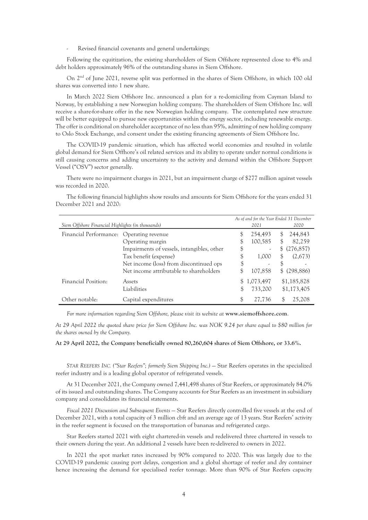Revised financial covenants and general undertakings;

Following the equitization, the existing shareholders of Siem Offshore represented close to 4% and debt holders approximately 96% of the outstanding shares in Siem Offshore.

On 2nd of June 2021, reverse split was performed in the shares of Siem Offshore, in which 100 old shares was converted into 1 new share.

In March 2022 Siem Offshore Inc. announced a plan for a re-domiciling from Cayman Island to Norway, by establishing a new Norwegian holding company. The shareholders of Siem Offshore Inc. will receive a share-for-share offer in the new Norwegian holding company. The contemplated new structure will be better equipped to pursue new opportunities within the energy sector, including renewable energy. The offer is conditional on shareholder acceptance of no less than 95%, admitting of new holding company to Oslo Stock Exchange, and consent under the existing financing agreements of Siem Offshore Inc.

The COVID-19 pandemic situation, which has affected world economies and resulted in volatile global demand for Siem Offhore's oil related services and its ability to operate under normal conditions is still causing concerns and adding uncertainty to the activity and demand within the Offshore Support Vessel ("OSV") sector generally.

There were no impairment charges in 2021, but an impairment charge of \$277 million against vessels was recorded in 2020.

|                                                   |                                            | As of and for the Year Ended 31 December |      |                 |  |
|---------------------------------------------------|--------------------------------------------|------------------------------------------|------|-----------------|--|
| Siem Offshore Financial Highlights (in thousands) |                                            | 2021                                     | 2020 |                 |  |
| Financial Performance: Operating revenue          |                                            | \$<br>254,493                            | \$   | 244,843         |  |
|                                                   | Operating margin                           | \$<br>100,585                            | \$   | 82,259          |  |
|                                                   | Impairments of vessels, intangibles, other | \$<br>$\overline{\phantom{a}}$           |      | \$(276,857)     |  |
|                                                   | Tax benefit (expense)                      | \$<br>1,000                              | \$   | (2,673)         |  |
|                                                   | Net income (loss) from discontinued ops    | \$                                       |      |                 |  |
|                                                   | Net income attributable to shareholders    | \$<br>107,858                            |      | $$^{(298,886)}$ |  |
| Financial Position:                               | Assets                                     | \$1,073,497                              |      | \$1,185,828     |  |
|                                                   | Liabilities                                | \$<br>733,200                            |      | \$1,173,405     |  |
| Other notable:                                    | Capital expenditures                       | \$<br>27,736                             | \$   | 25,208          |  |

The following financial highlights show results and amounts for Siem Offshore for the years ended 31 December 2021 and 2020:

For more information regarding Siem Offshore, please visit its website at www.siemoffshore.com.

*At 29 April 2022 the quoted share price for Siem Offshore Inc. was NOK 9.24 per share equal to \$80 million for the shares owned by the Company.* 

**At 29 April 2022, the Company beneficially owned 80,260,604 shares of Siem Offshore, or 33.6%.** 

*STAR REEFERS INC. ("Star Reefers"; formerly Siem Shipping Inc.) – Star Reefers operates in the specialized* reefer industry and is a leading global operator of refrigerated vessels.

At 31 December 2021, the Company owned 7,441,498 shares of Star Reefers, or approximately 84.0% of its issued and outstanding shares. The Company accounts for Star Reefers as an investment in subsidiary company and consolidates its financial statements.

*Fiscal 2021 Discussion and Subsequent Events* — Star Reefers directly controlled five vessels at the end of December 2021, with a total capacity of 3 million cbft and an average age of 13 years. Star Reefers' activity in the reefer segment is focused on the transportation of bananas and refrigerated cargo.

Star Reefers started 2021 with eight chartered-in vessels and redelivered three chartered in vessels to their owners during the year. An additional 2 vessels have been re-delivered to owners in 2022.

In 2021 the spot market rates increased by 90% compared to 2020. This was largely due to the COVID-19 pandemic causing port delays, congestion and a global shortage of reefer and dry container hence increasing the demand for specialised reefer tonnage. More than 90% of Star Reefers capacity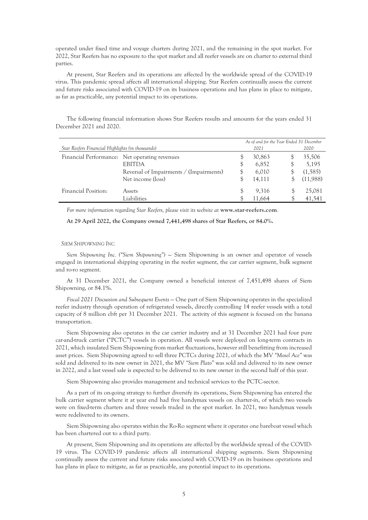operated under fixed time and voyage charters during 2021, and the remaining in the spot market. For 2022, Star Reefers has no exposure to the spot market and all reefer vessels are on charter to external third parties.

At present, Star Reefers and its operations are affected by the worldwide spread of the COVID-19 virus. This pandemic spread affects all international shipping. Star Reefers continually assess the current and future risks associated with COVID-19 on its business operations and has plans in place to mitigate, as far as practicable, any potential impact to its operations.

The following financial information shows Star Reefers results and amounts for the years ended 31 December 2021 and 2020.

|                                                  |                                               | As of and for the Year Ended 31 December |             |
|--------------------------------------------------|-----------------------------------------------|------------------------------------------|-------------|
| Star Reefers Financial Highlights (in thousands) |                                               | 2021                                     | 2020        |
|                                                  | Financial Performance: Net operating revenues | 30,863                                   | 35,506      |
|                                                  | <b>EBITDA</b>                                 | \$<br>6,852                              | \$<br>5,195 |
|                                                  | Reversal of Impairments / (Impairments)       | 6,010                                    | (1,585)     |
|                                                  | Net income (loss)                             | 14,111                                   | (11,988)    |
| Financial Position:                              | Assets                                        | 9.316                                    | 25,081      |
|                                                  | Liabilities                                   | 11.664                                   | 41,541      |

For more information regarding Star Reefers, please visit its website at www.star-reefers.com.

**At 29 April 2022, the Company owned 7,441,498 shares of Star Reefers, or 84.0%.** 

#### *SIEM SHIPOWNING INC.*

*Siem Shipowning Inc. ("Siem Shipowning")* — Siem Shipowning is an owner and operator of vessels engaged in international shipping operating in the reefer segment, the car carrier segment, bulk segment and ro-ro segment.

At 31 December 2021, the Company owned a beneficial interest of 7,451,498 shares of Siem Shipowning, or 84.1%.

*Fiscal 2021 Discussion and Subsequent Events* — One part of Siem Shipowning operates in the specialized reefer industry through operation of refrigerated vessels, directly controlling 14 reefer vessels with a total capacity of 8 million cbft per 31 December 2021. The activity of this segment is focused on the banana transportation.

Siem Shipowning also operates in the car carrier industry and at 31 December 2021 had four pure car-and-truck carrier ("PCTC") vessels in operation. All vessels were deployed on long-term contracts in 2021, which insulated Siem Shipowning from market fluctuations, however still benefitting from increased asset prices. Siem Shipowning agreed to sell three PCTCs during 2021, of which the MV *"Mosel Ace"* was sold and delivered to its new owner in 2021, the MV *"Siem Plato"* was sold and delivered to its new owner in 2022, and a last vessel sale is expected to be delivered to its new owner in the second half of this year.

Siem Shipowning also provides management and technical services to the PCTC-sector.

As a part of its on-going strategy to further diversify its operations, Siem Shipowning has entered the bulk carrier segment where it at year end had five handymax vessels on charter-in, of which two vessels were on fixed-term charters and three vessels traded in the spot market. In 2021, two handymax vessels were redelivered to its owners.

Siem Shipowning also operates within the Ro-Ro segment where it operates one bareboat vessel which has been chartered out to a third party.

At present, Siem Shipowning and its operations are affected by the worldwide spread of the COVID-19 virus. The COVID-19 pandemic affects all international shipping segments. Siem Shipowning continually assess the current and future risks associated with COVID-19 on its business operations and has plans in place to mitigate, as far as practicable, any potential impact to its operations.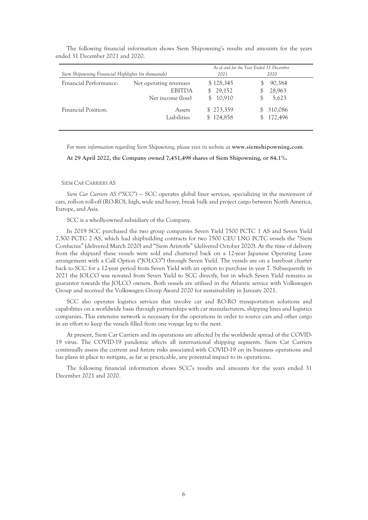|                                                     |                        |              | As of and for the Year Ended 31 December |  |
|-----------------------------------------------------|------------------------|--------------|------------------------------------------|--|
| Siem Shipowning Financial Highlights (in thousands) |                        | 2021         | 2020                                     |  |
| Financial Performance:                              | Net operating revenues | \$128,345    | 90,384                                   |  |
|                                                     | <b>EBITDA</b>          | 29,152<br>\$ | 28,963                                   |  |
|                                                     | Net income (loss)      | 10,910<br>\$ | 5,623<br>\$                              |  |
| Financial Position:                                 | Assets                 | \$273,359    | 310,086                                  |  |
|                                                     | Liabilities            | \$124,858    | \$172,496                                |  |
|                                                     |                        |              |                                          |  |

The following financial information shows Siem Shipowning's results and amounts for the years ended 31 December 2021 and 2020.

*For more information regarding Siem Shipowning, please visit its website at www.siemshipowning.com.* 

**At 29 April 2022, the Company owned 7,451,498 shares of Siem Shipowning, or 84.1%.** 

#### *SIEM CAR CARRIERS AS*

*Siem Car Carriers AS ("SCC")* — SCC operates global liner services, specializing in the movement of cars, roll-on roll-off (RO-RO), high, wide and heavy, break bulk and project cargo between North America, Europe, and Asia.

SCC is a wholly-owned subsidiary of the Company.

In 2019 SCC purchased the two group companies Seven Yield 7500 PCTC 1 AS and Seven Yield 7,500 PCTC 2 AS, which had shipbuilding contracts for two 7500 CEU LNG PCTC vessels the "Siem Confucius" (delivered March 2020) and "Siem Aristotle" (delivered October 2020). At the time of delivery from the shipyard these vessels were sold and chartered back on a 12-year Japanese Operating Lease arrangement with a Call Option ("JOLCO") through Seven Yield. The vessels are on a bareboat charter back to SCC for a 12-year period from Seven Yield with an option to purchase in year 7. Subsequently in 2021 the JOLCO was novated from Seven Yield to SCC directly, but in which Seven Yield remains as guarantor towards the JOLCO owners. Both vessels are utilised in the Atlantic service with Volkswagen Group and received the Volkswagen Group Award 2020 for sustainability in January 2021.

SCC also operates logistics services that involve car and RO-RO transportation solutions and capabilities on a worldwide basis through partnerships with car manufacturers, shipping lines and logistics companies. This extensive network is necessary for the operations in order to source cars and other cargo in an effort to keep the vessels filled from one voyage leg to the next.

At present, Siem Car Carriers and its operations are affected by the worldwide spread of the COVID-19 virus. The COVID-19 pandemic affects all international shipping segments. Siem Car Carriers continually assess the current and future risks associated with COVID-19 on its business operations and has plans in place to mitigate, as far as practicable, any potential impact to its operations.

The following financial information shows SCC's results and amounts for the years ended 31 December 2021 and 2020.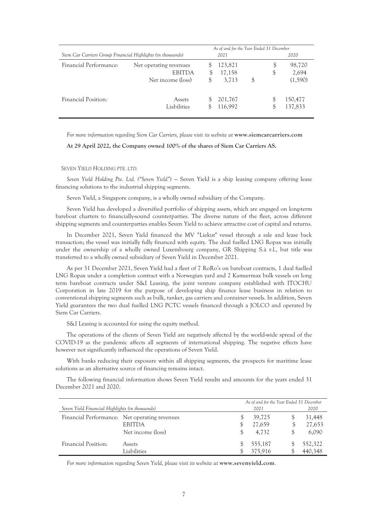|                                                             |                        | As of and for the Year Ended 31 December |    |         |
|-------------------------------------------------------------|------------------------|------------------------------------------|----|---------|
| Siem Car Carriers Group Financial Highlights (in thousands) |                        | 2021                                     |    | 2020    |
| Financial Performance:                                      | Net operating revenues | 123,821                                  | \$ | 98,720  |
|                                                             | <b>EBITDA</b>          | 17,158                                   | \$ | 2,694   |
|                                                             | Net income (loss)      | 3,713                                    | \$ | (1,590) |
| Financial Position:                                         | Assets                 | \$<br>201,767                            | \$ | 150,477 |
|                                                             | Liabilities            | 116,992                                  | \$ | 137,833 |

*For more information regarding Siem Car Carriers, please visit its website at* **www.siemcarcarriers.com** 

**At 29 April 2022, the Company owned 100% of the shares of Siem Car Carriers AS.** 

*SEVEN YIELD HOLDING PTE. LTD.*

*Seven Yield Holding Pte. Ltd. ("Seven Yield")* — Seven Yield is a ship leasing company offering lease financing solutions to the industrial shipping segments.

Seven Yield, a Singapore company, is a wholly owned subsidiary of the Company.

Seven Yield has developed a diversified portfolio of shipping assets, which are engaged on long-term bareboat charters to financially-sound counterparties. The diverse nature of the fleet, across different shipping segments and counterparties enables Seven Yield to achieve attractive cost of capital and returns.

In December 2021, Seven Yield financed the MV "Liekut" vessel through a sale and lease back transaction; the vessel was initially fully financed with equity. The dual fuelled LNG Ropax was initially under the ownership of a wholly owned Luxembourg company, GR Shipping S.à r.l., but title was transferred to a wholly owned subsidiary of Seven Yield in December 2021.

As per 31 December 2021, Seven Yield had a fleet of 7 RoRo's on bareboat contracts, 1 dual fuelled LNG Ropax under a completion contract with a Norwegian yard and 2 Kamsermax bulk vessels on long term bareboat contracts under S&I Leasing, the joint venture company established with ITOCHU Corporation in late 2019 for the purpose of developing ship finance lease business in relation to conventional shipping segments such as bulk, tanker, gas carriers and container vessels. In addition, Seven Yield guarantees the two dual fuelled LNG PCTC vessels financed through a JOLCO and operated by Siem Car Carriers.

S&I Leasing is accounted for using the equity method.

The operations of the clients of Seven Yield are negatively affected by the world-wide spread of the COVID-19 as the pandemic affects all segments of international shipping. The negative effects have however not significantly influenced the operations of Seven Yield.

With banks reducing their exposure within all shipping segments, the prospects for maritime lease solutions as an alternative source of financing remains intact.

The following financial information shows Seven Yield results and amounts for the years ended 31 December 2021 and 2020.

|                                                 |                                               | As of and for the Year Ended 31 December |              |
|-------------------------------------------------|-----------------------------------------------|------------------------------------------|--------------|
| Seven Yield Financial Highlights (in thousands) | 2021                                          | 2020                                     |              |
|                                                 | Financial Performance: Net operating revenues | 39,725                                   | \$<br>31,448 |
|                                                 | <b>EBITDA</b>                                 | 27,659                                   | 27,653       |
|                                                 | Net income (loss)                             | 4,732                                    | \$<br>6,090  |
| Financial Position:                             | Assets                                        | 555,187                                  | 552,322      |
|                                                 | Liabilities                                   | 375,916                                  | 440,348      |

For more information regarding Seven Yield, please visit its website at www.sevenyield.com.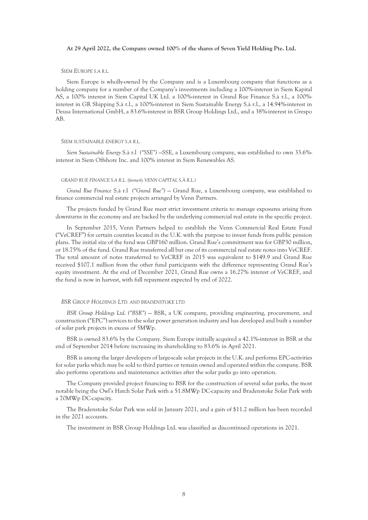#### **At 29 April 2022, the Company owned 100% of the shares of Seven Yield Holding Pte. Ltd.**

#### *SIEM EUROPE S.A R.L.*

Siem Europe is wholly-owned by the Company and is a Luxembourg company that functions as a holding company for a number of the Company's investments including a 100%-interest in Siem Kapital AS, a 100% interest in Siem Capital UK Ltd. a 100%-interest in Grand Rue Finance S.à r.l., a 100% interest in GR Shipping S.à r.l., a 100%-interest in Siem Sustainable Energy S.à r.l., a 14.94%-interest in Deusa International GmbH, a 83.6%-interest in BSR Group Holdings Ltd., and a 38%-interest in Grespo AB.

#### *SIEM SUSTAINABLE ENERGY S.A R.L.*

*Siem Sustainable Energy* S.à r.l *("SSE")* —SSE, a Luxembourg company, was established to own 33.6% interest in Siem Offshore Inc. and 100% interest in Siem Renewables AS.

#### *GRAND RUE FINANCE S.A R.L. (formerly VENN CAPITAL S.À R.L.)*

*Grand Rue Finance* S.à r.l *("Grand Rue")* — Grand Rue, a Luxembourg company, was established to finance commercial real estate projects arranged by Venn Partners.

The projects funded by Grand Rue meet strict investment criteria to manage exposures arising from downturns in the economy and are backed by the underlying commercial real estate in the specific project.

In September 2015, Venn Partners helped to establish the Venn Commercial Real Estate Fund ("VeCREF") for certain counties located in the U.K. with the purpose to invest funds from public pension plans. The initial size of the fund was GBP160 million. Grand Rue's commitment was for GBP30 million, or 18.75% of the fund. Grand Rue transferred all but one of its commercial real estate notes into VeCREF. The total amount of notes transferred to VeCREF in 2015 was equivalent to \$149.9 and Grand Rue received \$107.1 million from the other fund participants with the difference representing Grand Rue's equity investment. At the end of December 2021, Grand Rue owns a 16.27% interest of VeCREF, and the fund is now in harvest, with full repayment expected by end of 2022.

#### *BSR GROUP HOLDINGS LTD. AND BRADENSTOKE LTD.*

*BSR Group Holdings Ltd. ("BSR")* — BSR, a UK company, providing engineering, procurement, and construction ("EPC") services to the solar power generation industry and has developed and built a number of solar park projects in excess of 5MWp.

BSR is owned 83.6% by the Company. Siem Europe initially acquired a 42.1%-interest in BSR at the end of September 2014 before increasing its shareholding to 83.6% in April 2021.

BSR is among the larger developers of large-scale solar projects in the U.K. and performs EPC-activities for solar parks which may be sold to third parties or remain owned and operated within the company. BSR also performs operations and maintenance activities after the solar parks go into operation.

The Company provided project financing to BSR for the construction of several solar parks, the most notable being the Owl's Hatch Solar Park with a 51.8MWp DC-capacity and Bradenstoke Solar Park with a 70MWp DC-capacity.

The Bradenstoke Solar Park was sold in January 2021, and a gain of \$11.2 million has been recorded in the 2021 accounts.

The investment in BSR Group Holdings Ltd. was classified as discontinued operations in 2021.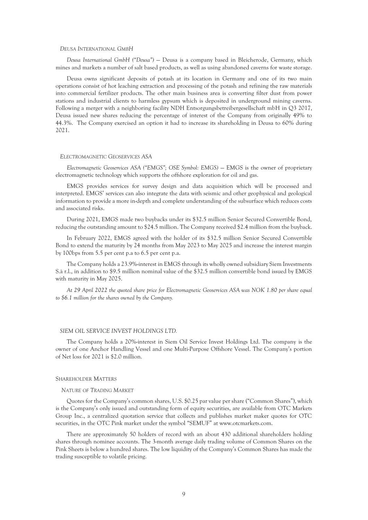#### *DEUSA INTERNATIONAL GMBH*

*Deusa International GmbH ("Deusa")* — Deusa is a company based in Bleicherode, Germany, which mines and markets a number of salt based products, as well as using abandoned caverns for waste storage.

Deusa owns significant deposits of potash at its location in Germany and one of its two main operations consist of hot leaching extraction and processing of the potash and refining the raw materials into commercial fertilizer products. The other main business area is converting filter dust from power stations and industrial clients to harmless gypsum which is deposited in underground mining caverns. Following a merger with a neighboring facility NDH Entsorgungsbetreibergesellschaft mbH in Q3 2017, Deusa issued new shares reducing the percentage of interest of the Company from originally 49% to 44.3%. The Company exercised an option it had to increase its shareholding in Deusa to 60% during 2021.

#### *ELECTROMAGNETIC GEOSERVICES ASA*

*Electromagnetic Geoservices ASA ("EMGS"; OSE Symbol: EMGS)* — EMGS is the owner of proprietary electromagnetic technology which supports the offshore exploration for oil and gas.

EMGS provides services for survey design and data acquisition which will be processed and interpreted. EMGS' services can also integrate the data with seismic and other geophysical and geological information to provide a more in-depth and complete understanding of the subsurface which reduces costs and associated risks.

During 2021, EMGS made two buybacks under its \$32.5 million Senior Secured Convertible Bond, reducing the outstanding amount to \$24.5 million. The Company received \$2.4 million from the buyback.

In February 2022, EMGS agreed with the holder of its \$32.5 million Senior Secured Convertible Bond to extend the maturity by 24 months from May 2023 to May 2025 and increase the interest margin by 100bps from 5.5 per cent p.a to 6.5 per cent p.a.

The Company holds a 23.9%-interest in EMGS through its wholly owned subsidiary Siem Investments S.à r.l., in addition to \$9.5 million nominal value of the \$32.5 million convertible bond issued by EMGS with maturity in May 2025.

*At 29 April 2022 the quoted share price for Electromagnetic Geoservices ASA was NOK 1.80 per share equal to \$6.1 million for the shares owned by the Company.*

#### *SIEM OIL SERVICE INVEST HOLDINGS LTD.*

The Company holds a 20%-interest in Siem Oil Service Invest Holdings Ltd. The company is the owner of one Anchor Handling Vessel and one Multi-Purpose Offshore Vessel. The Company's portion of Net loss for 2021 is \$2.0 million.

#### SHAREHOLDER MATTERS

#### *NATURE OF TRADING MARKET*

Quotes for the Company's common shares, U.S. \$0.25 par value per share ("Common Shares"), which is the Company's only issued and outstanding form of equity securities, are available from OTC Markets Group Inc., a centralized quotation service that collects and publishes market maker quotes for OTC securities, in the OTC Pink market under the symbol "SEMUF" at www.otcmarkets.com.

There are approximately 50 holders of record with an about 430 additional shareholders holding shares through nominee accounts. The 3-month average daily trading volume of Common Shares on the Pink Sheets is below a hundred shares. The low liquidity of the Company's Common Shares has made the trading susceptible to volatile pricing.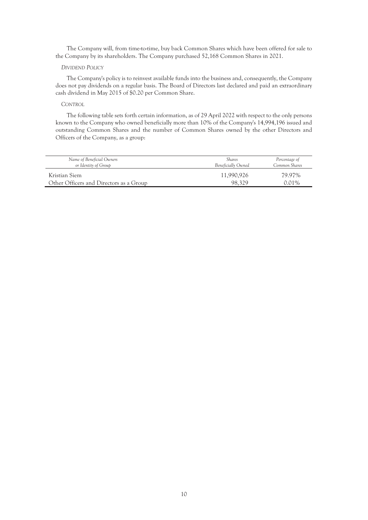The Company will, from time-to-time, buy back Common Shares which have been offered for sale to the Company by its shareholders. The Company purchased 52,168 Common Shares in 2021.

#### *DIVIDEND POLICY*

The Company's policy is to reinvest available funds into the business and, consequently, the Company does not pay dividends on a regular basis. The Board of Directors last declared and paid an extraordinary cash dividend in May 2015 of \$0.20 per Common Share.

## *CONTROL*

The following table sets forth certain information, as of 29 April 2022 with respect to the only persons known to the Company who owned beneficially more than 10% of the Company's 14,994,196 issued and outstanding Common Shares and the number of Common Shares owned by the other Directors and Officers of the Company, as a group:

| Name of Beneficial Owners               | Shares             | Percentage of |
|-----------------------------------------|--------------------|---------------|
| or Identity of Group                    | Beneficially Owned | Common Shares |
| Kristian Siem                           | 11,990,926         | 79.97%        |
| Other Officers and Directors as a Group | 98.329             | $0.01\%$      |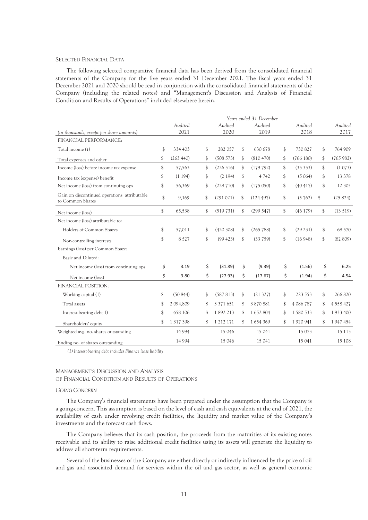#### SELECTED FINANCIAL DATA

The following selected comparative financial data has been derived from the consolidated financial statements of the Company for the five years ended 31 December 2021. The fiscal years ended 31 December 2021 and 2020 should be read in conjunction with the consolidated financial statements of the Company (including the related notes) and "Management's Discussion and Analysis of Financial Condition and Results of Operations" included elsewhere herein.

|                                                                  | Years ended 31 December |               |               |               |    |           |               |           |               |               |
|------------------------------------------------------------------|-------------------------|---------------|---------------|---------------|----|-----------|---------------|-----------|---------------|---------------|
|                                                                  |                         | Audited       |               | Audited       |    | Audited   |               | Audited   |               | Audited       |
| (in thousands, except per share amounts)                         |                         | 2021          |               | 2020          |    | 2019      |               | 2018      |               | 2017          |
| FINANCIAL PERFORMANCE:                                           |                         |               |               |               |    |           |               |           |               |               |
| Total income (1)                                                 | \$                      | 334 403       | \$            | 282 057       | \$ | 630 678   | \$            | 730 827   | \$            | 764 909       |
| Total expenses and other                                         | \$                      | (263, 440)    | \$            | (508 573)     | \$ | (810470)  | \$            | (766 180) | \$            | (765982)      |
| Income (loss) before income tax expense                          | \$                      | 57,563        | $\mathcal{S}$ | (226 516)     | \$ | (179792)  | $\mathbb{S}$  | (35353)   | \$            | (1073)        |
| Income tax (expense) benefit                                     | $\frac{1}{2}$           | (1194)        | \$            | (2194)        | \$ | 4 7 4 2   | \$            | (5064)    | \$            | 13 3 78       |
| Net income (loss) from continuing ops                            | \$                      | 56,369        | $\mathcal{S}$ | (228 710)     | \$ | (175050)  | $\mathbb{S}$  | (40 417)  | $\mathbb{S}$  | 12 305        |
| Gain on discontinued operations attributable<br>to Common Shares | \$                      | 9,169         | \$            | (291021)      | \$ | (124497)  | $\mathcal{S}$ | (5762)    | $\mathcal{S}$ | (25824)       |
| Net income (loss)                                                | \$                      | 65,538        | \$            | (519731)      | \$ | (299547)  | \$            | (46179)   | \$            | (13519)       |
| Net income (loss) attributable to:                               |                         |               |               |               |    |           |               |           |               |               |
| Holders of Common Shares                                         | \$                      | 57,011        | \$            | (420308)      | \$ | (265 788) | \$            | (29 231)  | \$            | 68 570        |
| Non-controlling interests                                        | \$                      | 8 5 2 7       | \$            | (99 423)      | \$ | (33759)   | \$            | (16948)   | \$            | (82 809)      |
| Earnings (loss) per Common Share:                                |                         |               |               |               |    |           |               |           |               |               |
| Basic and Diluted:                                               |                         |               |               |               |    |           |               |           |               |               |
| Net income (loss) from continuing ops                            | \$                      | 3.19          | \$            | (31.89)       | \$ | (9.39)    | \$            | (1.56)    | \$            | 6.25          |
| Net income (loss)                                                | \$                      | 3.80          | \$            | (27.93)       | \$ | (17.67)   | \$            | (1.94)    | \$            | 4.54          |
| FINANCIAL POSITION:                                              |                         |               |               |               |    |           |               |           |               |               |
| Working capital (1)                                              | $\mathbb{S}$            | (50844)       | \$            | (587813)      | \$ | (21327)   | \$            | 223 553   | \$            | 266 820       |
| Total assets                                                     | \$                      | 2 094,809     | \$            | 3 3 7 1 6 5 1 | \$ | 3 870 881 | \$            | 4 086 787 | \$            | 4 5 5 8 4 2 7 |
| Interest-bearing debt 1)                                         | \$                      | 658 106       | \$            | 1892213       | \$ | 1 652 804 | \$            | 1580533   | \$            | 1933 400      |
| Shareholders' equity                                             | \$                      | 1 3 1 7 3 9 8 | \$            | 1 2 1 2 1 7 1 | \$ | 1654369   | \$            | 1920941   | \$            | 1 947 454     |
| Weighted avg. no. shares outstanding                             |                         | 14 9 94       |               | 15 046        |    | 15 041    |               | 15 073    |               | 15 1 13       |
| Ending no. of shares outstanding                                 |                         | 14 9 94       |               | 15 04 6       |    | 15 041    |               | 15 041    |               | 15 108        |

*(1) Interest-bearing debt includes Finance lease liability* 

#### MANAGEMENT'S DISCUSSION AND ANALYSIS OF FINANCIAL CONDITION AND RESULTS OF OPERATIONS

#### *GOING-CONCERN*

The Company's financial statements have been prepared under the assumption that the Company is a going-concern. This assumption is based on the level of cash and cash equivalents at the end of 2021, the availability of cash under revolving credit facilities, the liquidity and market value of the Company's investments and the forecast cash flows.

The Company believes that its cash position, the proceeds from the maturities of its existing notes receivable and its ability to raise additional credit facilities using its assets will generate the liquidity to address all short-term requirements.

Several of the businesses of the Company are either directly or indirectly influenced by the price of oil and gas and associated demand for services within the oil and gas sector, as well as general economic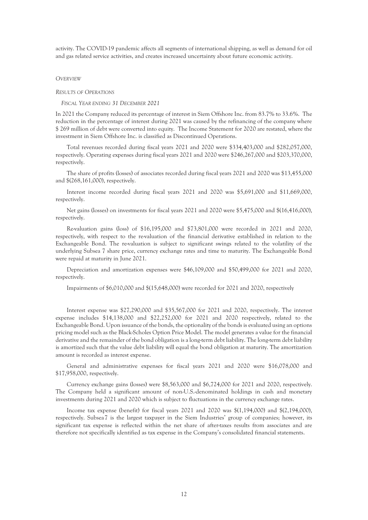activity. The COVID-19 pandemic affects all segments of international shipping, as well as demand for oil and gas related service activities, and creates increased uncertainty about future economic activity.

*OVERVIEW*

*RESULTS OF OPERATIONS*

*FISCAL YEAR ENDING 31 DECEMBER 2021* 

In 2021 the Company reduced its percentage of interest in Siem Offshore Inc. from 83.7% to 33.6%. The reduction in the percentage of interest during 2021 was caused by the refinancing of the company where \$ 269 million of debt were converted into equity. The Income Statement for 2020 are restated, where the investment in Siem Offshore Inc. is classified as Discontinued Operations.

Total revenues recorded during fiscal years 2021 and 2020 were \$334,403,000 and \$282,057,000, respectively. Operating expenses during fiscal years 2021 and 2020 were \$246,267,000 and \$203,370,000, respectively.

The share of profits (losses) of associates recorded during fiscal years 2021 and 2020 was \$13,455,000 and \$(268,161,000), respectively.

Interest income recorded during fiscal years 2021 and 2020 was \$5,691,000 and \$11,669,000, respectively.

Net gains (losses) on investments for fiscal years 2021 and 2020 were \$5,475,000 and \$(16,416,000), respectively.

Re-valuation gains (loss) of \$16,195,000 and \$73,801,000 were recorded in 2021 and 2020, respectively, with respect to the re-valuation of the financial derivative established in relation to the Exchangeable Bond. The re-valuation is subject to significant swings related to the volatility of the underlying Subsea 7 share price, currency exchange rates and time to maturity. The Exchangeable Bond were repaid at maturity in June 2021.

Depreciation and amortization expenses were \$46,109,000 and \$50,499,000 for 2021 and 2020, respectively.

Impairments of \$6,010,000 and \$(15,648,000) were recorded for 2021 and 2020, respectively

Interest expense was \$27,290,000 and \$35,567,000 for 2021 and 2020, respectively. The interest expense includes \$14,138,000 and \$22,252,000 for 2021 and 2020 respectively, related to the Exchangeable Bond. Upon issuance of the bonds, the optionality of the bonds is evaluated using an options pricing model such as the Black-Scholes Option Price Model. The model generates a value for the financial derivative and the remainder of the bond obligation is a long-term debt liability. The long-term debt liability is amortized such that the value debt liability will equal the bond obligation at maturity. The amortization amount is recorded as interest expense.

General and administrative expenses for fiscal years 2021 and 2020 were \$16,078,000 and \$17,958,000, respectively.

Currency exchange gains (losses) were \$8,563,000 and \$6,724,000 for 2021 and 2020, respectively. The Company held a significant amount of non-U.S.-denominated holdings in cash and monetary investments during 2021 and 2020 which is subject to fluctuations in the currency exchange rates.

Income tax expense (benefit) for fiscal years 2021 and 2020 was \$(1,194,000) and \$(2,194,000), respectively. Subsea7 is the largest taxpayer in the Siem Industries' group of companies; however, its significant tax expense is reflected within the net share of after-taxes results from associates and are therefore not specifically identified as tax expense in the Company's consolidated financial statements.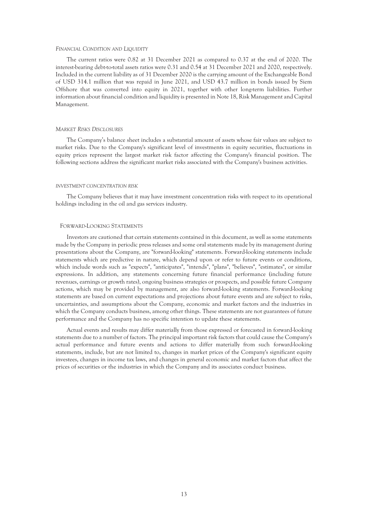#### *FINANCIAL CONDITION AND LIQUIDITY*

The current ratios were 0.82 at 31 December 2021 as compared to 0.37 at the end of 2020. The interest-bearing debt-to-total assets ratios were 0.31 and 0.54 at 31 December 2021 and 2020, respectively. Included in the current liability as of 31 December 2020 is the carrying amount of the Exchangeable Bond of USD 314.1 million that was repaid in June 2021, and USD 43.7 million in bonds issued by Siem Offshore that was converted into equity in 2021, together with other long-term liabilities. Further information about financial condition and liquidity is presented in Note 18, Risk Management and Capital Management.

#### *MARKET RISKS DISCLOSURES*

The Company's balance sheet includes a substantial amount of assets whose fair values are subject to market risks. Due to the Company's significant level of investments in equity securities, fluctuations in equity prices represent the largest market risk factor affecting the Company's financial position. The following sections address the significant market risks associated with the Company's business activities.

#### *INVESTMENT CONCENTRATION RISK*

The Company believes that it may have investment concentration risks with respect to its operational holdings including in the oil and gas services industry.

#### FORWARD-LOOKING STATEMENTS

Investors are cautioned that certain statements contained in this document, as well as some statements made by the Company in periodic press releases and some oral statements made by its management during presentations about the Company, are "forward-looking" statements. Forward-looking statements include statements which are predictive in nature, which depend upon or refer to future events or conditions, which include words such as "expects", "anticipates", "intends", "plans", "believes", "estimates", or similar expressions. In addition, any statements concerning future financial performance (including future revenues, earnings or growth rates), ongoing business strategies or prospects, and possible future Company actions, which may be provided by management, are also forward-looking statements. Forward-looking statements are based on current expectations and projections about future events and are subject to risks, uncertainties, and assumptions about the Company, economic and market factors and the industries in which the Company conducts business, among other things. These statements are not guarantees of future performance and the Company has no specific intention to update these statements.

Actual events and results may differ materially from those expressed or forecasted in forward-looking statements due to a number of factors. The principal important risk factors that could cause the Company's actual performance and future events and actions to differ materially from such forward-looking statements, include, but are not limited to, changes in market prices of the Company's significant equity investees, changes in income tax laws, and changes in general economic and market factors that affect the prices of securities or the industries in which the Company and its associates conduct business.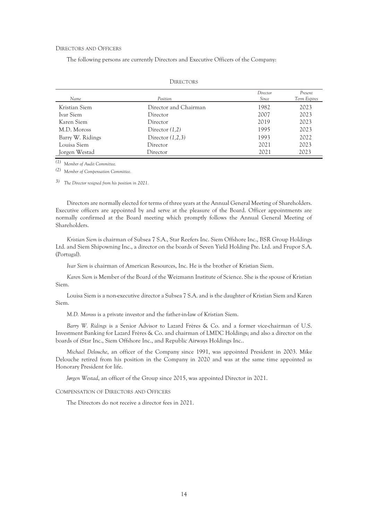#### DIRECTORS AND OFFICERS

The following persons are currently Directors and Executive Officers of the Company:

| Name             | Position              | Director<br>Since | Present<br>Term Expires |
|------------------|-----------------------|-------------------|-------------------------|
| Kristian Siem    | Director and Chairman | 1982              | 2023                    |
| Ivar Siem        | Director              | 2007              | 2023                    |
| Karen Siem       | Director              | 2019              | 2023                    |
| M.D. Moross      | Director $(1,2)$      | 1995              | 2023                    |
| Barry W. Ridings | Director $(1,2,3)$    | 1993              | 2022                    |
| Louisa Siem      | Director              | 2021              | 2023                    |
| Jorgen Westad    | Director              | 2021              | 2023                    |

*(1) Member of Audit Committee.* 

*(2) Member of Compensation Committee.* 

*3) The Director resigned from his position in 2021.* 

Directors are normally elected for terms of three years at the Annual General Meeting of Shareholders. Executive officers are appointed by and serve at the pleasure of the Board. Officer appointments are normally confirmed at the Board meeting which promptly follows the Annual General Meeting of Shareholders.

*Kristian Siem* is chairman of Subsea 7 S.A., Star Reefers Inc. Siem Offshore Inc., BSR Group Holdings Ltd. and Siem Shipowning Inc., a director on the boards of Seven Yield Holding Pte. Ltd. and Frupor S.A. (Portugal).

*Ivar Siem* is chairman of American Resources, Inc. He is the brother of Kristian Siem.

*Karen Siem* is Member of the Board of the Weizmann Institute of Science. She is the spouse of Kristian Siem.

Louisa Siem is a non-executive director a Subsea 7 S.A. and is the daughter of Kristian Siem and Karen Siem.

*M.D. Moross* is a private investor and the father-in-law of Kristian Siem.

*Barry W. Ridings* is a Senior Advisor to Lazard Frères & Co. and a former vice-chairman of U.S. Investment Banking for Lazard Frères & Co. and chairman of LMDC Holdings; and also a director on the boards of iStar Inc., Siem Offshore Inc., and Republic Airways Holdings Inc..

*Michael Delouche*, an officer of the Company since 1991, was appointed President in 2003. Mike Delouche retired from his position in the Company in 2020 and was at the same time appointed as Honorary President for life.

*Jørgen Westad*, an officer of the Group since 2015, was appointed Director in 2021.

COMPENSATION OF DIRECTORS AND OFFICERS

The Directors do not receive a director fees in 2021.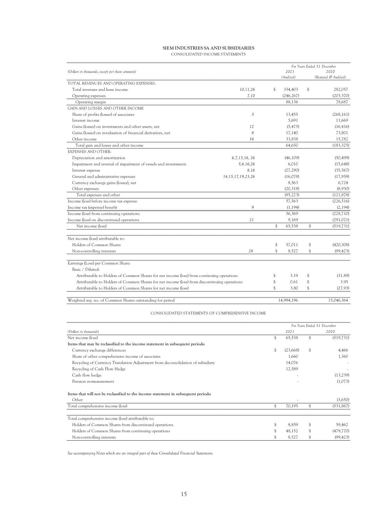## **SIEM INDUSTRIES SA AND SUBSIDIARIES**

CONSOLIDATED INCOME STATEMENTS

|                                                                                              |               |            |                    | For Years Ended 31 December |  |
|----------------------------------------------------------------------------------------------|---------------|------------|--------------------|-----------------------------|--|
|                                                                                              | 2021          |            | 2020               |                             |  |
|                                                                                              |               | (Audited)  |                    | (Restated & Audited)        |  |
|                                                                                              |               |            |                    |                             |  |
| 10,11,26                                                                                     | \$            | 334,403    | \$                 | 282,057                     |  |
| 7,10                                                                                         |               | (246, 267) |                    | (203, 370)                  |  |
|                                                                                              |               | 88,136     |                    | 78,687                      |  |
|                                                                                              |               |            |                    |                             |  |
| 5                                                                                            |               | 13,455     |                    | (268, 161)                  |  |
|                                                                                              |               | 5,691      |                    | 11,669                      |  |
| 12                                                                                           |               | (5, 475)   |                    | (16, 416)                   |  |
| 8                                                                                            |               | 17,140     |                    | 73,801                      |  |
| 34                                                                                           |               | 33,838     |                    | 15,782                      |  |
|                                                                                              |               | 64,650     |                    | (183, 325)                  |  |
|                                                                                              |               |            |                    |                             |  |
| 6, 7, 13, 16, 26                                                                             |               | (46, 109)  |                    | (50, 499)                   |  |
| 5,6,16,26                                                                                    |               | 6,010      |                    | (15,648)                    |  |
| 8,16                                                                                         |               | (27, 290)  |                    | (35, 567)                   |  |
| 14, 15, 17, 19, 23, 26                                                                       |               | (16,078)   |                    | (17,958)                    |  |
|                                                                                              |               | 8,563      |                    | 6,724                       |  |
|                                                                                              |               | (20,318)   |                    | (8,930)                     |  |
|                                                                                              |               | (95, 223)  |                    | (121, 878)                  |  |
|                                                                                              |               | 57,563     |                    | (226, 516)                  |  |
| 9                                                                                            |               | (1, 194)   |                    | (2, 194)                    |  |
|                                                                                              |               | 56,369     |                    | (228, 710)                  |  |
| 21                                                                                           |               | 9.169      |                    | (291, 021)                  |  |
|                                                                                              | \$            | 65,538     | \$                 | (519, 731)                  |  |
|                                                                                              |               |            |                    |                             |  |
|                                                                                              | \$            | 57,011     | \$                 | (420, 308)                  |  |
| 28                                                                                           | $\mathcal{L}$ | 8,527      | \$                 | (99, 423)                   |  |
|                                                                                              |               |            |                    |                             |  |
|                                                                                              |               |            |                    |                             |  |
| Attributable to Holders of Common Shares for net income (loss) from continuing operations    | \$            | 3.19       | \$                 | (31.89)                     |  |
| Attributable to Holders of Common Shares for net income (loss) from discontinuing operations |               |            |                    |                             |  |
|                                                                                              | \$            | 3.80       | \$                 | (27.93)                     |  |
|                                                                                              |               |            |                    | 15,046,364                  |  |
|                                                                                              |               | \$         | 0.61<br>14,994,196 | \$                          |  |

CONSOLIDATED STATEMENTS OF COMPREHENSIVE INCOME

|                                                                                    |    |          |    | For Years Ended 31 December |  |
|------------------------------------------------------------------------------------|----|----------|----|-----------------------------|--|
| (Dollars in thousands)                                                             |    | 2021     |    | 2020                        |  |
| Net income (loss)                                                                  | P. | 65,538   | \$ | (519, 731)                  |  |
| Items that may be reclassified to the income statement in subsequent periods:      |    |          |    |                             |  |
| Currency exchange differences                                                      | \$ | (23,668) | \$ | 4,466                       |  |
| Share of other comprehensive income of associates                                  |    | 1,660    |    | 1,360                       |  |
| Recycling of Currency Translation Adjustment from deconsolidation of subsidiary    |    | 14,076   |    |                             |  |
| Recycling of Cash Flow Hedge                                                       |    | 12,589   |    |                             |  |
| Cash flow hedge                                                                    |    |          |    | (13, 239)                   |  |
| Pension re-measurement                                                             |    |          |    | (1,073)                     |  |
| Items that will not be reclassified to the income statement in subsequent periods: |    |          |    |                             |  |
| Other                                                                              |    |          |    | (3,650)                     |  |
| Total comprehensive income (loss)                                                  | S  | 70,195   | S  | (531, 867)                  |  |
| Total comprehensive income (loss) attributable to:                                 |    |          |    |                             |  |
| Holders of Common Shares from discontinued operations                              | \$ | 8,859    | \$ | 59,462                      |  |
| Holders of Common Shares from continuing operations                                |    | 48,152   | \$ | (479, 770)                  |  |
| Non-controlling interests                                                          |    | 8,527    | \$ | (99, 423)                   |  |

*See accompanying Notes which are an integral part of these Consolidated Financial Statements.*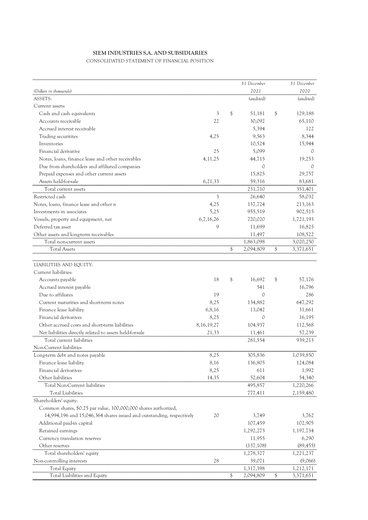## **SIEM INDUSTRIES S.A. AND SUBSIDIARIES**

CONSOLIDATED STATEMENT OF FINANCIAL POSITION

|                                                                       |               |               | 31 December   | 31 December     |
|-----------------------------------------------------------------------|---------------|---------------|---------------|-----------------|
| (Dollars in thousands)                                                |               |               | 2021          | 2020            |
| ASSETS:                                                               |               |               | (audited)     | (audited)       |
| Current assets:                                                       |               |               |               |                 |
| Cash and cash equivalents                                             | 3             | $\mathcal{S}$ | 51,181        | \$<br>129,188   |
| Accounts receivable                                                   | 22            |               | 30,092        | 65,110          |
| Accrued interest receivable                                           |               |               | 5,394         | 122             |
| Trading securitites                                                   | 4,25          |               | 9,563         | 8,344           |
| Inventories                                                           |               |               | 10,524        | 15,944          |
| Financial derivative                                                  | 25            |               | 5,099         | $\Omega$        |
| Notes, loans, finance lease and other receivables                     | 4,11,25       |               | 44,715        | 19,253          |
| Due from shareholders and affiliated companies                        |               |               | 0             | 0               |
| Prepaid expenses and other current assets                             |               |               | 15,825        | 29,757          |
| Assets held-for-sale                                                  | 6,21,33       |               | 59,316        | 83,681          |
| Total current assets                                                  |               |               | 231,710       | 351,401         |
| Restricted cash                                                       | 3             |               | 26,640        | 58,032          |
| Notes, loans, finance lease and other re                              | 4,25          |               | 137,724       | 213,163         |
| Investments in associates                                             | 5,25          |               | 955,519       | 902,515         |
| Vessels, property and equipment, net                                  | 6,7,16,26     |               | 720,020       | 1,721,193       |
| Deferred tax asset                                                    | 9             |               | 11,699        | 16,825          |
| Other assets and long-term receivables                                |               |               | 11,497        | 108,522         |
| Total non-current assets                                              |               |               | 1,863,098     | 3,020,250       |
| <b>Total Assets</b>                                                   |               | \$            | 2,094,809     | \$<br>3,371,651 |
|                                                                       |               |               |               |                 |
| LIABILITIES AND EQUITY:                                               |               |               |               |                 |
| Current liabilities:                                                  |               |               |               |                 |
| Accounts payable                                                      | 18            | \$            | 16,692        | \$<br>57,176    |
| Accrued interest payable                                              |               |               | 541           | 16,796          |
| Due to affiliates                                                     | 19            |               | $\Omega$      | 286             |
| Current maturities and short-term notes                               | 8,25          |               | 134,882       | 647,292         |
| Finance lease liability                                               | 6,8,16        |               | 13,042        | 31,661          |
| Financial derivatives                                                 | 8,25          |               | $\mathcal{O}$ | 16,195          |
| Other accrued costs and short-term liabilities                        | 8, 16, 19, 27 |               | 104,937       | 112,568         |
| Net liabilities directly related to assets held-for-sale              | 21,33         |               | 11,461        | 57,239          |
| Total current liabilities                                             |               |               | 281,554       | 939,213         |
| Non-Current liabilities                                               |               |               |               |                 |
| Long-term debt and notes payable                                      | 8,25          |               | 305,836       | 1,039,850       |
| Finance lease liability                                               | 8,16          |               | 136,805       | 124,084         |
| Financial derivatives                                                 | 8,25          |               | 611           | 1,992           |
| Other liabilities                                                     | 14,35         |               | 52,604        | 54,340          |
| Total Non-Current liabilities                                         |               |               | 495,857       | 1,220,266       |
| <b>Total Liabilities</b>                                              |               |               | 777,411       | 2,159,480       |
| Shareholders' equity:                                                 |               |               |               |                 |
| Common shares, \$0.25 par value, 100,000,000 shares authorized,       |               |               |               |                 |
| 14,994,196 and 15,046,364 shares issued and outstanding, respectively | 20            |               | 3,749         | 3,762           |
| Additional paid-in capital                                            |               |               | 107,459       | 102,905         |
| Retained earnings                                                     |               |               | 1,292,273     | 1,197,734       |
| Currency translation reserves                                         |               |               | 11,955        | 6,290           |
| Other reserves                                                        |               |               | (137, 108)    | (89, 455)       |
| Total shareholders' equity                                            |               |               | 1,278,327     | 1,221,237       |
| Non-controlling interests                                             | 28            |               | 39,071        | (9,066)         |
| <b>Total Equity</b>                                                   |               |               | 1,317,398     | 1,212,171       |
| Total Liabilities and Equity                                          |               | \$            | 2,094,809     | \$<br>3,371,651 |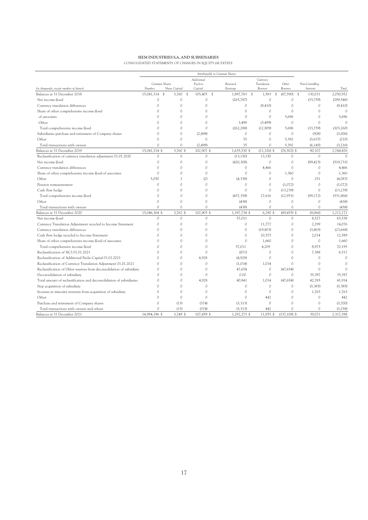## **SIEM INDUSTRIES S.A. AND SUBSIDIARIES**

CONSOLIDATED STATEMENTS OF CHANGES IN EQUITY (AUDITED)

|                                                                       | Attributable to Common Shares |                         |            |               |              |               |                            |                          |               |
|-----------------------------------------------------------------------|-------------------------------|-------------------------|------------|---------------|--------------|---------------|----------------------------|--------------------------|---------------|
|                                                                       |                               |                         | Additional |               |              | Currency      |                            |                          |               |
|                                                                       |                               | Common Shares           | Paid-in    |               | Retained     | Translation   | Other                      | Non-Controlling          |               |
| (in thousands, except number of shares)                               | Number                        | Share Capital           | Capital    |               | Earnings     | Reserves      | Reserves                   | Interests                | Total         |
| Balances at 31 December 2018                                          | 15,041,314                    | $\mathfrak{S}$<br>3,760 | - \$       | 105,405 \$    | 1,897,783 \$ | 1.583         | $\mathcal{S}$<br>(87, 590) | $\mathcal{S}$<br>130,011 | 2,050,952     |
| Net income (loss)                                                     | $\mathbf{0}$                  | $\mathcal{O}$           |            | $\Omega$      | (265, 787)   | $\mathcal{O}$ | $\circ$                    | (33, 759)                | (299, 546)    |
| Currency translation differences                                      | $\Omega$                      | $\Omega$                |            | $\Omega$      | $\mathbf{0}$ | (9, 410)      | $\Omega$                   | $\Omega$                 | (9, 410)      |
| Share of other comprehensive income (loss)                            | $\Omega$                      | $\Omega$                |            | $\Omega$      | 0            | $\mathbf{0}$  | $\circ$                    | $\Omega$                 | $\Omega$      |
| of associates                                                         | $\Omega$                      | $\Omega$                |            | $\Omega$      | 0            | $\circ$       | 5,696                      | $\mathbf{0}$             | 5,696         |
| Other                                                                 | $\Omega$                      | $\Omega$                |            | $\Omega$      | 3,499        | (3, 499)      | $\circ$                    | $\mathbf{0}$             | $\Omega$      |
| Total comprehensive income (loss)                                     | $\Omega$                      | $\Omega$                |            | $\Omega$      | (262, 288)   | (12,909)      | 5,696                      | (33,759)                 | (303, 260)    |
| Subsidiaries purchase and retirement of Company shares                | $\Omega$                      | $\Omega$                | (2, 498)   |               | 0            | $\mathbf{0}$  | $\circ$                    | (508)                    | (3,006)       |
| Other                                                                 | $\Omega$                      | $\Omega$                |            | $\Omega$      | 35           | $\mathbf{0}$  | 5,392                      | (5,637)                  | (210)         |
| Total transactions with owners                                        | $\Omega$                      | $\Omega$                | (2, 498)   |               | 35           | $\mathbf{0}$  | 5,392                      | (6, 145)                 | (3,216)       |
| Balances at 31 December 2019                                          | 15,041,314 \$                 | 3,760 \$                | 102,907 \$ |               | 1,635,530 \$ | $(11,326)$ \$ | $(76, 502)$ \$             | 90,107                   | 1,744,476     |
| Reclassification of currency translation adjustment 01.01.2020        | $\mathbf{0}$                  | $\circ$                 |            | $\circ$       | (13, 150)    | 13,150        | $\circ$                    | $\mathbf{0}$             | $\Omega$      |
| Net income (loss)                                                     | $\Omega$                      | $\mathbf{0}$            |            | $\circ$       | (420, 308)   | $\mathbf{0}$  | $\circ$                    | (99, 423)                | (519, 731)    |
| Currency translation differences                                      | $\Omega$                      | $\Omega$                |            | $\Omega$      | $\circ$      | 4,466         | $\circ$                    | $\Omega$                 | 4,466         |
| Share of other comprehensive income (loss) of associates              | $\Omega$                      | $\Omega$                |            | $\Omega$      | 0            | $\circ$       | 1,360                      | $\mathbf{0}$             | 1,360         |
| Other                                                                 | 5,050                         | $\mathcal{I}$           |            | (2)           | (4,338)      | $\mathbf{0}$  | $\circ$                    | 251                      | (4,087)       |
| Pension remeasurement                                                 | $\Omega$                      | $\Omega$                |            | $\Omega$      | $\mathbf{0}$ | $\mathbf{0}$  | (1,072)                    | $\mathbf{0}$             | (1,072)       |
| Cash flow hedge                                                       | $\Omega$                      | $\Omega$                |            | $\Omega$      | $\Omega$     | $\mathbf{0}$  | (13, 239)                  | $\mathbf{0}$             | (13, 239)     |
| Total comprehensive income (loss)                                     | $\Omega$                      | $\Omega$                |            | 0             | (437, 358)   | 17,616        | (12, 951)                  | (99, 172)                | (531, 866)    |
| Other                                                                 | $\Omega$                      | $\Omega$                |            | $\Omega$      | (438)        | $\mathbf{0}$  | $\circ$                    | $\Omega$                 | (438)         |
| Total transactions with owners                                        | $\Omega$                      | $\Omega$                |            | $\Omega$      | (438)        | $\mathbf{0}$  | $\circ$                    | $\Omega$                 | (438)         |
| Balances at 31 December 2020                                          | 15,046,364 \$                 | 3,762 \$                | 102,905 \$ |               | 1,197,734 \$ | $6,290$ \$    | $(89, 455)$ \$             | (9,066)                  | 1,212,171     |
| Net income (loss)                                                     | $\mathbf{0}$                  | $\mathcal{O}$           |            | $\circ$       | 57,011       | $\circ$       | $\circ$                    | 8,527                    | 65,538        |
| Currency Translation Adjustment recycled to Income Statement          | $\mathbf{0}$                  | $\mathcal{O}$           |            | $\mathcal{O}$ | $\circ$      | 11,777        | $\circ$                    | 2,299                    | 14,076        |
| Currency translation differences                                      | $\Omega$                      | $\Omega$                |            | $\Omega$      | $\mathbf{0}$ | (19,803)      | $\Omega$                   | (3,865)                  | (23,668)      |
| Cash flow hedge recycled to Income Statement                          | $\Omega$                      | $\Omega$                |            | $\Omega$      | $\circ$      | 10,575        | $\circ$                    | 2,014                    | 12,589        |
| Share of other comprehensive income (loss) of associates              | $\Omega$                      | $\Omega$                |            | C             | 0            | 1,660         | $\circ$                    | $\circ$                  | 1,660         |
| Total comprehensive income (loss)                                     | $\Omega$                      | $\Omega$                |            | $\Omega$      | 57,011       | 4,209         | $\circ$                    | 8,975                    | 70,195        |
| Reclassification of NCI 01.01.2021                                    | $\Omega$                      | $\Omega$                |            | $\Omega$      | (871)        | $\mathbf{0}$  | $\circ$                    | 7,388                    | 6,517         |
| Reclassification of Additional Pai-In Capital 01.01.2021              | $\mathbf{0}$                  | $\mathcal{O}$           | 4.928      |               | (4,928)      | $\mathcal{O}$ | $\mathcal{O}$              | $\mathbf{0}$             | $\mathcal{O}$ |
| Reclassification of Currency Translation Adjustment 01.01.2021        | $\Omega$                      | $\Omega$                |            | $\Omega$      | (1,014)      | 1.014         | $\Omega$                   | $\Omega$                 | $\Omega$      |
| Reclassification of Other reserves from deconsolidation of subsidiary | $\Omega$                      | $\Omega$                |            | $\cap$        | 47,654       | $\mathbf{0}$  | (47, 654)                  | $\Omega$                 | $\Omega$      |
| Deconsolidation of subsidiary                                         | $\Omega$                      | $\Omega$                |            | $\circ$       | 0.00         | 0             | $\circ$                    | 35,397                   | 35,397        |
| Total amount of reclassification and deconsolidation of subsidiaries  | $\Omega$                      | $\Omega$                | 4,928      |               | 40,841       | 1,014         | (47,654)                   | 42,785                   | 41,914        |
| Step acquisition of subsidiary                                        | $\Omega$                      | $\Omega$                |            | $\Omega$      | $\mathbf{0}$ | $\circ$       | $\circ$                    | (5, 385)                 | (5, 385)      |
| Increase in minority interests from acquisition of subsidiary         | $\Omega$                      | $\Omega$                |            | $\mathcal{O}$ | $\Omega$     | $\mathbf{0}$  | $\circ$                    | 1,763                    | 1,763         |
| Other                                                                 | $\circ$                       | $\mathbf{0}$            |            | $\mathcal{O}$ | $\circ$      | 442           | $\circ$                    | $\mathbf{0}$             | 442           |
| Purchase and retirement of Company shares                             | $\Omega$                      | (13)                    | (374)      |               | (3,313)      | $\mathbf{0}$  | $\Omega$                   | $\Omega$                 | (3,700)       |
| Total transactions with owners and others                             | $\Omega$                      | (13)                    | (374)      |               | (3,313)      | 442           | $\Omega$                   | $\Omega$                 | (3, 258)      |
| Balances at 31 December 2021                                          | 14,994,196 \$                 | 3,749 \$                | 107,459 \$ |               | 1,292,273 \$ | 11,955 \$     | $(137, 108)$ \$            | 39,071                   | 1,317,398     |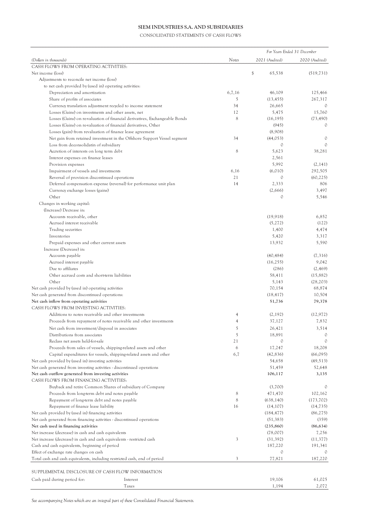## **SIEM INDUSTRIES S.A. AND SUBSIDIARIES**

## CONSOLIDATED STATEMENTS OF CASH FLOWS

|                                                                                                |                     |                         | For Years Ended 31 December |  |  |
|------------------------------------------------------------------------------------------------|---------------------|-------------------------|-----------------------------|--|--|
| (Dollars in thousands)                                                                         | Notes               | 2021 (Audited)          | 2020 (Audited)              |  |  |
| CASH FLOWS FROM OPERATING ACTIVITIES:                                                          |                     |                         |                             |  |  |
| Net income (loss)                                                                              |                     | \$<br>65,538            | (519, 731)                  |  |  |
| Adjustments to reconcile net income (loss)                                                     |                     |                         |                             |  |  |
| to net cash provided by (used in) operating activities:                                        |                     |                         |                             |  |  |
| Depreciation and amortization                                                                  | 6,7,16<br>5         | 46,109                  | 125,466                     |  |  |
| Share of profits of associates<br>Currency translation adjustment recycled to income statement | 34                  | (13, 455)<br>26,665     | 267,317<br>$\mathcal{O}$    |  |  |
| Losses (Gains) on investments and other assets, net                                            | 12                  | 5,475                   | 15,760                      |  |  |
| Losses (Gains) on revaluation of financial derivatives, Exchangeable Bonds                     | 8                   | (16, 195)               | (73, 490)                   |  |  |
| Losses (Gains) on re-valuation of financial derivatives, Other                                 |                     | (945)                   | $\circ$                     |  |  |
| Losses (gain) from revaluation of finance lease agreement                                      |                     | (8,908)                 |                             |  |  |
| Net gain from retained investment in the Offshore Support Vessel segment                       | 34                  | (44, 053)               | $\mathcal{O}$               |  |  |
| Loss from deconsolidatin of subsidiary                                                         |                     | $\mathcal{O}$           | $\mathcal{O}$               |  |  |
| Accretion of interests on long term debt                                                       | 8                   | 5,623                   | 38,281                      |  |  |
| Interest expenses on finance leases                                                            |                     | 2,561                   |                             |  |  |
| Provision expenses                                                                             |                     | 5,992                   | (2,141)                     |  |  |
| Impairment of vessels and investments                                                          | 6,16                | (6,010)                 | 292,505                     |  |  |
| Reversal of provision discontinued operations                                                  | 21                  | $\mathcal{O}$           | (60, 225)                   |  |  |
| Deferred compensation expense (reversal) for performance unit plan                             | 14                  | 2,333                   | 806                         |  |  |
| Currency exchange losses (gains)                                                               |                     | (2,666)                 | 3,497                       |  |  |
| Other                                                                                          |                     | $\mathcal{O}$           | 5,546                       |  |  |
| Changes in working capital:                                                                    |                     |                         |                             |  |  |
| (Increase) Decrease in:                                                                        |                     |                         |                             |  |  |
| Accounts receivable, other                                                                     |                     | (19, 918)               | 6,852                       |  |  |
| Accrued interest receivable                                                                    |                     | (5, 272)                | (122)                       |  |  |
| Trading securities                                                                             |                     | 1,400                   | 4,474                       |  |  |
| Inventories                                                                                    |                     | 5,420                   | 3,317                       |  |  |
| Prepaid expenses and other current assets                                                      |                     | 13,932                  | 5,590                       |  |  |
| Increase (Decrease) in:                                                                        |                     |                         |                             |  |  |
| Accounts payable                                                                               |                     | (40, 484)               | (7,316)                     |  |  |
| Accrued interest payable                                                                       |                     | (16, 255)               | 9,042                       |  |  |
| Due to affiliates                                                                              |                     | (286)                   | (2, 469)                    |  |  |
| Other accrued costs and short-term liabilities                                                 |                     | 58,411                  | (15,882)                    |  |  |
| Other                                                                                          |                     | 5,143                   | (28, 203)                   |  |  |
| Net cash provided by (used in) operating activities                                            |                     | 70,154                  | 68,874                      |  |  |
| Net cash generated from discontinued operations:                                               |                     | (18, 417)               | 10,504                      |  |  |
| Net cash inflow from operating activities<br>CASH FLOWS FROM INVESTING ACTIVITIES:             |                     | 51,736                  | 79,378                      |  |  |
| Additions to notes receivable and other investments                                            |                     | (2,192)                 | (12, 972)                   |  |  |
| Proceeds from repayment of notes receivable and other investments                              | 4<br>$\overline{4}$ | 37,127                  | 7,832                       |  |  |
|                                                                                                |                     |                         |                             |  |  |
| Net cash from investment/disposal in associates<br>Distributions from associates               | 5<br>5              | 26,421                  | 3,514<br>$\Omega$           |  |  |
| Reclass net assets held-for-sale                                                               | 21                  | 18,891<br>$\mathcal{O}$ | $\mathcal{O}$               |  |  |
| Proceeds from sales of vessels, shipping-related assets and other                              | 6                   | 17,247                  | 18,208                      |  |  |
| Capital expenditures for vessels, shipping-related assets and other                            | 6,7                 | (42, 836)               | (66,095)                    |  |  |
| Net cash provided by (used in) investing activities                                            |                     | 54,658                  | (49, 513)                   |  |  |
| Net cash generated from investing activities - discontinued operations                         |                     | 51,459                  | 52,648                      |  |  |
| Net cash outflow generated from investing activities                                           |                     | 106,117                 | 3,135                       |  |  |
| CASH FLOWS FROM FINANCING ACTIVITIES:                                                          |                     |                         |                             |  |  |
| Buyback and retire Common Shares of subsidiary of Company                                      |                     | (3,700)                 | $\mathcal{O}$               |  |  |
| Proceeds from long-term debt and notes payable                                                 | 8                   | 471,470                 | 102,162                     |  |  |
| Repayment of long-term debt and notes payable                                                  | 8                   | (638, 140)              | (173, 702)                  |  |  |
| Repayment of finance lease liability                                                           | 16                  | (14, 107)               | (14, 735)                   |  |  |
| Net cash provided by (used in) financing activities                                            |                     | (184, 477)              | (86, 275)                   |  |  |
| Net cash generated from financing activities - discontinued operations                         |                     | (51, 383)               | (359)                       |  |  |
| Net cash used in financing activities                                                          |                     | (235, 860)              | (86, 634)                   |  |  |
| Net increase (decrease) in cash and cash equivalents                                           |                     | (78,007)                | 7,256                       |  |  |
| Net increase (decrease) in cash and cash equivalents - restricted cash                         | 3                   | (31, 392)               | (11, 377)                   |  |  |
| Cash and cash equivalents, beginning of period                                                 |                     | 187,220                 | 191,341                     |  |  |
| Effect of exchange rate changes on cash                                                        |                     | $\mathcal{O}$           | $\mathbf{0}$                |  |  |
| Total cash and cash equivalents, including restricted cash, end of period                      | 3                   | 77,821                  | 187,220                     |  |  |
|                                                                                                |                     |                         |                             |  |  |
| SUPPLEMENTAL DISCLOSURE OF CASH FLOW INFORMATION                                               |                     |                         |                             |  |  |
| Cash paid during period for:<br>Interest                                                       |                     | 19,106                  | 61,025                      |  |  |
| Taxes                                                                                          |                     | 1,194                   | 2,072                       |  |  |

*See accompanying Notes which are an integral part of these Consolidated Financial Statements.*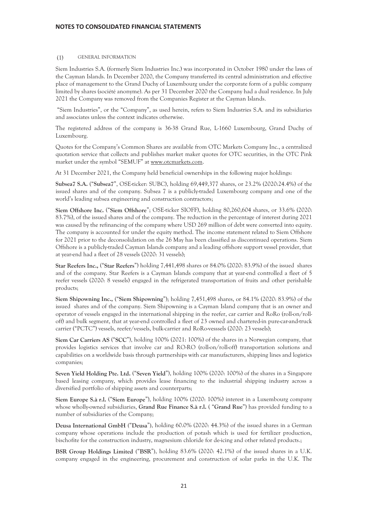#### **NOTES TO CONSOLIDATED FINANCIAL STATEMENTS**

#### (1) GENERAL INFORMATION

Siem Industries S.A. (formerly Siem Industries Inc.) was incorporated in October 1980 under the laws of the Cayman Islands. In December 2020, the Company transferred its central administration and effective place of management to the Grand Duchy of Luxembourg under the corporate form of a public company limited by shares (société anonyme). As per 31 December 2020 the Company had a dual residence. In July 2021 the Company was removed from the Companies Register at the Cayman Islands.

 "Siem Industries", or the "Company", as used herein, refers to Siem Industries S.A. and its subsidiaries and associates unless the context indicates otherwise.

The registered address of the company is 36-38 Grand Rue, L-1660 Luxembourg, Grand Duchy of Luxembourg.

Quotes for the Company's Common Shares are available from OTC Markets Company Inc., a centralized quotation service that collects and publishes market maker quotes for OTC securities, in the OTC Pink market under the symbol "SEMUF" at www.otcmarkets.com.

At 31 December 2021, the Company held beneficial ownerships in the following major holdings:

**Subsea7 S.A.** ("**Subsea7**", OSE-ticker: SUBC), holding 69,449,377 shares, or 23.2% (2020:24.4%) of the issued shares and of the company. Subsea 7 is a publicly-traded Luxembourg company and one of the world's leading subsea engineering and construction contractors;

**Siem Offshore Inc.** ("**Siem Offshore**"; OSE-ticker SIOFF), holding 80,260,604 shares, or 33.6% (2020: 83.7%), of the issued shares and of the company. The reduction in the percentage of interest during 2021 was caused by the refinancing of the company where USD 269 million of debt were converted into equity. The company is accounted for under the equity method. The income statement related to Siem Offshore for 2021 prior to the deconsolidation on the 26 May has been classified as discontinued operations. Siem Offshore is a publicly-traded Cayman Islands company and a leading offshore support vessel provider, that at year-end had a fleet of 28 vessels (2020: 31 vessels);

**Star Reefers Inc.,** ("**Star Reefers**") holding 7,441,498 shares or 84.0% (2020: 83.9%) of the issued shares and of the company. Star Reefers is a Cayman Islands company that at year-end controlled a fleet of 5 reefer vessels (2020: 8 vessels) engaged in the refrigerated transportation of fruits and other perishable products;

**Siem Shipowning Inc.,** ("**Siem Shipowning**"); holding 7,451,498 shares, or 84.1% (2020: 83.9%) of the issued shares and of the company. Siem Shipowning is a Cayman Island company that is an owner and operator of vessels engaged in the international shipping in the reefer, car carrier and RoRo (roll-on/rolloff) and bulk segment, that at year-end controlled a fleet of 23 owned and chartered-in pure-car-and-truck carrier ("PCTC") vessels, reefer/vessels, bulk-carrier and RoRo-vesssels (2020: 23 vessels);

**Siem Car Carriers AS** ("**SCC**"), holding 100% (2021: 100%) of the shares in a Norwegian company, that provides logistics services that involve car and RO-RO (roll-on/roll-off) transportation solutions and capabilities on a worldwide basis through partnerships with car manufacturers, shipping lines and logistics companies;

**Seven Yield Holding Pte. Ltd.** ("**Seven Yield**"), holding 100% (2020: 100%) of the shares in a Singapore based leasing company, which provides lease financing to the industrial shipping industry across a diversified portfolio of shipping assets and counterparts;

**Siem Europe S.à r.l.** ("**Siem Europe**"), holding 100% (2020: 100%) interest in a Luxembourg company whose wholly-owned subsidiaries, **Grand Rue Finance S.à r.l.** ( "**Grand Rue**") has provided funding to a number of subsidiaries of the Company;

**Deusa International GmbH (**"**Deusa**"**)**, holding 60.0% (2020: 44.3%) of the issued shares in a German company whose operations include the production of potash which is used for fertilizer production, bischofite for the construction industry, magnesium chloride for de-icing and other related products.;

**BSR Group Holdings Limited (**"**BSR**"**)**, holding 83.6% (2020: 42.1%) of the issued shares in a U.K. company engaged in the engineering, procurement and construction of solar parks in the U.K. The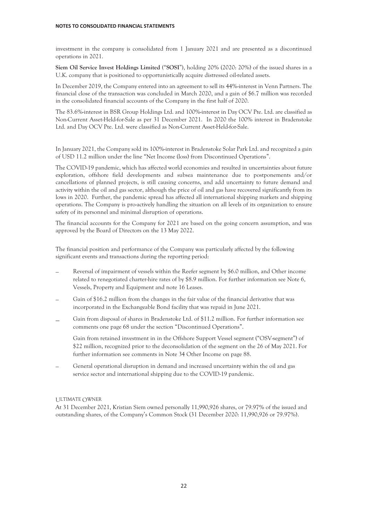investment in the company is consolidated from 1 January 2021 and are presented as a discontinued operations in 2021.

**Siem Oil Service Invest Holdings Limited (**"**SOSI**"**)**, holding 20% (2020: 20%) of the issued shares in a U.K. company that is positioned to opportunistically acquire distressed oil-related assets.

In December 2019, the Company entered into an agreement to sell its 44%-interest in Venn Partners. The financial close of the transaction was concluded in March 2020, and a gain of \$6.7 million was recorded in the consolidated financial accounts of the Company in the first half of 2020.

The 83.6%-interest in BSR Group Holdings Ltd. and 100%-interest in Day OCV Pte. Ltd. are classified as Non-Current Asset-Held-for-Sale as per 31 December 2021. In 2020 the 100% interest in Bradenstoke Ltd. and Day OCV Pte. Ltd. were classified as Non-Current Asset-Held-for-Sale.

In January 2021, the Company sold its 100%-interest in Bradenstoke Solar Park Ltd. and recognized a gain of USD 11.2 million under the line "Net Income (loss) from Discontinued Operations".

The COVID-19 pandemic, which has affected world economies and resulted in uncertainties about future exploration, offshore field developments and subsea maintenance due to postponements and/or cancellations of planned projects, is still causing concerns, and add uncertainty to future demand and activity within the oil and gas sector, although the price of oil and gas have recovered significantly from its lows in 2020. Further, the pandemic spread has affected all international shipping markets and shipping operations. The Company is pro-actively handling the situation on all levels of its organization to ensure safety of its personnel and minimal disruption of operations.

The financial accounts for the Company for 2021 are based on the going concern assumption, and was approved by the Board of Directors on the 13 May 2022.

The financial position and performance of the Company was particularly affected by the following significant events and transactions during the reporting period:

- Reversal of impairment of vessels within the Reefer segment by \$6.0 million, and Other income related to renegotiated charter-hire rates of by \$8.9 million. For further information see Note 6, Vessels, Property and Equipment and note 16 Leases.
- Gain of \$16.2 million from the changes in the fair value of the financial derivative that was incorporated in the Exchangeable Bond facility that was repaid in June 2021.
- Gain from disposal of shares in Bradenstoke Ltd. of \$11.2 million. For further information see comments one page 68 under the section "Discontinued Operations".

Gain from retained investment in in the Offshore Support Vessel segment ("OSV-segment") of \$22 million, recognized prior to the deconsolidation of the segment on the 26 of May 2021. For further information see comments in Note 34 Other Income on page 88.

 General operational disruption in demand and increased uncertainty within the oil and gas service sector and international shipping due to the COVID-19 pandemic.

## ULTIMATE OWNER

At 31 December 2021, Kristian Siem owned personally 11,990,926 shares, or 79.97% of the issued and outstanding shares, of the Company's Common Stock (31 December 2020: 11,990,926 or 79.97%).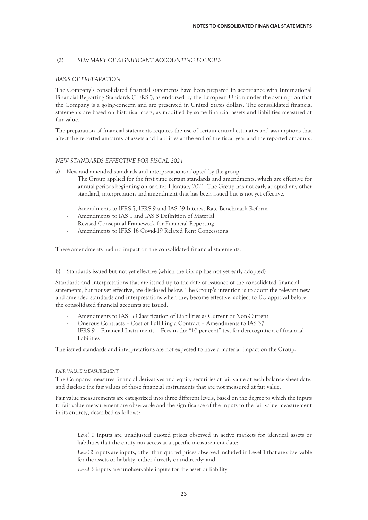## (2) *SUMMARY OF SIGNIFICANT ACCOUNTING POLICIES*

## *BASIS OF PREPARATION*

The Company's consolidated financial statements have been prepared in accordance with International Financial Reporting Standards ("IFRS"), as endorsed by the European Union under the assumption that the Company is a going-concern and are presented in United States dollars. The consolidated financial statements are based on historical costs, as modified by some financial assets and liabilities measured at fair value.

The preparation of financial statements requires the use of certain critical estimates and assumptions that affect the reported amounts of assets and liabilities at the end of the fiscal year and the reported amounts.

## *NEW STANDARDS EFFECTIVE FOR FISCAL 2021*

- a) New and amended standards and interpretations adopted by the group
	- The Group applied for the first time certain standards and amendments, which are effective for annual periods beginning on or after 1 January 2021. The Group has not early adopted any other standard, interpretation and amendment that has been issued but is not yet effective.
	- Amendments to IFRS 7, IFRS 9 and IAS 39 Interest Rate Benchmark Reform
	- Amendments to IAS 1 and IAS 8 Definition of Material
	- Revised Conseptual Framework for Financial Reporting
	- Amendments to IFRS 16 Covid-19 Related Rent Concessions

These amendments had no impact on the consolidated financial statements.

#### b) Standards issued but not yet effective (which the Group has not yet early adopted)

Standards and interpretations that are issued up to the date of issuance of the consolidated financial statements, but not yet effective, are disclosed below. The Group's intention is to adopt the relevant new and amended standards and interpretations when they become effective, subject to EU approval before the consolidated financial accounts are issued.

- Amendments to IAS 1: Classification of Liabilities as Current or Non-Current
- Onerous Contracts Cost of Fulfilling a Contract Amendments to IAS 37
- IFRS 9 Financial Instruments Fees in the "10 per cent" test for derecognition of financial liabilities

The issued standards and interpretations are not expected to have a material impact on the Group.

#### *FAIR VALUE MEASUREMENT*

The Company measures financial derivatives and equity securities at fair value at each balance sheet date, and disclose the fair values of those financial instruments that are not measured at fair value.

Fair value measurements are categorized into three different levels, based on the degree to which the inputs to fair value measurement are observable and the significance of the inputs to the fair value measurement in its entirety, described as follows:

- *Level 1* inputs are unadjusted quoted prices observed in active markets for identical assets or liabilities that the entity can access at a specific measurement date;
- Level 2 inputs are inputs, other than quoted prices observed included in Level 1 that are observable for the assets or liability, either directly or indirectly; and
- Level 3 inputs are unobservable inputs for the asset or liability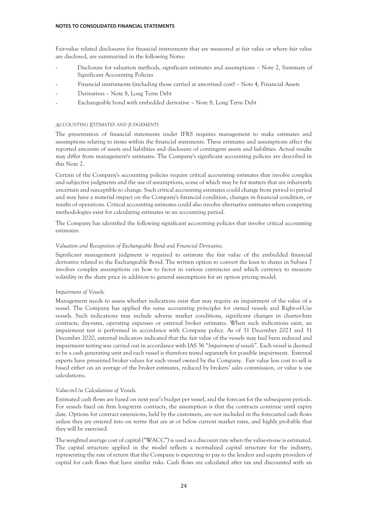Fair-value related disclosures for financial instruments that are measured at fair value or where fair value are disclosed, are summarized in the following Notes:

- Disclosure for valuation methods, significant estimates and assumptions Note 2, Summary of Significant Accounting Policies
- Financial instruments (including those carried at amortised cost) Note 4, Financial Assets
- Derivatives Note 8, Long Term Debt
- Exchangeable bond with embedded derivative Note 8, Long Term Debt

#### *ACCOUNTING ESTIMATES AND JUDGEMENTS*

The presentation of financial statements under IFRS requires management to make estimates and assumptions relating to items within the financial statements. These estimates and assumptions affect the reported amounts of assets and liabilities and disclosure of contingent assets and liabilities. Actual results may differ from management's estimates. The Company's significant accounting policies are described in this Note 2.

Certain of the Company's accounting policies require critical accounting estimates that involve complex and subjective judgments and the use of assumptions, some of which may be for matters that are inherently uncertain and susceptible to change. Such critical accounting estimates could change from period to period and may have a material impact on the Company's financial condition, changes in financial condition, or results of operations. Critical accounting estimates could also involve alternative estimates when competing methodologies exist for calculating estimates in an accounting period.

The Company has identified the following significant accounting policies that involve critical accounting estimates:

#### *Valuation and Recognition of Exchangeable Bond and Financial Derivative.*

Significant management judgment is required to estimate the fair value of the embedded financial derivative related to the Exchangeable Bond. The written option to convert the loan to shares in Subsea 7 involves complex assumptions on how to factor in various currencies and which currency to measure volatility in the share price in addition to general assumptions for an option pricing model.

#### *Impairment of Vessels.*

Management needs to assess whether indications exist that may require an impairment of the value of a vessel. The Company has applied the same accounting principles for owned vessels and Right-of-Use vessels. Such indications may include adverse market conditions, significant changes in charter-hire contracts, day-rates, operating expenses or external broker estimates. When such indications exist, an impairment test is performed in accordance with Company policy. As of 31 December 2021 and 31 December 2020, external indicators indicated that the fair value of the vessels may had been reduced and impairment testing was carried out in accordance with IAS 36 "*Impairment of vessels*". Each vessel is deemed to be a cash generating unit and each vessel is therefore tested separately for possible impairment. External experts have presented broker values for each vessel owned by the Company. Fair value less cost to sell is based either on an average of the broker estimates, reduced by brokers' sales commission, or value is use calculations.

#### *Value-in-Use Calculations of Vessels.*

Estimated cash flows are based on next year's budget per vessel, and the forecast for the subsequent periods. For vessels fixed on firm long-term contracts, the assumption is that the contracts continue until expiry date. Options for contract extensions, held by the customers, are not included in the forecasted cash flows unless they are entered into on terms that are at or below current market rates, and highly probable that they will be exercised.

The weighted average cost of capital ("WACC") is used as a discount rate when the value-in-use is estimated. The capital structure applied in the model reflects a normalized capital structure for the industry, representing the rate of return that the Company is expecting to pay to the lenders and equity providers of capital for cash flows that have similar risks. Cash flows are calculated after tax and discounted with an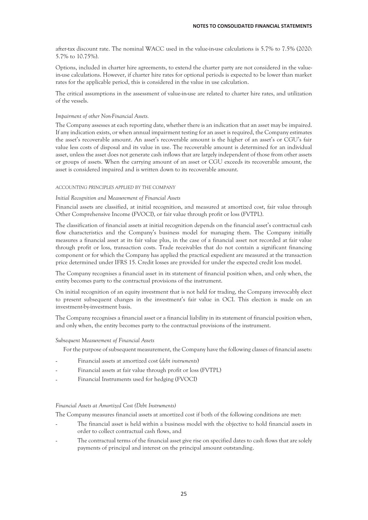after-tax discount rate. The nominal WACC used in the value-in-use calculations is 5.7% to 7.5% (2020: 5.7% to 10.75%).

Options, included in charter hire agreements, to extend the charter party are not considered in the valuein-use calculations. However, if charter hire rates for optional periods is expected to be lower than market rates for the applicable period, this is considered in the value in use calculation.

The critical assumptions in the assessment of value-in-use are related to charter hire rates, and utilization of the vessels.

#### *Impairment of other Non-Financial Assets.*

The Company assesses at each reporting date, whether there is an indication that an asset may be impaired. If any indication exists, or when annual impairment testing for an asset is required, the Company estimates the asset's recoverable amount. An asset's recoverable amount is the higher of an asset's or CGU's fair value less costs of disposal and its value in use. The recoverable amount is determined for an individual asset, unless the asset does not generate cash inflows that are largely independent of those from other assets or groups of assets. When the carrying amount of an asset or CGU exceeds its recoverable amount, the asset is considered impaired and is written down to its recoverable amount.

#### *ACCOUNTING PRINCIPLES APPLIED BY THE COMPANY*

#### *Initial Recognition and Measurement of Financial Assets*

Financial assets are classified, at initial recognition, and measured at amortized cost, fair value through Other Comprehensive Income (FVOCI), or fair value through profit or loss (FVTPL).

The classification of financial assets at initial recognition depends on the financial asset's contractual cash flow characteristics and the Company's business model for managing them. The Company initially measures a financial asset at its fair value plus, in the case of a financial asset not recorded at fair value through profit or loss, transaction costs. Trade receivables that do not contain a significant financing component or for which the Company has applied the practical expedient are measured at the transaction price determined under IFRS 15. Credit losses are provided for under the expected credit loss model.

The Company recognises a financial asset in its statement of financial position when, and only when, the entity becomes party to the contractual provisions of the instrument.

On initial recognition of an equity investment that is not held for trading, the Company irrevocably elect to present subsequent changes in the investment's fair value in OCI. This election is made on an investment-by-investment basis.

The Company recognises a financial asset or a financial liability in its statement of financial position when, and only when, the entity becomes party to the contractual provisions of the instrument.

#### *Subsequent Measurement of Financial Assets*

For the purpose of subsequent measurement, the Company have the following classes of financial assets:

- Financial assets at amortized cost (*debt instruments*)
- Financial assets at fair value through profit or loss (FVTPL)
- Financial Instruments used for hedging (FVOCI)

#### *Financial Assets at Amortized Cost (Debt Instruments)*

The Company measures financial assets at amortized cost if both of the following conditions are met:

- The financial asset is held within a business model with the objective to hold financial assets in order to collect contractual cash flows, and
- The contractual terms of the financial asset give rise on specified dates to cash flows that are solely payments of principal and interest on the principal amount outstanding.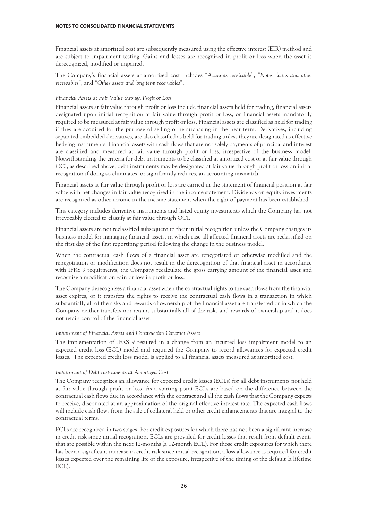Financial assets at amortized cost are subsequently measured using the effective interest (EIR) method and are subject to impairment testing. Gains and losses are recognized in profit or loss when the asset is derecognized, modified or impaired.

The Company's financial assets at amortized cost includes "*Accounts receivable*", "*Notes, loans and other receivables*", and "*Other assets and long term receivables*".

#### *Financial Assets at Fair Value through Profit or Loss*

Financial assets at fair value through profit or loss include financial assets held for trading, financial assets designated upon initial recognition at fair value through profit or loss, or financial assets mandatorily required to be measured at fair value through profit or loss. Financial assets are classified as held for trading if they are acquired for the purpose of selling or repurchasing in the near term. Derivatives, including separated embedded derivatives, are also classified as held for trading unless they are designated as effective hedging instruments. Financial assets with cash flows that are not solely payments of principal and interest are classified and measured at fair value through profit or loss, irrespective of the business model. Notwithstanding the criteria for debt instruments to be classified at amortized cost or at fair value through OCI, as described above, debt instruments may be designated at fair value through profit or loss on initial recognition if doing so eliminates, or significantly reduces, an accounting mismatch.

Financial assets at fair value through profit or loss are carried in the statement of financial position at fair value with net changes in fair value recognized in the income statement. Dividends on equity investments are recognized as other income in the income statement when the right of payment has been established.

This category includes derivative instruments and listed equity investments which the Company has not irrevocably elected to classify at fair value through OCI.

Financial assets are not reclassified subsequent to their initial recognition unless the Company changes its business model for managing financial assets, in which case all affected financial assets are reclassified on the first day of the first reportinng period following the change in the business model.

When the contractual cash flows of a financial asset are renegotiated or otherwise modified and the renegotiation or modification does not result in the derecognition of that financial asset in accordance with IFRS 9 requirments, the Company recalculate the gross carrying amount of the financial asset and recognise a modification gain or loss in profit or loss.

The Company derecognises a financial asset when the contractual rights to the cash flows from the financial asset expires, or it transfers the rights to receive the contractual cash flows in a transaction in which substantially all of the risks and rewards of ownership of the financial asset are transferred or in which the Company neither transfers nor retains substantially all of the risks and rewards of ownership and it does not retain control of the financial asset.

#### *Impairment of Financial Assets and Construction Contract Assets*

The implementation of IFRS 9 resulted in a change from an incurred loss impairment model to an expected credit loss (ECL) model and required the Company to record allowances for expected credit losses. The expected credit loss model is applied to all financial assets measured at amortized cost.

#### *Impairment of Debt Instruments at Amortized Cost*

The Company recognizes an allowance for expected credit losses (ECLs) for all debt instruments not held at fair value through profit or loss. As a starting point ECLs are based on the difference between the contractual cash flows due in accordance with the contract and all the cash flows that the Company expects to receive, discounted at an approximation of the original effective interest rate. The expected cash flows will include cash flows from the sale of collateral held or other credit enhancements that are integral to the contractual terms.

ECLs are recognized in two stages. For credit exposures for which there has not been a significant increase in credit risk since initial recognition, ECLs are provided for credit losses that result from default events that are possible within the next 12-months (a 12-month ECL). For those credit exposures for which there has been a significant increase in credit risk since initial recognition, a loss allowance is required for credit losses expected over the remaining life of the exposure, irrespective of the timing of the default (a lifetime ECL).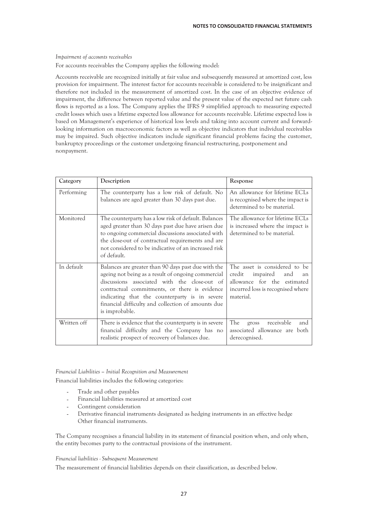#### *Impairment of accounts receivables*

For accounts receivables the Company applies the following model:

Accounts receivable are recognized initially at fair value and subsequently measured at amortized cost, less provision for impairment. The interest factor for accounts receivable is considered to be insignificant and therefore not included in the measurement of amortized cost. In the case of an objective evidence of impairment, the difference between reported value and the present value of the expected net future cash flows is reported as a loss. The Company applies the IFRS 9 simplified approach to measuring expected credit losses which uses a lifetime expected loss allowance for accounts receivable. Lifetime expected loss is based on Management's experience of historical loss levels and taking into account current and forwardlooking information on macroeconomic factors as well as objective indicators that individual receivables may be impaired. Such objective indicators include significant financial problems facing the customer, bankruptcy proceedings or the customer undergoing financial restructuring, postponement and nonpayment.

| Category    | Description                                                                                                                                                                                                                                                                                                                         | Response                                                                                                                                          |
|-------------|-------------------------------------------------------------------------------------------------------------------------------------------------------------------------------------------------------------------------------------------------------------------------------------------------------------------------------------|---------------------------------------------------------------------------------------------------------------------------------------------------|
| Performing  | The counterparty has a low risk of default. No<br>balances are aged greater than 30 days past due.                                                                                                                                                                                                                                  | An allowance for lifetime ECLs<br>is recognised where the impact is<br>determined to be material.                                                 |
| Monitored   | The counterparty has a low risk of default. Balances<br>aged greater than 30 days past due have arisen due<br>to ongoing commercial discussions associated with<br>the close-out of contractual requirements and are<br>not considered to be indicative of an increased risk<br>of default.                                         | The allowance for lifetime ECLs<br>is increased where the impact is<br>determined to be material.                                                 |
| In default  | Balances are greater than 90 days past due with the<br>ageing not being as a result of ongoing commercial<br>discussions associated with the close-out of<br>contractual commitments, or there is evidence<br>indicating that the counterparty is in severe<br>financial difficulty and collection of amounts due<br>is improbable. | The asset is considered to be<br>credit<br>impaired<br>and<br>an<br>allowance for the estimated<br>incurred loss is recognised where<br>material. |
| Written off | There is evidence that the counterparty is in severe<br>financial difficulty and the Company has no<br>realistic prospect of recovery of balances due.                                                                                                                                                                              | The<br>receivable<br>gross<br>and<br>associated allowance are both<br>derecognised.                                                               |

*Financial Liabilities – Initial Recognition and Measurement* Financial liabilities includes the following categories:

- Trade and other payables
- Financial liabilities measured at amortized cost
- Contingent consideration
- Derivative financial instruments designated as hedging instruments in an effective hedge Other financial instruments.

The Company recognises a financial liability in its statement of financial position when, and only when, the entity becomes party to the contractual provisions of the instrument.

#### *Financial liabilities - Subsequent Measurement*

The measurement of financial liabilities depends on their classification, as described below.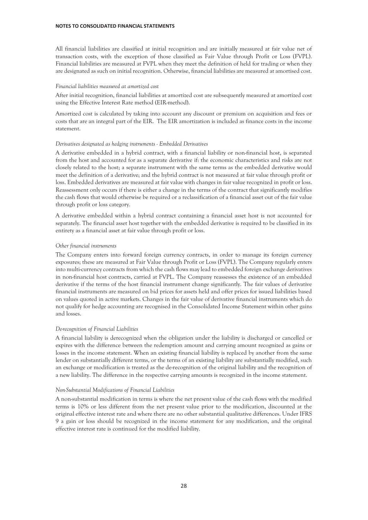#### **NOTES TO CONSOLIDATED FINANCIAL STATEMENTS**

All financial liabilities are classified at initial recognition and are initially measured at fair value net of transaction costs, with the exception of those classified as Fair Value through Profit or Loss (FVPL). Financial liabilities are measured at FVPL when they meet the definition of held for trading or when they are designated as such on initial recognition. Otherwise, financial liabilities are measured at amortised cost.

#### *Financial liabilities measured at amortized cost*

After initial recognition, financial liabilities at amortized cost are subsequently measured at amortized cost using the Effective Interest Rate method (EIR-method).

Amortized cost is calculated by taking into account any discount or premium on acquisition and fees or costs that are an integral part of the EIR. The EIR amortization is included as finance costs in the income statement.

#### *Derivatives designated as hedging instruments - Embedded Derivatives*

A derivative embedded in a hybrid contract, with a financial liability or non-financial host, is separated from the host and accounted for as a separate derivative if: the economic characteristics and risks are not closely related to the host; a separate instrument with the same terms as the embedded derivative would meet the definition of a derivative; and the hybrid contract is not measured at fair value through profit or loss. Embedded derivatives are measured at fair value with changes in fair value recognized in profit or loss. Reassessment only occurs if there is either a change in the terms of the contract that significantly modifies the cash flows that would otherwise be required or a reclassification of a financial asset out of the fair value through profit or loss category.

A derivative embedded within a hybrid contract containing a financial asset host is not accounted for separately. The financial asset host together with the embedded derivative is required to be classified in its entirety as a financial asset at fair value through profit or loss.

#### *Other financial instruments*

The Company enters into forward foreign currency contracts, in order to manage its foreign currency exposures; these are measured at Fair Value through Profit or Loss (FVPL). The Company regularly enters into multi-currency contracts from which the cash flows may lead to embedded foreign exchange derivatives in non-financial host contracts, carried at FVPL. The Company reassesses the existence of an embedded derivative if the terms of the host financial instrument change significantly. The fair values of derivative financial instruments are measured on bid prices for assets held and offer prices for issued liabilities based on values quoted in active markets. Changes in the fair value of derivative financial instruments which do not qualify for hedge accounting are recognised in the Consolidated Income Statement within other gains and losses.

#### *De-recognition of Financial Liabilities*

A financial liability is derecognized when the obligation under the liability is discharged or cancelled or expires with the difference between the redemption amount and carrying amount recognized as gains or losses in the income statement. When an existing financial liability is replaced by another from the same lender on substantially different terms, or the terms of an existing liability are substantially modified, such an exchange or modification is treated as the de-recognition of the original liability and the recognition of a new liability. The difference in the respective carrying amounts is recognized in the income statement.

#### *Non-Substantial Modifications of Financial Liabilities*

A non-substantial modification in terms is where the net present value of the cash flows with the modified terms is 10% or less different from the net present value prior to the modification, discounted at the original effective interest rate and where there are no other substantial qualitative differences. Under IFRS 9 a gain or loss should be recognized in the income statement for any modification, and the original effective interest rate is continued for the modified liability.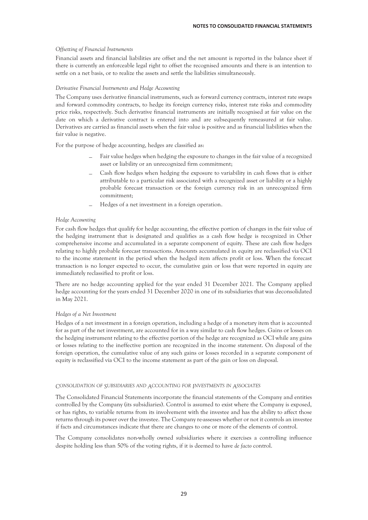#### *Offsetting of Financial Instruments*

Financial assets and financial liabilities are offset and the net amount is reported in the balance sheet if there is currently an enforceable legal right to offset the recognised amounts and there is an intention to settle on a net basis, or to realize the assets and settle the liabilities simultaneously.

#### *Derivative Financial Instruments and Hedge Accounting*

The Company uses derivative financial instruments, such as forward currency contracts, interest rate swaps and forward commodity contracts, to hedge its foreign currency risks, interest rate risks and commodity price risks, respectively. Such derivative financial instruments are initially recognised at fair value on the date on which a derivative contract is entered into and are subsequently remeasured at fair value. Derivatives are carried as financial assets when the fair value is positive and as financial liabilities when the fair value is negative.

For the purpose of hedge accounting, hedges are classified as:

- Fair value hedges when hedging the exposure to changes in the fair value of a recognized asset or liability or an unrecognized firm commitment;
- Cash flow hedges when hedging the exposure to variability in cash flows that is either attributable to a particular risk associated with a recognized asset or liability or a highly probable forecast transaction or the foreign currency risk in an unrecognized firm commitment;
- Hedges of a net investment in a foreign operation.

#### *Hedge Accounting*

For cash flow hedges that qualify for hedge accounting, the effective portion of changes in the fair value of the hedging instrument that is designated and qualifies as a cash flow hedge is recognized in Other comprehensive income and accumulated in a separate component of equity. These are cash flow hedges relating to highly probable forecast transactions. Amounts accumulated in equity are reclassified via OCI to the income statement in the period when the hedged item affects profit or loss. When the forecast transaction is no longer expected to occur, the cumulative gain or loss that were reported in equity are immediately reclassified to profit or loss.

There are no hedge accounting applied for the year ended 31 December 2021. The Company applied hedge accounting for the years ended 31 December 2020 in one of its subsidiaries that was deconsolidated in May 2021.

#### *Hedges of a Net Investment*

Hedges of a net investment in a foreign operation, including a hedge of a monetary item that is accounted for as part of the net investment, are accounted for in a way similar to cash flow hedges. Gains or losses on the hedging instrument relating to the effective portion of the hedge are recognized as OCI while any gains or losses relating to the ineffective portion are recognized in the income statement. On disposal of the foreign operation, the cumulative value of any such gains or losses recorded in a separate component of equity is reclassified via OCI to the income statement as part of the gain or loss on disposal.

#### *CONSOLIDATION OF SUBSIDIARIES AND ACCOUNTING FOR INVESTMENTS IN ASSOCIATES*

The Consolidated Financial Statements incorporate the financial statements of the Company and entities controlled by the Company (its subsidiaries). Control is assumed to exist where the Company is exposed, or has rights, to variable returns from its involvement with the investee and has the ability to affect those returns through its power over the investee. The Company re-assesses whether or not it controls an investee if facts and circumstances indicate that there are changes to one or more of the elements of control.

The Company consolidates non-wholly owned subsidiaries where it exercises a controlling influence despite holding less than 50% of the voting rights, if it is deemed to have *de facto* control.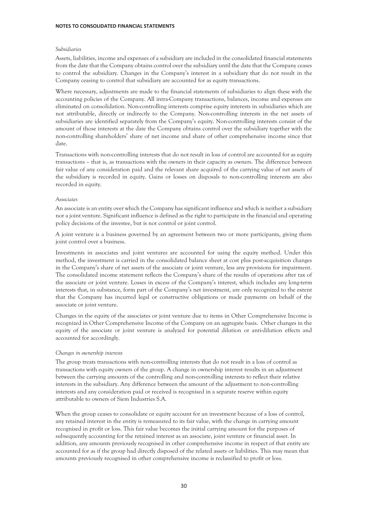#### *Subsidiaries*

Assets, liabilities, income and expenses of a subsidiary are included in the consolidated financial statements from the date that the Company obtains control over the subsidiary until the date that the Company ceases to control the subsidiary. Changes in the Company's interest in a subsidiary that do not result in the Company ceasing to control that subsidiary are accounted for as equity transactions.

Where necessary, adjustments are made to the financial statements of subsidiaries to align these with the accounting policies of the Company. All intra-Company transactions, balances, income and expenses are eliminated on consolidation. Non-controlling interests comprise equity interests in subsidiaries which are not attributable, directly or indirectly to the Company. Non-controlling interests in the net assets of subsidiaries are identified separately from the Company's equity. Non-controlling interests consist of the amount of those interests at the date the Company obtains control over the subsidiary together with the non-controlling shareholders' share of net income and share of other comprehensive income since that date.

Transactions with non-controlling interests that do not result in loss of control are accounted for as equity transactions – that is, as transactions with the owners in their capacity as owners. The difference between fair value of any consideration paid and the relevant share acquired of the carrying value of net assets of the subsidiary is recorded in equity. Gains or losses on disposals to non-controlling interests are also recorded in equity.

#### *Associates*

An associate is an entity over which the Company has significant influence and which is neither a subsidiary nor a joint venture. Significant influence is defined as the right to participate in the financial and operating policy decisions of the investee, but is not control or joint control.

A joint venture is a business governed by an agreement between two or more participants, giving them joint control over a business.

Investments in associates and joint ventures are accounted for using the equity method. Under this method, the investment is carried in the consolidated balance sheet at cost plus post-acquisition changes in the Company's share of net assets of the associate or joint venture, less any provisions for impairment. The consolidated income statement reflects the Company's share of the results of operations after tax of the associate or joint venture. Losses in excess of the Company's interest, which includes any long-term interests that, in substance, form part of the Company's net investment, are only recognized to the extent that the Company has incurred legal or constructive obligations or made payments on behalf of the associate or joint venture.

Changes in the equity of the associates or joint venture due to items in Other Comprehensive Income is recognized in Other Comprehensive Income of the Company on an aggregate basis. Other changes in the equity of the associate or joint venture is analyzed for potential dilution or anti-dilution effects and accounted for accordingly.

#### *Changes in ownership interests*

The group treats transactions with non-controlling interests that do not result in a loss of control as transactions with equity owners of the group. A change in ownership interest results in an adjustment between the carrying amounts of the controlling and non-controlling interests to reflect their relative interests in the subsidiary. Any difference between the amount of the adjustment to non-controlling interests and any consideration paid or received is recognised in a separate reserve within equity attributable to owners of Siem Industries S.A.

When the group ceases to consolidate or equity account for an investment because of a loss of control, any retained interest in the entity is remeasured to its fair value, with the change in carrying amount recognised in profit or loss. This fair value becomes the initial carrying amount for the purposes of subsequently accounting for the retained interest as an associate, joint venture or financial asset. In addition, any amounts previously recognised in other comprehensive income in respect of that entity are accounted for as if the group had directly disposed of the related assets or liabilities. This may mean that amounts previously recognised in other comprehensive income is reclassified to profit or loss.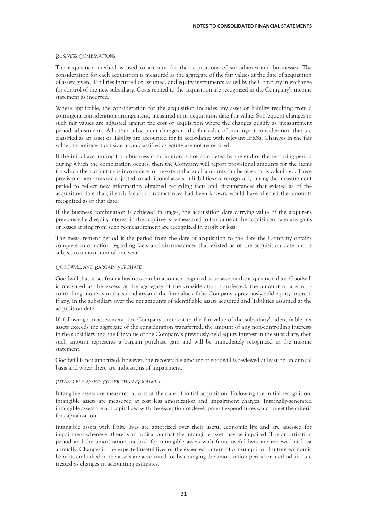#### *BUSINESS COMBINATIONS*

The acquisition method is used to account for the acquisitions of subsidiaries and businesses. The consideration for each acquisition is measured as the aggregate of the fair values at the date of acquisition of assets given, liabilities incurred or assumed, and equity instruments issued by the Company in exchange for control of the new subsidiary. Costs related to the acquisition are recognized in the Company's income statement as incurred.

Where applicable, the consideration for the acquisition includes any asset or liability resulting from a contingent consideration arrangement, measured at its acquisition date fair value. Subsequent changes in such fair values are adjusted against the cost of acquisition where the changes qualify as measurement period adjustments. All other subsequent changes in the fair value of contingent consideration that are classified as an asset or liability are accounted for in accordance with relevant IFRSs. Changes in the fair value of contingent consideration classified as equity are not recognized.

If the initial accounting for a business combination is not completed by the end of the reporting period during which the combination occurs, then the Company will report provisional amounts for the items for which the accounting is incomplete to the extent that such amounts can be reasonably calculated. These provisional amounts are adjusted, or additional assets or liabilities are recognized, during the measurement period to reflect new information obtained regarding facts and circumstances that existed as of the acquisition date that, if such facts or circumstances had been known, would have affected the amounts recognized as of that date.

If the business combination is achieved in stages, the acquisition date carrying value of the acquirer's previously held equity interest in the acquiree is re**-**measured to fair value at the acquisition date; any gains or losses arising from such re-measurement are recognized in profit or loss.

The measurement period is the period from the date of acquisition to the date the Company obtains complete information regarding facts and circumstances that existed as of the acquisition date and is subject to a maximum of one year.

#### *GOODWILL AND BARGAIN PURCHASE*

Goodwill that arises from a business combination is recognized as an asset at the acquisition date. Goodwill is measured as the excess of the aggregate of the consideration transferred, the amount of any noncontrolling interests in the subsidiary and the fair value of the Company's previously-held equity interest, if any, in the subsidiary over the net amounts of identifiable assets acquired and liabilities assumed at the acquisition date.

If, following a re-assessment, the Company's interest in the fair value of the subsidiary's identifiable net assets exceeds the aggregate of the consideration transferred, the amount of any non-controlling interests in the subsidiary and the fair value of the Company's previously-held equity interest in the subsidiary, then such amount represents a bargain purchase gain and will be immediately recognized in the income statement.

Goodwill is not amortized; however, the recoverable amount of goodwill is reviewed at least on an annual basis and when there are indications of impairment.

#### *INTANGIBLE ASSETS OTHER THAN GOODWILL*

Intangible assets are measured at cost at the date of initial acquisition. Following the initial recognition, intangible assets are measured at cost less amortization and impairment charges. Internally-generated intangible assets are not capitalized with the exception of development expenditures which meet the criteria for capitalization.

Intangible assets with finite lives are amortized over their useful economic life and are assessed for impairment whenever there is an indication that the intangible asset may be impaired. The amortization period and the amortization method for intangible assets with finite useful lives are reviewed at least annually. Changes in the expected useful lives or the expected pattern of consumption of future economic benefits embodied in the assets are accounted for by changing the amortization period or method and are treated as changes in accounting estimates.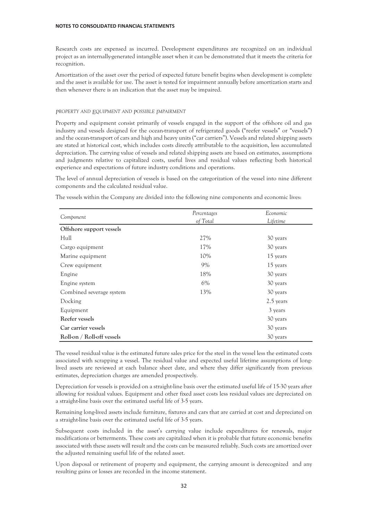Research costs are expensed as incurred. Development expenditures are recognized on an individual project as an internally-generated intangible asset when it can be demonstrated that it meets the criteria for recognition.

Amortization of the asset over the period of expected future benefit begins when development is complete and the asset is available for use. The asset is tested for impairment annually before amortization starts and then whenever there is an indication that the asset may be impaired.

#### *PROPERTY AND EQUIPMENT AND POSSIBLE IMPAIRMENT*

Property and equipment consist primarily of vessels engaged in the support of the offshore oil and gas industry and vessels designed for the ocean-transport of refrigerated goods ("reefer vessels" or "vessels") and the ocean-transport of cars and high and heavy units ("car carriers"). Vessels and related shipping assets are stated at historical cost, which includes costs directly attributable to the acquisition, less accumulated depreciation. The carrying value of vessels and related shipping assets are based on estimates, assumptions and judgments relative to capitalized costs, useful lives and residual values reflecting both historical experience and expectations of future industry conditions and operations.

The level of annual depreciation of vessels is based on the categorization of the vessel into nine different components and the calculated residual value.

The vessels within the Company are divided into the following nine components and economic lives:

|                            | Percentages | Economic  |
|----------------------------|-------------|-----------|
| Component                  | of Total    | Lifetime  |
| Offshore support vessels   |             |           |
| Hull                       | 27%         | 30 years  |
| Cargo equipment            | 17%         | 30 years  |
| Marine equipment           | 10%         | 15 years  |
| Crew equipment             | 9%          | 15 years  |
| Engine                     | 18%         | 30 years  |
| Engine system              | 6%          | 30 years  |
| Combined severage system   | 13%         | 30 years  |
| Docking                    |             | 2.5 years |
| Equipment                  |             | 3 years   |
| Reefer vessels             |             | 30 years  |
| Car carrier vessels        |             | 30 years  |
| Roll-on / Roll-off vessels |             | 30 years  |

The vessel residual value is the estimated future sales price for the steel in the vessel less the estimated costs associated with scrapping a vessel. The residual value and expected useful lifetime assumptions of longlived assets are reviewed at each balance sheet date, and where they differ significantly from previous estimates, depreciation charges are amended prospectively.

Depreciation for vessels is provided on a straight-line basis over the estimated useful life of 15-30 years after allowing for residual values. Equipment and other fixed asset costs less residual values are depreciated on a straight-line basis over the estimated useful life of 3-5 years.

Remaining long-lived assets include furniture, fixtures and cars that are carried at cost and depreciated on a straight-line basis over the estimated useful life of 3-5 years.

Subsequent costs included in the asset's carrying value include expenditures for renewals, major modifications or betterments. These costs are capitalized when it is probable that future economic benefits associated with these assets will result and the costs can be measured reliably. Such costs are amortized over the adjusted remaining useful life of the related asset.

Upon disposal or retirement of property and equipment, the carrying amount is derecognized and any resulting gains or losses are recorded in the income statement.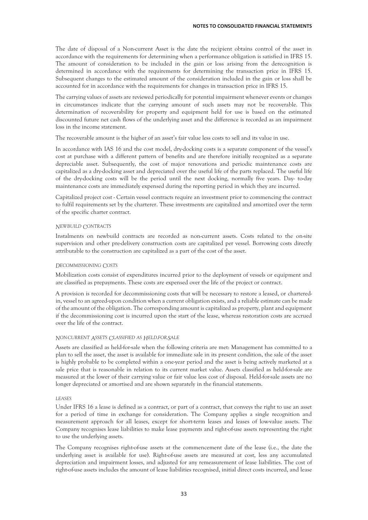The date of disposal of a Non-current Asset is the date the recipient obtains control of the asset in accordance with the requirements for determining when a performance obligation is satisfied in IFRS 15. The amount of consideration to be included in the gain or loss arising from the derecognition is determined in accordance with the requirements for determining the transaction price in IFRS 15. Subsequent changes to the estimated amount of the consideration included in the gain or loss shall be accounted for in accordance with the requirements for changes in transaction price in IFRS 15.

The carrying values of assets are reviewed periodically for potential impairment whenever events or changes in circumstances indicate that the carrying amount of such assets may not be recoverable. This determination of recoverability for property and equipment held for use is based on the estimated discounted future net cash flows of the underlying asset and the difference is recorded as an impairment loss in the income statement.

The recoverable amount is the higher of an asset's fair value less costs to sell and its value in use.

In accordance with IAS 16 and the cost model, dry-docking costs is a separate component of the vessel's cost at purchase with a different pattern of benefits and are therefore initially recognized as a separate depreciable asset. Subsequently, the cost of major renovations and periodic maintenance costs are capitalized as a dry-docking asset and depreciated over the useful life of the parts replaced. The useful life of the dry-docking costs will be the period until the next docking, normally five years. Day- to-day maintenance costs are immediately expensed during the reporting period in which they are incurred.

Capitalized project cost - Certain vessel contracts require an investment prior to commencing the contract to fulfil requirements set by the charterer. These investments are capitalized and amortized over the term of the specific charter contract.

#### *NEWBUILD CONTRACTS*

Instalments on newbuild contracts are recorded as non-current assets. Costs related to the on-site supervision and other pre-delivery construction costs are capitalized per vessel. Borrowing costs directly attributable to the construction are capitalized as a part of the cost of the asset.

#### *DECOMMISSIONING COSTS*

Mobilization costs consist of expenditures incurred prior to the deployment of vessels or equipment and are classified as prepayments. These costs are expensed over the life of the project or contract.

A provision is recorded for decommissioning costs that will be necessary to restore a leased, or charteredin, vessel to an agreed-upon condition when a current obligation exists, and a reliable estimate can be made of the amount of the obligation. The corresponding amount is capitalized as property, plant and equipment if the decommissioning cost is incurred upon the start of the lease, whereas restoration costs are accrued over the life of the contract.

## *NON-CURRENT ASSETS CLASSIFIED AS HELD-FOR-SALE*

Assets are classified as held-for-sale when the following criteria are met: Management has committed to a plan to sell the asset, the asset is available for immediate sale in its present condition, the sale of the asset is highly probable to be completed within a one-year period and the asset is being actively marketed at a sale price that is reasonable in relation to its current market value. Assets classified as held-for-sale are measured at the lower of their carrying value or fair value less cost of disposal. Held-for-sale assets are no longer depreciated or amortised and are shown separately in the financial statements.

#### *LEASES*

Under IFRS 16 a lease is defined as a contract, or part of a contract, that conveys the right to use an asset for a period of time in exchange for consideration. The Company applies a single recognition and measurement approach for all leases, except for short-term leases and leases of low-value assets. The Company recognises lease liabilities to make lease payments and right-of-use assets representing the right to use the underlying assets.

The Company recognises right-of-use assets at the commencement date of the lease (i.e., the date the underlying asset is available for use). Right-of-use assets are measured at cost, less any accumulated depreciation and impairment losses, and adjusted for any remeasurement of lease liabilities. The cost of right-of-use assets includes the amount of lease liabilities recognised, initial direct costs incurred, and lease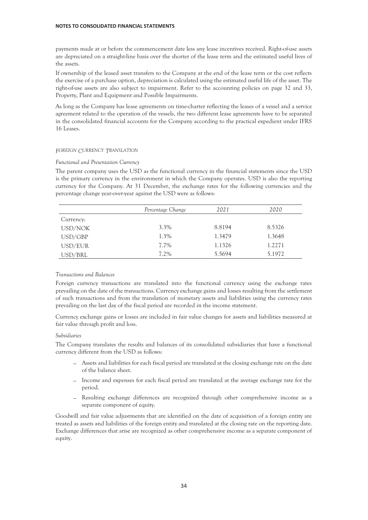#### **NOTES TO CONSOLIDATED FINANCIAL STATEMENTS**

payments made at or before the commencement date less any lease incentives received. Right-of-use assets are depreciated on a straight-line basis over the shorter of the lease term and the estimated useful lives of the assets.

If ownership of the leased asset transfers to the Company at the end of the lease term or the cost reflects the exercise of a purchase option, depreciation is calculated using the estimated useful life of the asset. The right-of-use assets are also subject to impairment. Refer to the accounting policies on page 32 and 33, Property, Plant and Equipment and Possible Impairments.

As long as the Company has lease agreements on time-charter reflecting the leases of a vessel and a service agreement related to the operation of the vessels, the two different lease agreements have to be separated in the consolidated financial accounts for the Company according to the practical expedient under IFRS 16 Leases.

#### *FOREIGN CURRENCY TRANSLATION*

### *Functional and Presentation Currency*

The parent company uses the USD as the functional currency in the financial statements since the USD is the primary currency in the environment in which the Company operates. USD is also the reporting currency for the Company. At 31 December, the exchange rates for the following currencies and the percentage change year-over-year against the USD were as follows:

|           | Percentage Change | 2021   | 2020   |
|-----------|-------------------|--------|--------|
| Currency: |                   |        |        |
| USD/NOK   | 3.3%              | 8.8194 | 8.5326 |
| USD/GBP   | 1.3%              | 1.3479 | 1.3648 |
| USD/EUR   | 7.7%              | 1.1326 | 1.2271 |
| USD/BRL   | 7.2%              | 5.5694 | 5.1972 |

## *Transactions and Balances*

Foreign currency transactions are translated into the functional currency using the exchange rates prevailing on the date of the transactions. Currency exchange gains and losses resulting from the settlement of such transactions and from the translation of monetary assets and liabilities using the currency rates prevailing on the last day of the fiscal period are recorded in the income statement.

Currency exchange gains or losses are included in fair value changes for assets and liabilities measured at fair value through profit and loss.

## *Subsidiaries*

The Company translates the results and balances of its consolidated subsidiaries that have a functional currency different from the USD as follows:

- Assets and liabilities for each fiscal period are translated at the closing exchange rate on the date of the balance sheet.
- Income and expenses for each fiscal period are translated at the average exchange rate for the period.
- Resulting exchange differences are recognized through other comprehensive income as a separate component of equity.

Goodwill and fair value adjustments that are identified on the date of acquisition of a foreign entity are treated as assets and liabilities of the foreign entity and translated at the closing rate on the reporting date. Exchange differences that arise are recognized as other comprehensive income as a separate component of equity.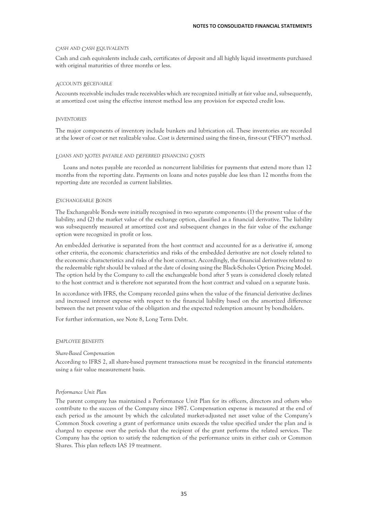## *CASH AND CASH EQUIVALENTS*

Cash and cash equivalents include cash, certificates of deposit and all highly liquid investments purchased with original maturities of three months or less.

## *ACCOUNTS RECEIVABLE*

Accounts receivable includes trade receivables which are recognized initially at fair value and, subsequently, at amortized cost using the effective interest method less any provision for expected credit loss.

#### *INVENTORIES*

The major components of inventory include bunkers and lubrication oil. These inventories are recorded at the lower of cost or net realizable value. Cost is determined using the first-in, first-out ("FIFO") method.

### *LOANS AND NOTES PAYABLE AND DEFERRED FINANCING COSTS*

 Loans and notes payable are recorded as noncurrent liabilities for payments that extend more than 12 months from the reporting date. Payments on loans and notes payable due less than 12 months from the reporting date are recorded as current liabilities.

#### *EXCHANGEABLE BONDS*

The Exchangeable Bonds were initially recognised in two separate components: (1) the present value of the liability; and (2) the market value of the exchange option, classified as a financial derivative. The liability was subsequently measured at amortized cost and subsequent changes in the fair value of the exchange option were recognized in profit or loss.

An embedded derivative is separated from the host contract and accounted for as a derivative if, among other criteria, the economic characteristics and risks of the embedded derivative are not closely related to the economic characteristics and risks of the host contract. Accordingly, the financial derivatives related to the redeemable right should be valued at the date of closing using the Black-Scholes Option Pricing Model. The option held by the Company to call the exchangeable bond after 5 years is considered closely related to the host contract and is therefore not separated from the host contract and valued on a separate basis.

In accordance with IFRS, the Company recorded gains when the value of the financial derivative declines and increased interest expense with respect to the financial liability based on the amortized difference between the net present value of the obligation and the expected redemption amount by bondholders.

For further information, see Note 8, Long Term Debt.

### *EMPLOYEE BENEFITS*

#### *Share-Based Compensation*

According to IFRS 2, all share-based payment transactions must be recognized in the financial statements using a fair value measurement basis.

#### *Performance Unit Plan*

The parent company has maintained a Performance Unit Plan for its officers, directors and others who contribute to the success of the Company since 1987. Compensation expense is measured at the end of each period as the amount by which the calculated market-adjusted net asset value of the Company's Common Stock covering a grant of performance units exceeds the value specified under the plan and is charged to expense over the periods that the recipient of the grant performs the related services. The Company has the option to satisfy the redemption of the performance units in either cash or Common Shares. This plan reflects IAS 19 treatment.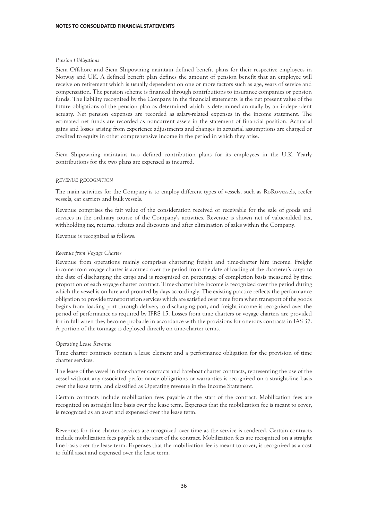## *Pension Obligations*

Siem Offshore and Siem Shipowning maintain defined benefit plans for their respective employees in Norway and UK. A defined benefit plan defines the amount of pension benefit that an employee will receive on retirement which is usually dependent on one or more factors such as age, years of service and compensation. The pension scheme is financed through contributions to insurance companies or pension funds. The liability recognized by the Company in the financial statements is the net present value of the future obligations of the pension plan as determined which is determined annually by an independent actuary. Net pension expenses are recorded as salary-related expenses in the income statement. The estimated net funds are recorded as noncurrent assets in the statement of financial position. Actuarial gains and losses arising from experience adjustments and changes in actuarial assumptions are charged or credited to equity in other comprehensive income in the period in which they arise.

Siem Shipowning maintains two defined contribution plans for its employees in the U.K. Yearly contributions for the two plans are expensed as incurred.

### *REVENUE RECOGNITION*

The main activities for the Company is to employ different types of vessels, such as RoRo-vessels, reefer vessels, car carriers and bulk vessels.

Revenue comprises the fair value of the consideration received or receivable for the sale of goods and services in the ordinary course of the Company's activities. Revenue is shown net of value-added tax, withholding tax, returns, rebates and discounts and after elimination of sales within the Company.

Revenue is recognized as follows:

### *Revenue from Voyage Charter*

Revenue from operations mainly comprises chartering freight and time-charter hire income. Freight income from voyage charter is accrued over the period from the date of loading of the charterer's cargo to the date of discharging the cargo and is recognised on percentage of completion basis measured by time proportion of each voyage charter contract. Time-charter hire income is recognized over the period during which the vessel is on hire and prorated by days accordingly. The existing practice reflects the performance obligation to provide transportation services which are satisfied over time from when transport of the goods begins from loading port through delivery to discharging port, and freight income is recognised over the period of performance as required by IFRS 15. Losses from time charters or voyage charters are provided for in full when they become probable in accordance with the provisions for onerous contracts in IAS 37. A portion of the tonnage is deployed directly on time-charter terms.

#### *Operating Lease Revenue*

Time charter contracts contain a lease element and a performance obligation for the provision of time charter services.

The lease of the vessel in time-charter contracts and bareboat charter contracts, representing the use of the vessel without any associated performance obligations or warranties is recognized on a straight-line basis over the lease term, and classified as Operating revenue in the Income Statement.

Certain contracts include mobilization fees payable at the start of the contract. Mobilization fees are recognized on astraight line basis over the lease term. Expenses that the mobilization fee is meant to cover, is recognized as an asset and expensed over the lease term.

Revenues for time charter services are recognized over time as the service is rendered. Certain contracts include mobilization fees payable at the start of the contract. Mobilization fees are recognized on a straight line basis over the lease term. Expenses that the mobilization fee is meant to cover, is recognized as a cost to fulfil asset and expensed over the lease term.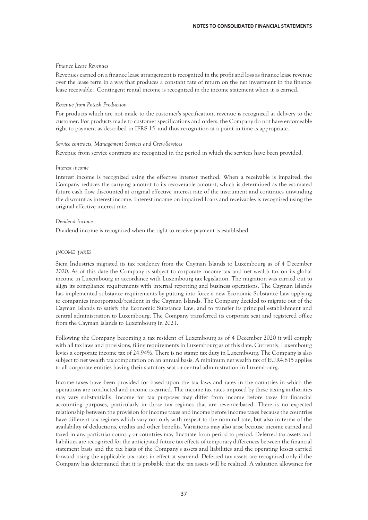## *Finance Lease Revenues*

Revenues earned on a finance lease arrangement is recognized in the profit and loss as finance lease revenue over the lease term in a way that produces a constant rate of return on the net investment in the finance lease receivable. Contingent rental income is recognized in the income statement when it is earned.

## *Revenue from Potash Production*

For products which are not made to the customer's specification, revenue is recognized at delivery to the customer. For products made to customer specifications and orders, the Company do not have enforceable right to payment as described in IFRS 15, and thus recognition at a point in time is appropriate.

### *Service contracts, Management Services and Crew-Services*

Revenue from service contracts are recognized in the period in which the services have been provided.

### *Interest income*

Interest income is recognized using the effective interest method. When a receivable is impaired, the Company reduces the carrying amount to its recoverable amount, which is determined as the estimated future cash flow discounted at original effective interest rate of the instrument and continues unwinding the discount as interest income. Interest income on impaired loans and receivables is recognized using the original effective interest rate.

### *Dividend Income*

Dividend income is recognized when the right to receive payment is established.

### *INCOME TAXES*

Siem Industries migrated its tax residency from the Cayman Islands to Luxembourg as of 4 December 2020. As of this date the Company is subject to corporate income tax and net wealth tax on its global income in Luxembourg in accordance with Luxembourg tax legislation. The migration was carried out to align its compliance requirements with internal reporting and business operations. The Cayman Islands has implemented substance requirements by putting into force a new Economic Substance Law applying to companies incorporated/resident in the Cayman Islands. The Company decided to migrate out of the Cayman Islands to satisfy the Economic Substance Law, and to transfer its principal establishment and central administration to Luxembourg. The Company transferred its corporate seat and registered office from the Cayman Islands to Luxembourg in 2021.

Following the Company becoming a tax resident of Luxembourg as of 4 December 2020 it will comply with all tax laws and provisions, filing requirements in Luxembourg as of this date. Currently, Luxembourg levies a corporate income tax of 24.94%. There is no stamp tax duty in Luxembourg. The Company is also subject to net wealth tax computation on an annual basis. A minimum net wealth tax of EUR4,815 applies to all corporate entities having their statutory seat or central administration in Luxembourg.

Income taxes have been provided for based upon the tax laws and rates in the countries in which the operations are conducted and income is earned. The income tax rates imposed by these taxing authorities may vary substantially. Income for tax purposes may differ from income before taxes for financial accounting purposes, particularly in those tax regimes that are revenue-based. There is no expected relationship between the provision for income taxes and income before income taxes because the countries have different tax regimes which vary not only with respect to the nominal rate, but also in terms of the availability of deductions, credits and other benefits. Variations may also arise because income earned and taxed in any particular country or countries may fluctuate from period to period. Deferred tax assets and liabilities are recognized for the anticipated future tax effects of temporary differences between the financial statement basis and the tax basis of the Company's assets and liabilities and the operating losses carried forward using the applicable tax rates in effect at year-end. Deferred tax assets are recognized only if the Company has determined that it is probable that the tax assets will be realized. A valuation allowance for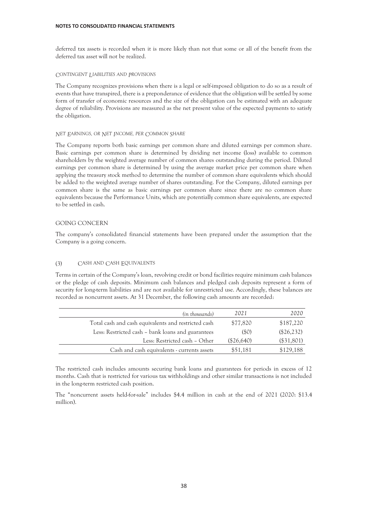deferred tax assets is recorded when it is more likely than not that some or all of the benefit from the deferred tax asset will not be realized.

## *CONTINGENT LIABILITIES AND PROVISIONS*

The Company recognizes provisions when there is a legal or self-imposed obligation to do so as a result of events that have transpired, there is a preponderance of evidence that the obligation will be settled by some form of transfer of economic resources and the size of the obligation can be estimated with an adequate degree of reliability. Provisions are measured as the net present value of the expected payments to satisfy the obligation.

## *NET EARNINGS, OR NET INCOME, PER COMMON SHARE*

The Company reports both basic earnings per common share and diluted earnings per common share. Basic earnings per common share is determined by dividing net income (loss) available to common shareholders by the weighted average number of common shares outstanding during the period. Diluted earnings per common share is determined by using the average market price per common share when applying the treasury stock method to determine the number of common share equivalents which should be added to the weighted average number of shares outstanding. For the Company, diluted earnings per common share is the same as basic earnings per common share since there are no common share equivalents because the Performance Units, which are potentially common share equivalents, are expected to be settled in cash.

## GOING CONCERN

The company's consolidated financial statements have been prepared under the assumption that the Company is a going concern.

## (3) CASH AND CASH EQUIVALENTS

Terms in certain of the Company's loan, revolving credit or bond facilities require minimum cash balances or the pledge of cash deposits. Minimum cash balances and pledged cash deposits represent a form of security for long-term liabilities and are not available for unrestricted use. Accordingly, these balances are recorded as noncurrent assets. At 31 December, the following cash amounts are recorded:

| (in thousands)                                      | 2021              | 2020       |
|-----------------------------------------------------|-------------------|------------|
| Total cash and cash equivalents and restricted cash | \$77,820          | \$187,220  |
| Less: Restricted cash – bank loans and guarantees   | (S <sub>0</sub> ) | (\$26,232) |
| Less: Restricted cash - Other                       | $(\$26,640)$      | (\$31,801) |
| Cash and cash equivalents - currents assets         | \$51,181          | \$129,188  |

The restricted cash includes amounts securing bank loans and guarantees for periods in excess of 12 months. Cash that is restricted for various tax withholdings and other similar transactions is not included in the long-term restricted cash position.

The "noncurrent assets held-for-sale" includes \$4.4 million in cash at the end of 2021 (2020: \$13.4 million).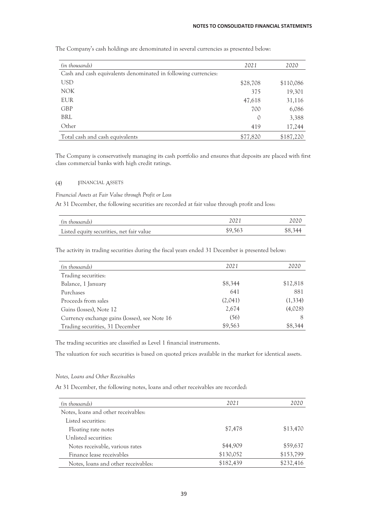| (in thousands)                                                 | 2021     | 2020      |
|----------------------------------------------------------------|----------|-----------|
| Cash and cash equivalents denominated in following currencies: |          |           |
| <b>USD</b>                                                     | \$28,708 | \$110,086 |
| <b>NOK</b>                                                     | 375      | 19,301    |
| <b>EUR</b>                                                     | 47,618   | 31,116    |
| GBP                                                            | 700      | 6,086     |
| <b>BRL</b>                                                     | 0        | 3,388     |
| Other                                                          | 419      | 17,244    |
| Total cash and cash equivalents                                | \$77,820 | \$187,220 |

The Company's cash holdings are denominated in several currencies as presented below:

The Company is conservatively managing its cash portfolio and ensures that deposits are placed with first class commercial banks with high credit ratings.

# (4) FINANCIAL ASSETS

*Financial Assets at Fair Value through Profit or Loss*

At 31 December, the following securities are recorded at fair value through profit and loss:

| (in thousands)                           | 2021    | 2020    |
|------------------------------------------|---------|---------|
| Listed equity securities, net fair value | \$9,563 | \$8,344 |

The activity in trading securities during the fiscal years ended 31 December is presented below:

| (in thousands)                                | 2021    | 2020     |
|-----------------------------------------------|---------|----------|
| Trading securities:                           |         |          |
| Balance, 1 January                            | \$8,344 | \$12,818 |
| Purchases                                     | 641     | 881      |
| Proceeds from sales                           | (2,041) | (1, 334) |
| Gains (losses), Note 12                       | 2,674   | (4,028)  |
| Currency exchange gains (losses), see Note 16 | (56)    | 8        |
| Trading securities, 31 December               | \$9,563 | \$8,344  |

The trading securities are classified as Level 1 financial instruments.

The valuation for such securities is based on quoted prices available in the market for identical assets.

*Notes, Loans and Other Receivables*

At 31 December, the following notes, loans and other receivables are recorded:

| (in thousands)                      | 2021      | 2020      |
|-------------------------------------|-----------|-----------|
| Notes, loans and other receivables: |           |           |
| Listed securities:                  |           |           |
| Floating rate notes                 | \$7,478   | \$13,470  |
| Unlisted securities:                |           |           |
| Notes receivable, various rates     | \$44,909  | \$59,637  |
| Finance lease receivables           | \$130,052 | \$153,799 |
| Notes, loans and other receivables: | \$182,439 | \$232,416 |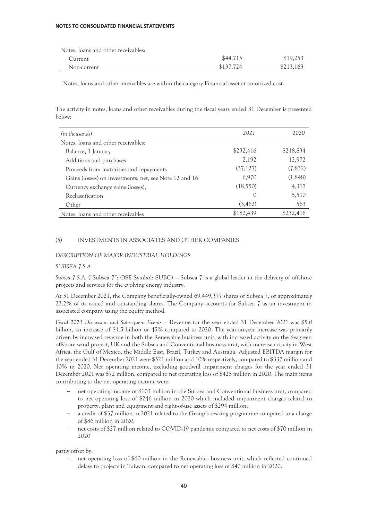| Notes, loans and other receivables: \ |           |           |
|---------------------------------------|-----------|-----------|
| Current                               | \$44,715  | \$19,253  |
| Non-current                           | \$137.724 | \$213,163 |

Notes, loans and other receivables are within the category Financial asset at amortized cost.

The activity in notes, loans and other receivables during the fiscal years ended 31 December is presented below:

| (in thousands)                                         | 2021      | 2020      |
|--------------------------------------------------------|-----------|-----------|
| Notes, loans and other receivables:                    |           |           |
| Balance, 1 January                                     | \$232,416 | \$218,834 |
| Additions and purchases                                | 2,192     | 12,972    |
| Proceeds from maturities and repayments                | (37, 127) | (7,832)   |
| Gains (losses) on investments, net, see Note 12 and 16 | 6,970     | (1,848)   |
| Currency exchange gains (losses),                      | (18, 550) | 4,317     |
| Reclassification                                       | 0         | 5,510     |
| Other                                                  | (3, 462)  | 563       |
| Notes, loans and other receivables                     | \$182,439 | \$232,416 |

# (5) INVESTMENTS IN ASSOCIATES AND OTHER COMPANIES

## *DESCRIPTION OF MAJOR INDUSTRIAL HOLDINGS*

# *SUBSEA 7 S.A.*

*Subsea 7 S.A.* ("Subsea 7"; OSE Symbol: SUBC) — Subsea 7 is a global leader in the delivery of offshore projects and services for the evolving energy industry.

At 31 December 2021, the Company beneficially-owned 69,449,377 shares of Subsea 7, or approximately 23.2% of its issued and outstanding shares. The Company accounts for Subsea 7 as an investment in associated company using the equity method.

*Fiscal 2021 Discussion and Subsequent Events* — Revenue for the year ended 31 December 2021 was \$5.0 billion, an increase of \$1.5 billion or 45% compared to 2020. The year-on-year increase was primarily driven by increased revenue in both the Renewable business unit, with increased activity on the Seagreen offshore wind project, UK and the Subsea and Conventional business unit, with increase activity in West Africa, the Gulf of Mexico, the Middle East, Brazil, Turkey and Australia. Adjusted EBITDA margin for the year ended 31 December 2021 were \$521 million and 10% respectively, compared to \$337 million and 10% in 2020. Net operating income, excluding goodwill impairment charges for the year ended 31 December 2021 was \$72 million, compared to net operating loss of \$428 million in 2020. The main items contributing to the net operating income were:

- net operating income of \$103 million in the Subsea and Conventional business unit, compared to net operating loss of \$246 million in 2020 which included impairment charges related to property, plant and equipment and right-of-use assets of \$294 million;
- a credit of \$37 million in 2021 related to the Group's resizing programme compared to a charge of \$86 million in 2020;
- net costs of \$27 million related to COVID-19 pandemic compared to net costs of \$70 million in 2020

partly offset by:

 net operating loss of \$60 million in the Renewables business unit, which reflected continued delays to projects in Taiwan, compared to net operating loss of \$40 million in 2020.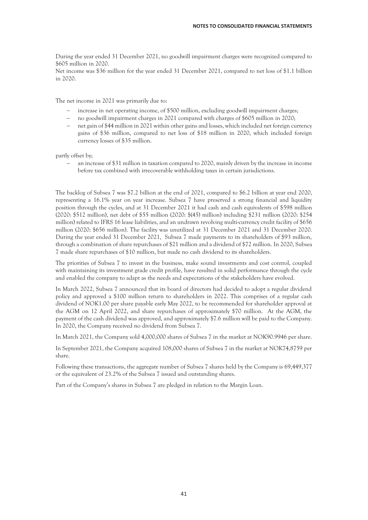During the year ended 31 December 2021, no goodwill impairment charges were recognized compared to \$605 million in 2020.

Net income was \$36 million for the year ended 31 December 2021, compared to net loss of \$1.1 billion in 2020.

The net income in 2021 was primarily due to:

- increase in net operating income, of \$500 million, excluding goodwill impairment charges;
- no goodwill impairment charges in 2021 compared with charges of \$605 million in 2020;
- net gain of \$44 million in 2021 within other gains and losses, which included net foreign currency gains of \$36 million, compared to net loss of \$18 million in 2020, which included foreign currency losses of \$35 million.

partly offset by;

 an increase of \$31 million in taxation compared to 2020, mainly driven by the increase in income before tax combined with irrecoverable withholding taxes in certain jurisdictions.

The backlog of Subsea 7 was \$7.2 billion at the end of 2021, compared to \$6.2 billion at year end 2020, representing a 16.1% year on year increase. Subsea 7 have preserved a strong financial and liquidity position through the cycles, and at 31 December 2021 it had cash and cash equivalents of \$598 million (2020: \$512 million), net debt of \$55 million (2020: \$(45) million) including \$231 million (2020: \$254 million) related to IFRS 16 lease liabilities, and an undrawn revolving multi-currency credit facility of \$656 million (2020: \$656 million). The facility was unutilized at 31 December 2021 and 31 December 2020. During the year ended 31 December 2021, Subsea 7 made payments to its shareholders of \$93 million, through a combination of share repurchases of \$21 million and a dividend of \$72 million. In 2020, Subsea 7 made share repurchases of \$10 million, but made no cash dividend to its shareholders.

The priorities of Subsea 7 to invest in the business, make sound investments and cost control, coupled with maintaining its investment grade credit profile, have resulted in solid performance through the cycle and enabled the company to adapt as the needs and expectations of the stakeholders have evolved.

In March 2022, Subsea 7 announced that its board of directors had decided to adopt a regular dividend policy and approved a \$100 million return to shareholders in 2022. This comprises of a regular cash dividend of NOK1.00 per share payable early May 2022, to be recommended for shareholder approval at the AGM on 12 April 2022, and share repurchases of approximately \$70 million. At the AGM, the payment of the cash dividend was approved, and approximately \$7.6 million will be paid to the Company. In 2020, the Company received no dividend from Subsea 7.

In March 2021, the Company sold 4,000,000 shares of Subsea 7 in the market at NOK90.9946 per share.

In September 2021, the Company acquired 108,000 shares of Subsea 7 in the market at NOK74,8759 per share.

Following these transactions, the aggregate number of Subsea 7 shares held by the Company is 69,449,377 or the equivalent of 23.2% of the Subsea 7 issued and outstanding shares.

Part of the Company's shares in Subsea 7 are pledged in relation to the Margin Loan.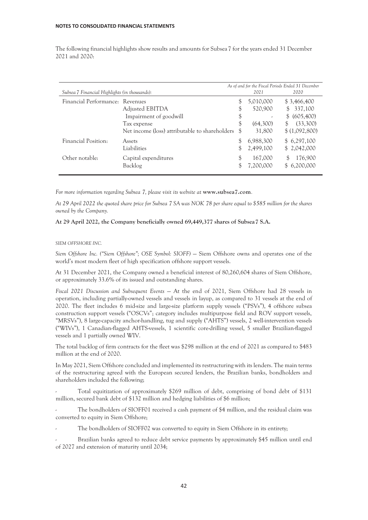The following financial highlights show results and amounts for Subsea7 for the years ended 31 December 2021 and 2020:

|                                               |                                                |    |           | As of and for the Fiscal Periods Ended 31 December |
|-----------------------------------------------|------------------------------------------------|----|-----------|----------------------------------------------------|
| Subsea 7 Financial Highlights (in thousands): |                                                |    | 2021      | 2020                                               |
| Financial Performance: Revenues               |                                                | \$ | 5,010,000 | \$3,466,400                                        |
|                                               | Adjusted EBITDA                                | \$ | 520,900   | \$337,100                                          |
|                                               | Impairment of goodwill                         | \$ | ٠         | \$ (605,400)                                       |
|                                               | Tax expense                                    | \$ | (64,300)  | (33,300)<br>\$.                                    |
|                                               | Net income (loss) attributable to shareholders | \$ | 31,800    | \$(1,092,800)                                      |
| Financial Position:                           | Assets                                         | \$ | 6,988,300 | \$6,297,100                                        |
|                                               | Liabilities                                    | \$ | 2,499,100 | \$2,042,000                                        |
| Other notable:                                | Capital expenditures                           | \$ | 167,000   | 176,900                                            |
|                                               | Backlog                                        |    | 7,200,000 | \$6,200,000                                        |
|                                               |                                                |    |           |                                                    |

For more information regarding Subsea 7, please visit its website at www.subsea7.com.

*At 29 April 2022 the quoted share price for Subsea 7 SA was NOK 78 per share equal to \$585 million for the shares owned by the Company.* 

**At 29 April 2022, the Company beneficially owned 69,449,377 shares of Subsea7 S.A.** 

## *SIEM OFFSHORE INC.*

*Siem Offshore Inc. ("Siem Offshore"; OSE Symbol: SIOFF)* — Siem Offshore owns and operates one of the world's most modern fleet of high specification offshore support vessels.

At 31 December 2021, the Company owned a beneficial interest of 80,260,604 shares of Siem Offshore, or approximately 33.6% of its issued and outstanding shares.

*Fiscal 2021 Discussion and Subsequent Events* — At the end of 2021, Siem Offshore had 28 vessels in operation, including partially-owned vessels and vessels in layup, as compared to 31 vessels at the end of 2020. The fleet includes 6 mid-size and large-size platform supply vessels ("PSVs"), 4 offshore subsea construction support vessels ("OSCVs"; category includes multipurpose field and ROV support vessels, "MRSVs"), 8 large-capacity anchor-handling, tug and supply ("AHTS") vessels, 2 well-intervention vessels ("WIVs"), 1 Canadian-flagged AHTS-vessels, 1 scientific core-drilling vessel, 5 smaller Brazilian-flagged vessels and 1 partially owned WIV.

The total backlog of firm contracts for the fleet was \$298 million at the end of 2021 as compared to \$483 million at the end of 2020.

In May 2021, Siem Offshore concluded and implemented its restructuring with its lenders. The main terms of the restructuring agreed with the European secured lenders, the Brazilian banks, bondholders and shareholders included the following;

- Total equitization of approximately \$269 million of debt, comprising of bond debt of \$131 million, secured bank debt of \$132 million and hedging liabilities of \$6 million;

- The bondholders of SIOFF01 received a cash payment of \$4 million, and the residual claim was converted to equity in Siem Offshore;

The bondholders of SIOFF02 was converted to equity in Siem Offshore in its entirety;

- Brazilian banks agreed to reduce debt service payments by approximately \$45 million until end of 2027 and extension of maturity until 2034;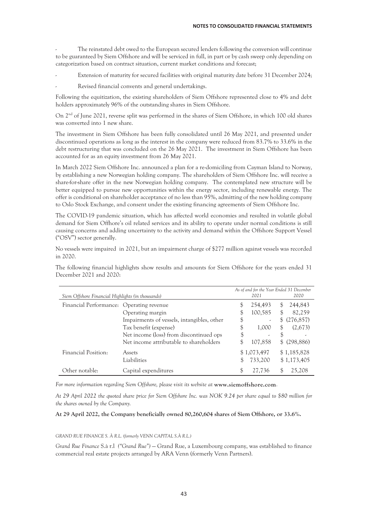The reinstated debt owed to the European secured lenders following the conversion will continue to be guaranteed by Siem Offshore and will be serviced in full, in part or by cash sweep only depending on categorization based on contract situation, current market conditions and forecast;

Extension of maturity for secured facilities with original maturity date before 31 December 2024;

Revised financial convents and general undertakings.

Following the equitization, the existing shareholders of Siem Offshore represented close to 4% and debt holders approximately 96% of the outstanding shares in Siem Offshore.

On 2nd of June 2021, reverse split was performed in the shares of Siem Offshore, in which 100 old shares was converted into 1 new share.

The investment in Siem Offshore has been fully consolidated until 26 May 2021, and presented under discontinued operations as long as the interest in the company were reduced from 83.7% to 33.6% in the debt restructuring that was concluded on the 26 May 2021. The investment in Siem Offshore has been accounted for as an equity investment from 26 May 2021.

In March 2022 Siem Offshore Inc. announced a plan for a re-domiciling from Cayman Island to Norway, by establishing a new Norwegian holding company. The shareholders of Siem Offshore Inc. will receive a share-for-share offer in the new Norwegian holding company. The contemplated new structure will be better equipped to pursue new opportunities within the energy sector, including renewable energy. The offer is conditional on shareholder acceptance of no less than 95%, admitting of the new holding company to Oslo Stock Exchange, and consent under the existing financing agreements of Siem Offshore Inc.

The COVID-19 pandemic situation, which has affected world economies and resulted in volatile global demand for Siem Offhore's oil related services and its ability to operate under normal conditions is still causing concerns and adding uncertainty to the activity and demand within the Offshore Support Vessel ("OSV") sector generally.

No vessels were impaired in 2021, but an impairment charge of \$277 million against vessels was recorded in 2020.

The following financial highlights show results and amounts for Siem Offshore for the years ended 31 December 2021 and 2020:

|                                                   |                                            |               | As of and for the Year Ended 31 December |                 |
|---------------------------------------------------|--------------------------------------------|---------------|------------------------------------------|-----------------|
| Siem Offshore Financial Highlights (in thousands) |                                            |               | 2021                                     | 2020            |
| Financial Performance: Operating revenue          |                                            | \$            | 254,493                                  | \$<br>244,843   |
|                                                   | Operating margin                           | \$            | 100,585                                  | \$<br>82,259    |
|                                                   | Impairments of vessels, intangibles, other | \$            | ٠                                        | $$^{(276,857)}$ |
|                                                   | Tax benefit (expense)                      | \$            | 1,000                                    | \$<br>(2,673)   |
|                                                   | Net income (loss) from discontinued ops    | $\frac{1}{2}$ | $\overline{\phantom{a}}$                 | \$<br>٠         |
|                                                   | Net income attributable to shareholders    | \$            | 107,858                                  | \$(298,886)     |
| Financial Position:                               | Assets                                     |               | \$1,073,497                              | \$1,185,828     |
|                                                   | Liabilities                                | \$            | 733,200                                  | \$1,173,405     |
| Other notable:                                    | Capital expenditures                       | \$            | 27.736                                   | \$<br>25,208    |

*For more information regarding Siem Offshore, please visit its website at www.siemoffshore.com*.

*At 29 April 2022 the quoted share price for Siem Offshore Inc. was NOK 9.24 per share equal to \$80 million for the shares owned by the Company.* 

**At 29 April 2022, the Company beneficially owned 80,260,604 shares of Siem Offshore, or 33.6%.** 

*GRAND RUE FINANCE S. À R.L. (formerly VENN CAPITAL S.À R.L.)* 

*Grand Rue Finance* S.à r.l *("Grand Rue")* — Grand Rue, a Luxembourg company, was established to finance commercial real estate projects arranged by ARA Venn (formerly Venn Partners).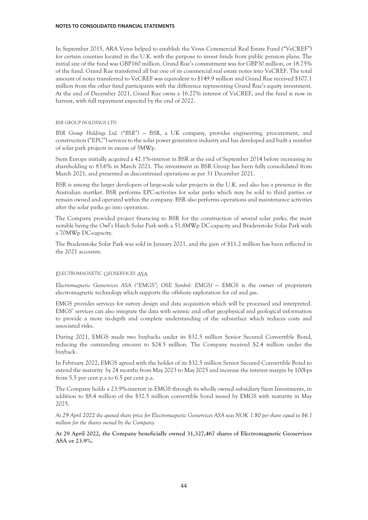In September 2015, ARA Venn helped to establish the Venn Commercial Real Estate Fund ("VeCREF") for certain counties located in the U.K. with the purpose to invest funds from public pension plans. The initial size of the fund was GBP160 million. Grand Rue's commitment was for GBP30 million, or 18.75% of the fund. Grand Rue transferred all but one of its commercial real estate notes into VeCREF. The total amount of notes transferred to VeCREF was equivalent to \$149.9 million and Grand Rue received \$107.1 million from the other fund participants with the difference representing Grand Rue's equity investment. At the end of December 2021, Grand Rue owns a 16.27% interest of VeCREF, and the fund is now in harvest, with full repayment expected by the end of 2022.

## *BSR GROUP HOLDINGS LTD*

*BSR Group Holdings Ltd. ("BSR")* — BSR, a UK company, provides engineering, procurement, and construction ("EPC") services to the solar power generation industry and has developed and built a number of solar park projects in excess of 5MWp.

Siem Europe initially acquired a 42.1%-interest in BSR at the end of September 2014 before increasing its shareholding to 83.6% in March 2021. The investment in BSR Group has been fully consolidated from March 2021, and presented as discontinued operations as per 31 December 2021.

BSR is among the larger developers of large-scale solar projects in the U.K. and also has a presence in the Australian martket. BSR performs EPC-activities for solar parks which may be sold to third parties or remain owned and operated within the company. BSR also performs operations and maintenance activities after the solar parks go into operation.

The Company provided project financing to BSR for the construction of several solar parks, the most notable being the Owl's Hatch Solar Park with a 51.8MWp DC-capacity and Bradenstoke Solar Park with a 70MWp DC-capacity.

The Bradenstoke Solar Park was sold in January 2021, and the gain of \$11.2 million has been reflected in the 2021 accounts.

## *ELECTROMAGNETIC GEOSERVICES ASA*

*Electromagnetic Geoservices ASA ("EMGS"; OSE Symbol: EMGS)* — EMGS is the owner of proprietary electromagnetic technology which supports the offshore exploration for oil and gas.

EMGS provides services for survey design and data acquisition which will be processed and interpreted. EMGS' services can also integrate the data with seismic and other geophysical and geological information to provide a more in-depth and complete understanding of the subsurface which reduces costs and associated risks.

During 2021, EMGS made two buybacks under its \$32.5 million Senior Secured Convertible Bond, reducing the outstanding amount to \$24.5 million. The Company received \$2.4 million under the buyback.

In February 2022, EMGS agreed with the holder of its \$32.5 million Senior Secured Convertible Bond to extend the maturity by 24 months from May 2023 to May 2025 and increase the interest margin by 100bps from 5.5 per cent p.a to 6.5 per cent p.a.

The Company holds a 23.9%-interest in EMGS through its wholly owned subsidiary Siem Investments, in addition to \$8.4 million of the \$32.5 million convertible bond issued by EMGS with maturity in May 2025.

*At 29 April 2022 the quoted share price for Electromagnetic Geoservices ASA was NOK 1.80 per share equal to \$6.1 million for the shares owned by the Company.* 

**At 29 April 2022, the Company beneficially owned 31,327,467 shares of Electromagnetic Geoservices ASA or 23.9%.**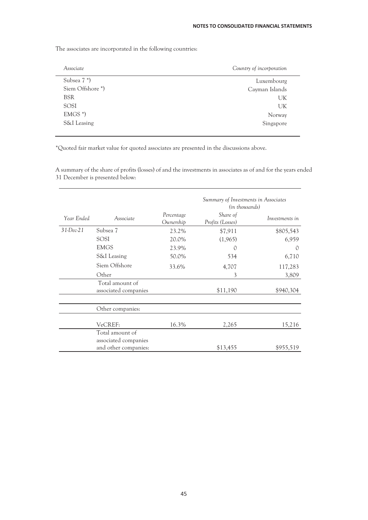The associates are incorporated in the following countries:

| Country of incorporation |
|--------------------------|
| Luxembourg               |
| Cayman Islands           |
| UK                       |
| UK                       |
| Norway                   |
| Singapore                |
|                          |

\*Quoted fair market value for quoted associates are presented in the discussions above.

A summary of the share of profits (losses) of and the investments in associates as of and for the years ended 31 December is presented below:

|              |                                              |                         | Summary of Investments in Associates<br>(in thousands) |                |
|--------------|----------------------------------------------|-------------------------|--------------------------------------------------------|----------------|
| Year Ended   | Associate                                    | Percentage<br>Ownership | Share of<br>Profits (Losses)                           | Investments in |
| $31$ -Dec-21 | Subsea 7                                     | 23.2%                   | \$7,911                                                | \$805,543      |
|              | SOSI                                         | 20.0%                   | (1,965)                                                | 6,959          |
|              | <b>EMGS</b>                                  | 23.9%                   | 0                                                      | $\Omega$       |
|              | S&I Leasing                                  | 50.0%                   | 534                                                    | 6,710          |
|              | Siem Offshore                                | 33.6%                   | 4,707                                                  | 117,283        |
|              | Other                                        |                         | 3                                                      | 3,809          |
|              | Total amount of<br>associated companies      |                         | \$11,190                                               | \$940,304      |
|              | Other companies:                             |                         |                                                        |                |
|              | VeCREF:                                      | 16.3%                   | 2,265                                                  | 15,216         |
|              | Total amount of                              |                         |                                                        |                |
|              | associated companies<br>and other companies: |                         | \$13,455                                               | \$955,519      |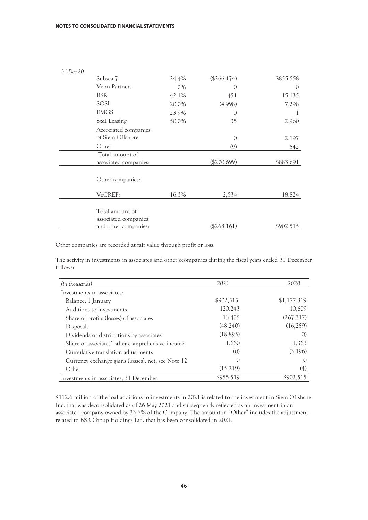| 31-Dec-20 |                                                                 |       |                |           |
|-----------|-----------------------------------------------------------------|-------|----------------|-----------|
|           | Subsea 7                                                        | 24.4% | $(\$266, 174)$ | \$855,558 |
|           | Venn Partners                                                   | 0%    | 0              | $\circ$   |
|           | <b>BSR</b>                                                      | 42.1% | 451            | 15,135    |
|           | SOSI                                                            | 20.0% | (4,998)        | 7,298     |
|           | <b>EMGS</b>                                                     | 23.9% | 0              | 1         |
|           | S&I Leasing                                                     | 50.0% | 35             | 2,960     |
|           | Accociated companies                                            |       |                |           |
|           | of Siem Offshore                                                |       | 0              | 2,197     |
|           | Other                                                           |       | (9)            | 542       |
|           | Total amount of                                                 |       |                |           |
|           | associated companies:                                           |       | $(\$270,699)$  | \$883,691 |
|           | Other companies:                                                |       |                |           |
|           | VeCREF:                                                         | 16.3% | 2,534          | 18,824    |
|           | Total amount of<br>associated companies<br>and other companies: |       | $(\$268,161)$  | \$902,515 |

Other companies are recorded at fair value through profit or loss.

The activity in investments in associates and other ccompanies during the fiscal years ended 31 December follows:

| (in thousands)                                     | 2021      | 2020             |
|----------------------------------------------------|-----------|------------------|
| Investments in associates:                         |           |                  |
| Balance, 1 January                                 | \$902,515 | \$1,177,319      |
| Additions to investments                           | 120.243   | 10,609           |
| Share of profits (losses) of associates            | 13,455    | (267,317)        |
| Disposals                                          | (48,240)  | (16, 259)        |
| Dividends or distributions by associates           | (18, 895) | $\circ$          |
| Share of associates' other comprehensive income    | 1,660     | 1,363            |
| Cumulative translation adjustments                 | (0)       | (3,196)          |
| Currency exchange gains (losses), net, see Note 12 |           | $\left( \right)$ |
| Other                                              | (15,219)  | (4)              |
| Investments in associates, 31 December             | \$955,519 | \$902.515        |

\$112.6 million of the toal additions to investments in 2021 is related to the investment in Siem Offshore Inc. that was deconsolidated as of 26 May 2021 and subsequently reflected as an investment in an associated company owned by 33.6% of the Company. The amount in "Other" includes the adjustment related to BSR Group Holdings Ltd. that has been consolidated in 2021.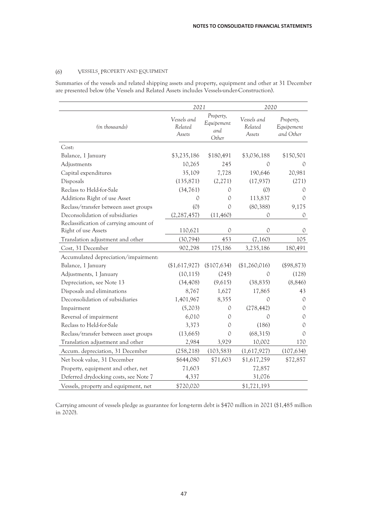# (6) VESSELS, PROPERTY AND EQUIPMENT

Summaries of the vessels and related shipping assets and property, equipment and other at 31 December are presented below (the Vessels and Related Assets includes Vessels-under-Construction).

|                                        | 2021                             |                                         | 2020                             |                                      |
|----------------------------------------|----------------------------------|-----------------------------------------|----------------------------------|--------------------------------------|
| (in thousands)                         | Vessels and<br>Related<br>Assets | Property,<br>Equipement<br>and<br>Other | Vessels and<br>Related<br>Assets | Property,<br>Equipement<br>and Other |
| Cost:                                  |                                  |                                         |                                  |                                      |
| Balance, 1 January                     | \$3,235,186                      | \$180,491                               | \$3,036,188                      | \$150,501                            |
| Adjustments                            | 10,265                           | 245                                     | 0                                | 0                                    |
| Capital expenditures                   | 35,109                           | 7,728                                   | 190,646                          | 20,981                               |
| Disposals                              | (135, 871)                       | (2, 271)                                | (17, 937)                        | (271)                                |
| Reclass to Held-for-Sale               | (34, 761)                        | 0                                       | (0)                              | 0                                    |
| Additions Right of use Asset           | 0                                | $\Omega$                                | 113,837                          | 0                                    |
| Reclass/transfer between asset groups  | (0)                              | $\Omega$                                | (80, 388)                        | 9,175                                |
| Deconsolidation of subsidiaries        | (2, 287, 457)                    | (11,460)                                | $\Omega$                         | 0                                    |
| Reclassification of carrying amount of |                                  |                                         |                                  |                                      |
| Right of use Assets                    | 110,621                          | 0                                       | $\mathcal{O}$                    | 0                                    |
| Translation adjustment and other       | (30, 794)                        | 453                                     | (7,160)                          | 105                                  |
| Cost, 31 December                      | 902,298                          | 175,186                                 | 3,235,186                        | 180,491                              |
| Accumulated depreciation/impairment:   |                                  |                                         |                                  |                                      |
| Balance, 1 January                     | (\$1,617,927)                    | (\$107,634)                             | (\$1,260,016)                    | (\$98,873)                           |
| Adjustments, 1 January                 | (10, 115)                        | (245)                                   | $\Omega$                         | (128)                                |
| Depreciation, see Note 13              | (34, 408)                        | (9,615)                                 | (38, 835)                        | (8, 846)                             |
| Disposals and eliminations             | 8,767                            | 1,627                                   | 17,865                           | 43                                   |
| Deconsolidation of subsidiaries        | 1,401,967                        | 8,355                                   | $\mathcal{O}$                    | 0                                    |
| Impairment                             | (5,203)                          | $\mathcal{O}$                           | (278, 442)                       | 0                                    |
| Reversal of impairment                 | 6,010                            | $\Omega$                                | $\Omega$                         | $\Omega$                             |
| Reclass to Held-for-Sale               | 3,373                            | 0                                       | (186)                            | 0                                    |
| Reclass/transfer between asset groups  | (13,665)                         | $\Omega$                                | (68, 315)                        | 0                                    |
| Translation adjustment and other       | 2,984                            | 3,929                                   | 10,002                           | 170                                  |
| Accum. depreciation, 31 December       | (258, 218)                       | (103, 583)                              | (1,617,927)                      | (107, 634)                           |
| Net book value, 31 December            | \$644,080                        | \$71,603                                | \$1,617,259                      | \$72,857                             |
| Property, equipment and other, net     | 71,603                           |                                         | 72,857                           |                                      |
| Deferred drydocking costs, see Note 7  | 4,337                            |                                         | 31,076                           |                                      |
| Vessels, property and equipment, net   | \$720,020                        |                                         | \$1,721,193                      |                                      |

Carrying amount of vessels pledge as guarantee for long-term debt is \$470 million in 2021 (\$1,485 million in 2020).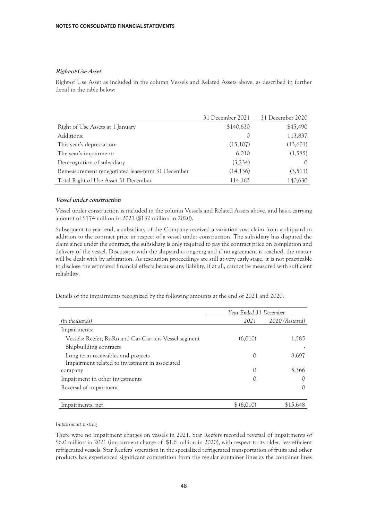# **Right-of-Use Asset**

Right-of Use Asset as included in the column Vessels and Related Assets above, as described in further detail in the table below:

|                                                   | 31 December 2021 | 31 December 2020 |
|---------------------------------------------------|------------------|------------------|
| Right of Use Assets at 1 January                  | \$140,630        | \$45,490         |
| Additions:                                        | $\left($         | 113,837          |
| This year's depreciation:                         | (15, 107)        | (13,601)         |
| The year's impairment:                            | 6,010            | (1,585)          |
| Derecognition of subsidiary                       | (3,234)          |                  |
| Remeasurement renegotiated lease-term 31 December | (14, 136)        | (3,511)          |
| Total Right of Use Asset 31 December              | 114,163          | 140,630          |

# **Vessel under construction**

Vessel under construction is included in the column Vessels and Related Assets above, and has a carrying amount of \$174 million in 2021 (\$132 million in 2020).

Subsequent to year end, a subsidiary of the Company received a variation cost claim from a shipyard in addition to the contract price in respect of a vessel under construction. The subsidiary has disputed the claim since under the contract, the subsidiary is only required to pay the contract price on completion and delivery of the vessel. Discussion with the shipyard is ongoing and if no agreement is reached, the matter will be dealt with by arbitration. As resolution proceedings are still at very early stage, it is not practicable to disclose the estimated financial effects because any liability, if at all, cannot be measured with sufficient reliability.

Details of the impairments recognized by the following amounts at the end of 2021 and 2020:

|                                                       | Year Ended 31 December |                 |
|-------------------------------------------------------|------------------------|-----------------|
| (in thousands)                                        | 2021                   | 2020 (Restated) |
| Impairments:                                          |                        |                 |
| Vessels: Reefer, RoRo and Car Carriers Vessel segment | (6,010)                | 1,585           |
| Shipbuilding contracts                                |                        |                 |
| Long term receivables and projects                    | 0                      | 8,697           |
| Impairment related to investment in associated        |                        |                 |
| company                                               | $\Omega$               | 5,366           |
| Impairment in other investments                       | 0                      |                 |
| Reversal of impairment                                |                        |                 |
|                                                       |                        |                 |
| Impairments, net                                      | \$ (6,010)             | \$15,648        |

#### *Impairment testing*

There were no impairment charges on vessels in 2021. Star Reefers recorded reversal of impairments of \$6.0 million in 2021 (impairment charge of \$1.6 million in 2020), with respect to its older, less efficient refrigerated vessels. Star Reefers' operation in the specialized refrigerated transportation of fruits and other products has experienced significant competition from the regular container lines as the container lines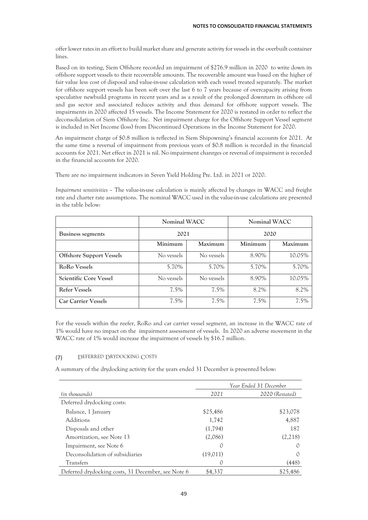offer lower rates in an effort to build market share and generate activity for vessels in the overbuilt container lines.

Based on its testing, Siem Offshore recorded an impairment of \$276.9 million in 2020 to write down its offshore support vessels to their recoverable amounts. The recoverable amount was based on the higher of fair value less cost of disposal and value-in-use calculation with each vessel treated separately. The market for offshore support vessels has been soft over the last 6 to 7 years because of overcapacity arising from speculative newbuild programs in recent years and as a result of the prolonged downturn in offshore oil and gas sector and associated reduces activity and thus demand for offshore support vessels. The impairments in 2020 affected 15 vessels. The Income Statement for 2020 is restated in order to reflect the deconsolidation of Siem Offshore Inc. Net impairment charge for the Offshore Support Vessel segment is included in Net Income (loss) from Discontinued Operations in the Income Statement for 2020.

An impairment charge of \$0.8 million is reflected in Siem Shipowning's financial accounts for 2021. At the same time a reversal of impairment from previous years of \$0.8 million is recorded in the financial accounts for 2021. Net effect in 2021 is nil. No impairment chanrges or reversal of impairment is recorded in the financial accounts for 2020.

There are no impairment indicators in Seven Yield Holding Pte. Ltd. in 2021 or 2020.

*Impairment sensitivities* – The value-in-use calculation is mainly affected by changes in WACC and freight rate and charter rate assumptions. The nominal WACC used in the value-in-use calculations are presented in the table below:

|                                 | Nominal WACC |            |         | <b>Nominal WACC</b> |
|---------------------------------|--------------|------------|---------|---------------------|
| <b>Business segments</b>        | 2021         |            |         | 2020                |
|                                 | Minimum      | Maximum    | Minimum | Maximum             |
| <b>Offshore Support Vessels</b> | No vessels   | No vessels | 8.90%   | 10.05%              |
| RoRo Vessels                    | 5.70%        | 5.70%      | 5.70%   | 5.70%               |
| <b>Scientific Core Vessel</b>   | No vessels   | No vessels | 8.90%   | 10.05%              |
| <b>Refer Vessels</b>            | 7.5%         | 7.5%       | 8.2%    | 8.2%                |
| <b>Car Carrier Vessels</b>      | 7.5%         | 7.5%       | 7.5%    | 7.5%                |

For the vessels within the reefer, RoRo and car carrier vessel segment, an increase in the WACC rate of 1% would have no impact on the impairment assessment of vessels. In 2020 an adverse movement in the WACC rate of 1% would increase the impairment of vessels by \$16.7 million.

# (7) DEFERRED DRYDOCKING COSTS

A summary of the drydocking activity for the years ended 31 December is presented below:

|                                                    | Year Ended 31 December |                 |  |
|----------------------------------------------------|------------------------|-----------------|--|
| (in thousands)                                     | 2021                   | 2020 (Restated) |  |
| Deferred drydocking costs:                         |                        |                 |  |
| Balance, 1 January                                 | \$25,486               | \$23,078        |  |
| Additions                                          | 1,742                  | 4,887           |  |
| Disposals and other                                | (1,794)                | 187             |  |
| Amortization, see Note 13                          | (2,086)                | (2,218)         |  |
| Impairment, see Note 6                             | 0                      |                 |  |
| Deconsolidation of subsidiaries                    | (19,011)               |                 |  |
| Transfers                                          |                        | (448)           |  |
| Deferred drydocking costs, 31 December, see Note 6 | \$4,337                | \$25,486        |  |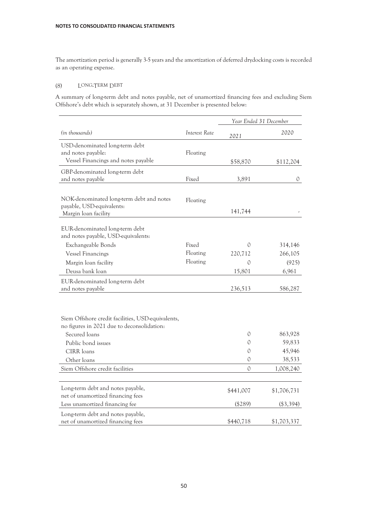The amortization period is generally 3-5 years and the amortization of deferred drydocking costs is recorded as an operating expense.

# (8) LONG-TERM DEBT

A summary of long-term debt and notes payable, net of unamortized financing fees and excluding Siem Offshore's debt which is separately shown, at 31 December is presented below:

|                                                                                                 |               | Year Ended 31 December |             |
|-------------------------------------------------------------------------------------------------|---------------|------------------------|-------------|
| (in thousands)                                                                                  | Interest Rate | 2021                   | 2020        |
| USD-denominated long-term debt<br>and notes payable:<br>Vessel Financings and notes payable     | Floating      | \$58,870               | \$112,204   |
| GBP-denominated long-term debt<br>and notes payable                                             | Fixed         | 3,891                  | 0           |
| NOK-denominated long-term debt and notes<br>payable, USD-equivalents:<br>Margin loan facility   | Floating      | 141,744                |             |
| EUR-denominated long-term debt<br>and notes payable, USD-equivalents:                           |               |                        |             |
| Exchangeable Bonds                                                                              | Fixed         | $\Omega$               | 314,146     |
| <b>Vessel Financings</b>                                                                        | Floating      | 220,712                | 266,105     |
| Margin loan facility                                                                            | Floating      | $\Omega$               | (925)       |
| Deusa bank loan                                                                                 |               | 15,801                 | 6,961       |
| EUR-denominated long-term debt                                                                  |               |                        |             |
| and notes payable                                                                               |               | 236,513                | 586,287     |
| Siem Offshore credit facilities, USD-equivalents,<br>no figures in 2021 due to deconsolidation: |               |                        |             |
| Secured loans                                                                                   |               | 0                      | 863,928     |
| Public bond issues                                                                              |               | 0                      | 59,833      |
| CIRR loans                                                                                      |               | 0                      | 45,946      |
| Other loans                                                                                     |               | $\Omega$               | 38,533      |
| Siem Offshore credit facilities                                                                 |               | $\circ$                | 1,008,240   |
|                                                                                                 |               |                        |             |
| Long-term debt and notes payable,<br>net of unamortized financing fees                          |               | \$441,007              | \$1,706,731 |
| Less unamortized financing fee                                                                  |               | (\$289)                | (\$3,394)   |
| Long-term debt and notes payable,<br>net of unamortized financing fees                          |               | \$440,718              | \$1,703,337 |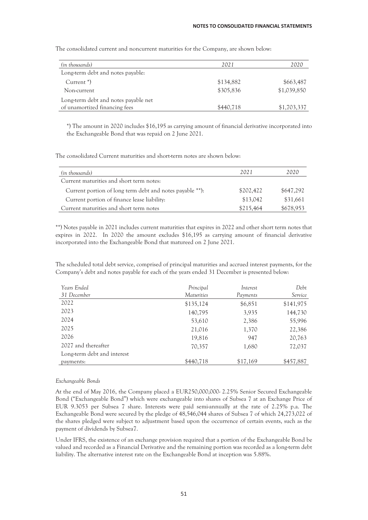| (in thousands)                       | 2021      | 2020        |
|--------------------------------------|-----------|-------------|
| Long-term debt and notes payable:    |           |             |
| Current <sup>*</sup> )               | \$134,882 | \$663,487   |
| Non-current                          | \$305,836 | \$1,039,850 |
| Long-term debt and notes payable net |           |             |
| of unamortized financing fees        | \$440,718 | \$1,703,337 |

The consolidated current and noncurrent maturities for the Company, are shown below:

\*) The amount in 2020 includes \$16,195 as carrying amount of financial derivative incorporated into the Exchangeable Bond that was repaid on 2 June 2021.

The consolidated Current maturities and short-term notes are shown below:

| (in thousands)                                           | 2021      | 2020      |
|----------------------------------------------------------|-----------|-----------|
| Current maturities and short term notes:                 |           |           |
| Current portion of long term debt and notes payable **): | \$202,422 | \$647,292 |
| Current portion of finance lease liability:              | \$13,042  | \$31,661  |
| Current maturities and short term notes                  | \$215,464 | \$678,953 |

\*\*) Notes payable in 2021 includes current maturities that expires in 2022 and other short term notes that expires in 2022. In 2020 the amount excludes \$16,195 as carrying amount of financial derivative incorporated into the Exchangeable Bond that matureed on 2 June 2021.

The scheduled total debt service, comprised of principal maturities and accrued interest payments, for the Company's debt and notes payable for each of the years ended 31 December is presented below:

| Years Ended                 | Principal  | Interest | Debt      |
|-----------------------------|------------|----------|-----------|
| 31 December                 | Maturities | Payments | Service   |
| 2022                        | \$135,124  | \$6,851  | \$141,975 |
| 2023                        | 140,795    | 3,935    | 144,730   |
| 2024                        | 53,610     | 2,386    | 55,996    |
| 2025                        | 21,016     | 1,370    | 22,386    |
| 2026                        | 19,816     | 947      | 20,763    |
| 2027 and thereafter         | 70,357     | 1,680    | 72,037    |
| Long-term debt and interest |            |          |           |
| payments:                   | \$440,718  | \$17,169 | \$457,887 |

## *Exchangeable Bonds*

At the end of May 2016, the Company placed a EUR250,000,000- 2.25% Senior Secured Exchangeable Bond ("Exchangeable Bond") which were exchangeable into shares of Subsea 7 at an Exchange Price of EUR 9.3053 per Subsea 7 share. Interests were paid semi-annually at the rate of 2.25% p.a. The Exchangeable Bond were secured by the pledge of 48,546,044 shares of Subsea 7 of which 24,273,022 of the shares pledged were subject to adjustment based upon the occurrence of certain events, such as the payment of dividends by Subsea7.

Under IFRS, the existence of an exchange provision required that a portion of the Exchangeable Bond be valued and recorded as a Financial Derivative and the remaining portion was recorded as a long-term debt liability. The alternative interest rate on the Exchangeable Bond at inception was 5.88%.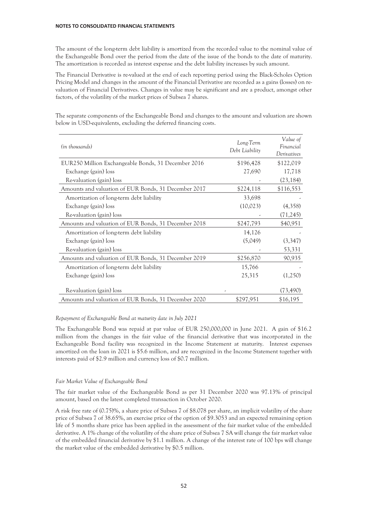The amount of the long-term debt liability is amortized from the recorded value to the nominal value of the Exchangeable Bond over the period from the date of the issue of the bonds to the date of maturity. The amortization is recorded as interest expense and the debt liability increases by such amount.

The Financial Derivative is re-valued at the end of each reporting period using the Black-Scholes Option Pricing Model and changes in the amount of the Financial Derivative are recorded as a gains (losses) on revaluation of Financial Derivatives. Changes in value may be significant and are a product, amongst other factors, of the volatility of the market prices of Subsea 7 shares.

The separate components of the Exchangeable Bond and changes to the amount and valuation are shown below in USD-equivalents, excluding the deferred financing costs.

| (in thousands)                                       | Long-Term<br>Debt Liability | Value of<br>Financial<br>Derivatives |
|------------------------------------------------------|-----------------------------|--------------------------------------|
| EUR250 Million Exchangeable Bonds, 31 December 2016  | \$196,428                   | \$122,019                            |
| Exchange (gain) loss                                 | 27,690                      | 17,718                               |
| Re-valuation (gain) loss                             |                             | (23, 184)                            |
| Amounts and valuation of EUR Bonds, 31 December 2017 | \$224,118                   | \$116,553                            |
| Amortization of long-term debt liability             | 33,698                      |                                      |
| Exchange (gain) loss                                 | (10,023)                    | (4,358)                              |
| Re-valuation (gain) loss                             |                             | (71, 245)                            |
| Amounts and valuation of EUR Bonds, 31 December 2018 | \$247,793                   | \$40,951                             |
| Amortization of long-term debt liability             | 14,126                      |                                      |
| Exchange (gain) loss                                 | (5,049)                     | (3,347)                              |
| Re-valuation (gain) loss                             |                             | 53,331                               |
| Amounts and valuation of EUR Bonds, 31 December 2019 | \$256,870                   | 90,935                               |
| Amortization of long-term debt liability             | 15,766                      |                                      |
| Exchange (gain) loss                                 | 25,315                      | (1,250)                              |
| Re-valuation (gain) loss                             |                             | (73, 490)                            |
| Amounts and valuation of EUR Bonds, 31 December 2020 | \$297,951                   | \$16,195                             |

# *Repayment of Exchangeable Bond at maturity date in July 2021*

The Exchangeable Bond was repaid at par value of EUR 250,000,000 in June 2021. A gain of \$16.2 million from the changes in the fair value of the financial derivative that was incorporated in the Exchangeable Bond facility was recognized in the Income Statement at maturity. Interest expenses amortized on the loan in 2021 is \$5.6 million, and are recognized in the Income Statement together with interests paid of \$2.9 million and currency loss of \$0.7 million.

## *Fair Market Value of Exchangeable Bond*

The fair market value of the Exchangeable Bond as per 31 December 2020 was 97.13% of principal amount, based on the latest completed transaction in October 2020.

A risk free rate of (0.75)%, a share price of Subsea 7 of \$8.078 per share, an implicit volatility of the share price of Subsea 7 of 38.65%, an exercise price of the option of \$9.3053 and an expected remaining option life of 5 months share price has been applied in the assessment of the fair market value of the embedded derivative. A 1% change of the voliatility of the share price of Subsea 7 SA will change the fair market value of the embedded financial derivative by \$1.1 million. A change of the interest rate of 100 bps will change the market value of the embedded derivative by \$0.5 million.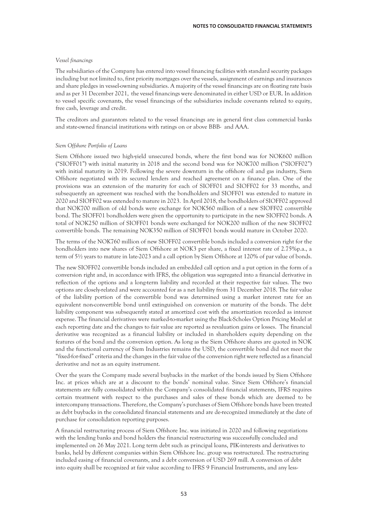### *Vessel financings*

The subsidiaries of the Company has entered into vessel financing facilities with standard security packages including but not limited to, first priority mortgages over the vessels, assignment of earnings and insurances and share pledges in vessel-owning subsidiaries. A majority of the vessel financings are on floating rate basis and as per 31 December 2021, the vessel financings were denominated in either USD or EUR. In addition to vessel specific covenants, the vessel financings of the subsidiaries include covenants related to equity, free cash, leverage and credit.

The creditors and guarantors related to the vessel financings are in general first class commercial banks and state-owned financial institutions with ratings on or above BBB- and AAA.

## *Siem Offshore Portfolio of Loans*

Siem Offshore issued two high-yield unsecured bonds, where the first bond was for NOK600 million ("SIOFF01") with initial maturity in 2018 and the second bond was for NOK700 million ("SIOFF02") with initial maturity in 2019. Following the severe downturn in the offshore oil and gas industry, Siem Offshore negotiated with its secured lenders and reached agreement on a finance plan. One of the provisions was an extension of the maturity for each of SIOFF01 and SIOFF02 for 33 months, and subsequently an agreement was reached with the bondholders and SIOFF01 was extended to mature in 2020 and SIOFF02 was extended to mature in 2023. In April 2018, the bondholders of SIOFF02 approved that NOK700 million of old bonds were exchange for NOK560 million of a new SIOFF02 convertible bond. The SIOFF01 bondholders were given the opportunity to participate in the new SIOFF02 bonds. A total of NOK250 million of SIOFF01 bonds were exchanged for NOK200 million of the new SIOFF02 convertible bonds. The remaining NOK350 million of SIOFF01 bonds would mature in October 2020.

The terms of the NOK760 million of new SIOFF02 convertible bonds included a conversion right for the bondholders into new shares of Siem Offshore at NOK3 per share, a fixed interest rate of 2.75%p.a., a term of 5½ years to mature in late-2023 and a call option by Siem Offshore at 120% of par value of bonds.

The new SIOFF02 convertible bonds included an embedded call option and a put option in the form of a conversion right and, in accordance with IFRS, the obligation was segregated into a financial derivative in reflection of the options and a long-term liability and recorded at their respective fair values. The two options are closely-related and were accounted for as a net liability from 31 December 2018. The fair value of the liability portion of the convertible bond was determined using a market interest rate for an equivalent non-convertible bond until extinguished on conversion or maturity of the bonds. The debt liability component was subsequently stated at amortized cost with the amortization recorded as interest expense. The financial derivatives were marked-to-market using the Black-Scholes Option Pricing Model at each reporting date and the changes to fair value are reported as revaluation gains or losses. The financial derivative was recognized as a financial liability or included in shareholders equity depending on the features of the bond and the conversion option. As long as the Siem Offshore shares are quoted in NOK and the functional currency of Siem Industries remains the USD, the convertible bond did not meet the "fixed-for-fixed" criteria and the changes in the fair value of the conversion right were reflected as a financial derivative and not as an equity instrument.

Over the years the Company made several buybacks in the market of the bonds issued by Siem Offshore Inc. at prices which are at a discount to the bonds' nominal value. Since Siem Offshore's financial statements are fully consolidated within the Company's consolidated financial statements, IFRS requires certain treatment with respect to the purchases and sales of these bonds which are deemed to be intercompany transactions. Therefore, the Company's purchases of Siem Offshore bonds have been treated as debt buybacks in the consolidated financial statements and are de-recognized immediately at the date of purchase for consolidation reporting purposes.

A financial restructuring process of Siem Offshore Inc. was initiated in 2020 and following negotiations with the lending banks and bond holders the financial restructuring was successfully concluded and implemented on 26 May 2021. Long term debt such as principal loans, PIK-interests and derivatives to banks, held by different companies within Siem Offshore Inc. group was restructured. The restructuring included easing of financial covenants, and a debt conversion of USD 269 mill. A conversion of debt into equity shall be recognized at fair value according to IFRS 9 Financial Instruments, and any less-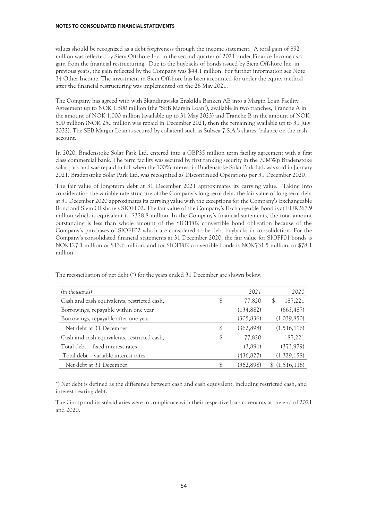values should be recognized as a debt forgiveness through the income statement. A total gain of \$92 million was reflected by Siem Offshore Inc. in the second quarter of 2021 under Finance Income as a gain from the financial restructuring. Due to the buybacks of bonds issued by Siem Offshore Inc. in previous years, the gain reflected by the Company was \$44.1 million. For further information see Note 34 Other Income. The investment in Siem Offshore has been accounted for under the equity method after the financial restructuring was implemented on the 26 May 2021.

The Company has agreed with with Skandinaviska Enskilda Banken AB into a Margin Loan Facility Agreement up to NOK 1,500 million (the "SEB Margin Loan"), available in two tranches, Tranche A in the amount of NOK 1,000 million (available up to 31 May 2023) and Tranche B in the amount of NOK 500 million (NOK 250 million was repaid in December 2021, then the remaining available up to 31 July 2022). The SEB Margin Loan is secured by collateral such as Subsea 7 S.A.'s shares, balance on the cash account.

In 2020, Bradenstoke Solar Park Ltd. entered into a GBP35 million term facility agreement with a first class commercial bank. The term facility was secured by first ranking security in the 70MWp Bradenstoke solar park and was repaid in full when the 100%-interest in Bradenstoke Solar Park Ltd. was sold in January 2021. Bradenstoke Solar Park Ltd. was recoqnized as Discontinued Operations per 31 December 2020.

The fair value of long-term debt at 31 December 2021 approximates its carrying value. Taking into consideration the variable rate structure of the Company's long-term debt, the fair value of long-term debt at 31 December 2020 approximates its carrying value with the exceptions for the Company's Exchangeable Bond and Siem Offshore's SIOFF02. The fair value of the Company's Exchangeable Bond is at EUR267.9 million which is equivalent to \$328.8 million. In the Company's financial statements, the total amount outstanding is less than whole amount of the SIOFF02 convertible bond obligation because of the Company's purchases of SIOFF02 which are considered to be debt buybacks in consolidation. For the Company's consolidated financial statements at 31 December 2020, the fair value for SIOFF01 bonds is NOK127.1 million or \$13.6 million, and for SIOFF02 convertible bonds is NOK731.5 million, or \$78.1 million.

| (in thousands)                              |     | 2021       | 2020          |
|---------------------------------------------|-----|------------|---------------|
| Cash and cash equivalents, restricted cash, | \$  | 77,820     | 187,221<br>\$ |
| Borrowings, repayable within one year       |     | (134, 882) | (663, 487)    |
| Borrowings, repayable after one year        |     | (305,836)  | (1,039,850)   |
| Net debt at 31 December                     | \$. | (362,898)  | (1,516,116)   |
| Cash and cash equivalents, restricted cash, | \$  | 77,820     | 187,221       |
| Total debt – fixed interest rates           |     | (3,891)    | (373,979)     |
| Total debt – variable interest rates        |     | (436,827)  | (1,329,158)   |
| Net debt at 31 December                     | \$  | (362,898)  | (1,516,116)   |

The reconciliation of net debt (\*) for the years ended 31 December are shown below:

\*) Net debt is defined as the difference between cash and cash equivalent, including restricted cash, and interest bearing debt.

The Group and its subsidiaries were in compliance with their respective loan covenants at the end of 2021 and 2020.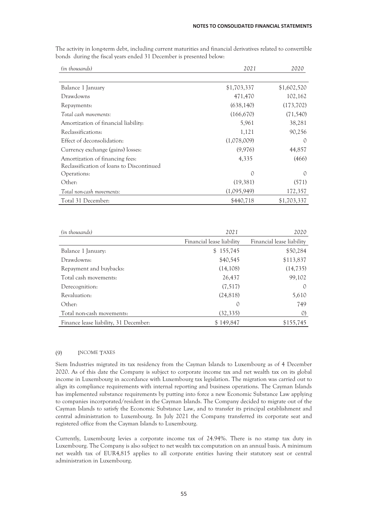| (in thousands)                            | 2021        | 2020        |
|-------------------------------------------|-------------|-------------|
|                                           |             |             |
| Balance 1 January                         | \$1,703,337 | \$1,602,520 |
| Drawdowns                                 | 471,470     | 102,162     |
| Repayments:                               | (638, 140)  | (173, 702)  |
| Total cash movements:                     | (166, 670)  | (71, 540)   |
| Amortization of financial liability:      | 5,961       | 38,281      |
| Reclassifications:                        | 1,121       | 90,256      |
| Effect of deconsolidation:                | (1,078,009) | $\Omega$    |
| Currency exchange (gains) losses:         | (9,976)     | 44,857      |
| Amortization of financing fees:           | 4,335       | (466)       |
| Reclassification of loans to Discontinued |             |             |
| Operations:                               | 0           | $\Omega$    |
| Other:                                    | (19,381)    | (571)       |
| Total non-cash movements:                 | (1,095,949) | 172,357     |
| Total 31 December:                        | \$440,718   | \$1,703,337 |

The activity in long-term debt, including current maturities and financial derivatives related to convertible bonds during the fiscal years ended 31 December is presented below:

| (in thousands)                        | 2021                      | 2020                      |
|---------------------------------------|---------------------------|---------------------------|
|                                       | Financial lease liability | Financial lease liability |
| Balance 1 January:                    | \$155,745                 | \$50,284                  |
| Drawdowns:                            | \$40,545                  | \$113,837                 |
| Repayment and buybacks:               | (14,108)                  | (14, 735)                 |
| Total cash movements:                 | 26,437                    | 99,102                    |
| Derecognition:                        | (7,517)                   |                           |
| Revaluation:                          | (24, 818)                 | 5,610                     |
| Other:                                | O                         | 749                       |
| Total non-cash movements:             | (32, 335)                 | $\circ$                   |
| Finance lease liability, 31 December: | \$149,847                 | \$155,745                 |

### (9) INCOME TAXES

Siem Industries migrated its tax residency from the Cayman Islands to Luxembourg as of 4 December 2020. As of this date the Company is subject to corporate income tax and net wealth tax on its global income in Luxembourg in accordance with Luxembourg tax legislation. The migration was carried out to align its compliance requirements with internal reporting and business operations. The Cayman Islands has implemented substance requirements by putting into force a new Economic Substance Law applying to companies incorporated/resident in the Cayman Islands. The Company decided to migrate out of the Cayman Islands to satisfy the Economic Substance Law, and to transfer its principal establishment and central administration to Luxembourg. In July 2021 the Company transferred its corporate seat and registered office from the Cayman Islands to Luxembourg.

Currently, Luxembourg levies a corporate income tax of 24.94%. There is no stamp tax duty in Luxembourg. The Company is also subject to net wealth tax computation on an annual basis. A minimum net wealth tax of EUR4,815 applies to all corporate entities having their statutory seat or central administration in Luxembourg.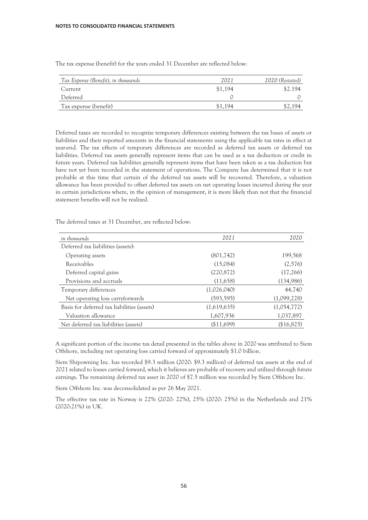| Tax Expense (Benefit), in thousands | 2021    | 2020 (Restated) |
|-------------------------------------|---------|-----------------|
| Current                             | \$1.194 | \$2.194         |
| Deferred                            |         |                 |
| Tax expense (benefit)               | \$1.194 | -194            |

The tax expense (benefit) for the years ended 31 December are reflected below:

Deferred taxes are recorded to recognize temporary differences existing between the tax bases of assets or liabilities and their reported amounts in the financial statements using the applicable tax rates in effect at year-end. The tax effects of temporary differences are recorded as deferred tax assets or deferred tax liabilities. Deferred tax assets generally represent items that can be used as a tax deduction or credit in future years. Deferred tax liabilities generally represent items that have been taken as a tax deduction but have not yet been recorded in the statement of operations. The Company has determined that it is not probable at this time that certain of the deferred tax assets will be recovered. Therefore, a valuation allowance has been provided to offset deferred tax assets on net operating losses incurred during the year in certain jurisdictions where, in the opinion of management, it is more likely than not that the financial statement benefits will not be realized.

The deferred taxes at 31 December, are reflected below:

| in thousands                                | 2021        | 2020        |
|---------------------------------------------|-------------|-------------|
| Deferred tax liabilities (assets):          |             |             |
| Operating assets                            | (801, 742)  | 199,568     |
| Receivables                                 | (15,084)    | (2,576)     |
| Deferred capital gains                      | (220, 872)  | (17,266)    |
| Provisions and accruals                     | (11,658)    | (134,986)   |
| Temporary differences                       | (1,026,040) | 44,740      |
| Net operating loss carryforwards            | (593, 595)  | (1,099,228) |
| Basis for deferred tax liabilities (assets) | (1,619,635) | (1,054,772) |
| Valuation allowance                         | 1,607,936   | 1,037,897   |
| Net deferred tax liabilities (assets)       | (\$11,699)  | (\$16,825)  |

A significant portion of the income tax detail presented in the tables above in 2020 was attributed to Siem Offshore, including net operating loss carried forward of approximately \$1.0 billion.

Siem Shipowning Inc. has recorded \$9.3 million (2020: \$9.3 million) of deferred tax assets at the end of 2021 related to losses carried forward, which it believes are probable of recovery and utilized through future earnings. The remaining deferred tax asset in 2020 of \$7.5 million was recorded by Siem Offshore Inc.

Siem Offshore Inc. was deconsolidated as per 26 May 2021.

The effective tax rate in Norway is 22% (2020: 22%), 25% (2020: 25%) in the Netherlands and 21% (2020:21%) in UK.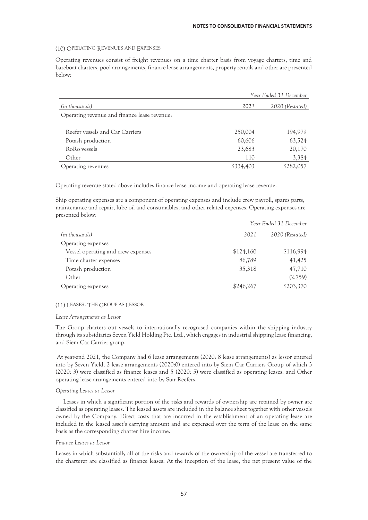## (10) OPERATING REVENUES AND EXPENSES

Operating revenues consist of freight revenues on a time charter basis from voyage charters, time and bareboat charters, pool arrangements, finance lease arrangements, property rentals and other are presented below:

|                                              |           | Year Ended 31 December |
|----------------------------------------------|-----------|------------------------|
| (in thousands)                               | 2021      | 2020 (Restated)        |
| Operating revenue and finance lease revenue: |           |                        |
| Reefer vessels and Car Carriers              | 250,004   | 194,979                |
| Potash production                            | 60,606    | 63,524                 |
| RoRo vessels                                 | 23,683    | 20,170                 |
| Other                                        | 110       | 3,384                  |
| Operating revenues                           | \$334,403 | \$282,057              |

Operating revenue stated above includes finance lease income and operating lease revenue.

Ship operating expenses are a component of operating expenses and include crew payroll, spares parts, maintenance and repair, lube oil and consumables, and other related expenses. Operating expenses are presented below:

|                                    |           | Year Ended 31 December |
|------------------------------------|-----------|------------------------|
| (in thousands)                     | 2021      | 2020 (Restated)        |
| Operating expenses                 |           |                        |
| Vessel operating and crew expenses | \$124,160 | \$116,994              |
| Time charter expenses              | 86,789    | 41,425                 |
| Potash production                  | 35,318    | 47,710                 |
| Other                              |           | (2,759)                |
| Operating expenses                 | \$246,267 | \$203,370              |

# (11) LEASES - THE GROUP AS LESSOR

### *Lease Arrangements as Lessor*

The Group charters out vessels to internationally recognised companies within the shipping industry through its subsidiaries Seven Yield Holding Pte. Ltd., which engages in industrial shipping lease financing, and Siem Car Carrier group.

 At year-end 2021, the Company had 6 lease arrangements (2020: 8 lease arrangements) as lessor entered into by Seven Yield, 2 lease arrangements (2020:0) entered into by Siem Car Carriers Group of which 3 (2020: 3) were classified as finance leases and 5 (2020: 5) were classified as operating leases, and Other operating lease arrangements entered into by Star Reefers.

### *Operating Leases as Lessor*

 Leases in which a significant portion of the risks and rewards of ownership are retained by owner are classified as operating leases. The leased assets are included in the balance sheet together with other vessels owned by the Company. Direct costs that are incurred in the establishment of an operating lease are included in the leased asset's carrying amount and are expensed over the term of the lease on the same basis as the corresponding charter hire income.

## *Finance Leases as Lessor*

Leases in which substantially all of the risks and rewards of the ownership of the vessel are transferred to the charterer are classified as finance leases. At the inception of the lease, the net present value of the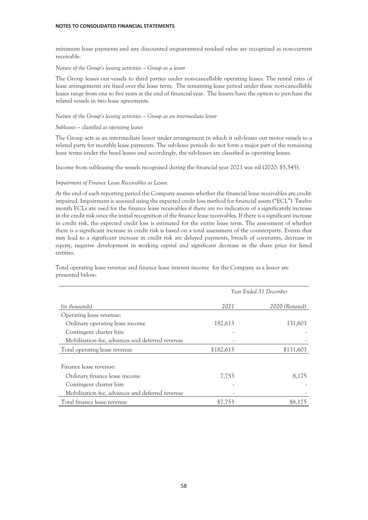minimum lease payments and any discounted unguaranteed residual value are recognized as non-current receivable.

## *Nature of the Group's leasing activities – Group as a lessor*

The Group leases out vessels to third parties under non-cancellable operating leases. The rental rates of lease arrangements are fixed over the lease term. The remaining lease period under these non-cancellable leases range from one to five years at the end of financial year. The lessees have the option to purchase the related vessels in two lease agreements.

## *Nature of the Group's leasing activities – Group as an intermediate lessor*

## *Subleases – classified as operating leases*

The Group acts as an intermediate lessor under arrangement in which it sub-leases out motor vessels to a related party for monthly lease payments. The sub-lease periods do not form a major part of the remaining lease terms under the head leases and accordingly, the sub-leases are classified as operating leases.

Income from subleasing the vessels recognised during the financial year 2021 was nil (2020: \$5,545).

# *Impairment of Finance Lease Receivables as Lessor.*

At the end of each reporting period the Company assesses whether the financial lease receivables are creditimpaired. Impairment is assessed using the expected credit loss method for financial assets ("ECL"). Twelve month ECLs are used for the finance lease receivables if there are no indication of a significantly increase in the credit risk since the initial recognition of the finance lease receivables. If there is a significant increase in credit risk, the expected credit loss is estimated for the entire lease term. The assessment of whether there is a significant increase in credit risk is based on a total assessment of the counterparty. Events that may lead to a significant increase in credit risk are delayed payments, breach of covenants, decrease in equity, negative development in working capital and significant decrease in the share price for listed entities.

Total operating lease revenue and finance lease interest income for the Company as a lessor are presented below:

|                                                 | Year Ended 31 December |                 |
|-------------------------------------------------|------------------------|-----------------|
| (in thousands)                                  | 2021                   | 2020 (Restated) |
| Operating lease revenue:                        |                        |                 |
| Ordinary operating lease income                 | 182,613                | 131,603         |
| Contingent charter hire                         |                        |                 |
| Mobilization fee, advances and deferred revenue |                        |                 |
| Total operating lease revenue                   | \$182,613              | \$131,603       |
| Finance lease revenue:                          |                        |                 |
| Ordinary finance lease income                   | 7,753                  | 8,175           |
| Contingent charter hire                         |                        |                 |
| Mobilization fee, advances and deferred revenue |                        |                 |
| Total finance lease revenue                     | \$7.753                | \$8.175         |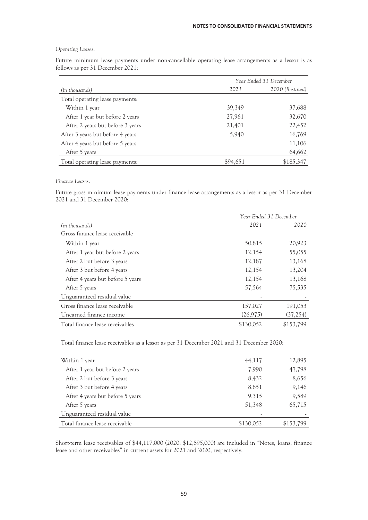# *Operating Leases*.

|                                  | Year Ended 31 December |                 |
|----------------------------------|------------------------|-----------------|
| (in thousands)                   | 2021                   | 2020 (Restated) |
| Total operating lease payments:  |                        |                 |
| Within 1 year                    | 39,349                 | 37,688          |
| After 1 year but before 2 years  | 27,961                 | 32,670          |
| After 2 years but before 3 years | 21,401                 | 22,452          |
| After 3 years but before 4 years | 5,940                  | 16,769          |
| After 4 years but before 5 years |                        | 11,106          |
| After 5 years                    |                        | 64,662          |
| Total operating lease payments:  | \$94,651               | \$185,347       |

Future minimum lease payments under non-cancellable operating lease arrangements as a lessor is as follows as per 31 December 2021:

## *Finance Leases*.

Future gross minimum lease payments under finance lease arrangements as a lessor as per 31 December 2021 and 31 December 2020:

|                                  | Year Ended 31 December   |           |
|----------------------------------|--------------------------|-----------|
| (in thousands)                   | 2021                     | 2020      |
| Gross finance lease receivable   |                          |           |
| Within 1 year                    | 50,815                   | 20,923    |
| After 1 year but before 2 years  | 12,154                   | 55,055    |
| After 2 but before 3 years       | 12,187                   | 13,168    |
| After 3 but before 4 years       | 12,154                   | 13,204    |
| After 4 years but before 5 years | 12,154                   | 13,168    |
| After 5 years                    | 57,564                   | 75,535    |
| Unguaranteed residual value      | $\overline{\phantom{a}}$ |           |
| Gross finance lease receivable   | 157,027                  | 191,053   |
| Unearned finance income          | (26, 975)                | (37, 254) |
| Total finance lease receivables  | \$130,052                | \$153,799 |

Total finance lease receivables as a lessor as per 31 December 2021 and 31 December 2020:

| Within 1 year                    | 44,117    | 12,895    |
|----------------------------------|-----------|-----------|
| After 1 year but before 2 years  | 7,990     | 47,798    |
| After 2 but before 3 years       | 8,432     | 8,656     |
| After 3 but before 4 years       | 8,851     | 9,146     |
| After 4 years but before 5 years | 9,315     | 9,589     |
| After 5 years                    | 51,348    | 65,715    |
| Unguaranteed residual value      | ٠         |           |
| Total finance lease receivable   | \$130,052 | \$153,799 |

Short-term lease receivables of \$44,117,000 (2020: \$12,895,000) are included in "Notes, loans, finance lease and other receivables" in current assets for 2021 and 2020, respectively.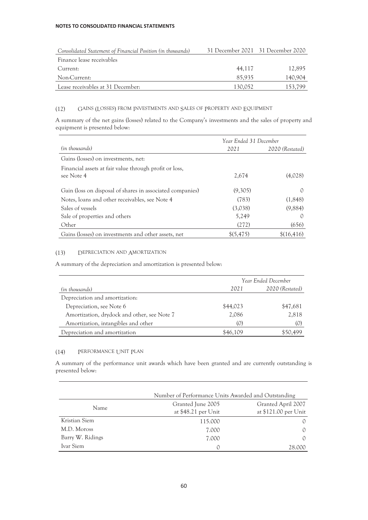| Consolidated Statement of Financial Position (in thousands) |         | 31 December 2021 31 December 2020 |
|-------------------------------------------------------------|---------|-----------------------------------|
| Finance lease receivables                                   |         |                                   |
| Current:                                                    | 44,117  | 12,895                            |
| Non-Current:                                                | 85.935  | 140.904                           |
| Lease receivables at 31 December:                           | 130.052 | 153.799                           |

# (12) GAINS (LOSSES) FROM INVESTMENTS AND SALES OF PROPERTY AND EQUIPMENT

A summary of the net gains (losses) related to the Company's investments and the sales of property and equipment is presented below:

|                                                                      | Year Ended 31 December |                 |
|----------------------------------------------------------------------|------------------------|-----------------|
| (in thousands)                                                       | 2021                   | 2020 (Restated) |
| Gains (losses) on investments, net:                                  |                        |                 |
| Financial assets at fair value through profit or loss,<br>see Note 4 | 2,674                  | (4,028)         |
| Gain (loss on disposal of shares in associated companies)            | (9,305)                |                 |
| Notes, loans and other receivables, see Note 4                       | (783)                  | (1,848)         |
| Sales of vessels                                                     | (3,038)                | (9,884)         |
| Sale of properties and others                                        | 5,249                  |                 |
| Other                                                                | (272)                  | (656)           |
| Gains (losses) on investments and other assets, net                  | \$(5,475)              | \$(16,416)      |

# (13) DEPRECIATION AND AMORTIZATION

A summary of the depreciation and amortization is presented below:

|                                             | Year Ended December |                 |
|---------------------------------------------|---------------------|-----------------|
| (in thousands)                              | 2021                | 2020 (Restated) |
| Depreciation and amortization:              |                     |                 |
| Depreciation, see Note 6                    | \$44,023            | \$47,681        |
| Amortization, drydock and other, see Note 7 | 2,086               | 2,818           |
| Amortization, intangibles and other         | (0)                 | (0)             |
| Depreciation and amortization               | \$46.109            | \$50,499        |

# (14) PERFORMANCE UNIT PLAN

A summary of the performance unit awards which have been granted and are currently outstanding is presented below:

|                  | Number of Performance Units Awarded and Outstanding |                                            |
|------------------|-----------------------------------------------------|--------------------------------------------|
| Name             | Granted June 2005<br>at \$48.21 per Unit            | Granted April 2007<br>at \$121.00 per Unit |
| Kristian Siem    | 115.000                                             |                                            |
| M.D. Moross      | 7.000                                               |                                            |
| Barry W. Ridings | 7.000                                               |                                            |
| Ivar Siem        |                                                     | 28.000                                     |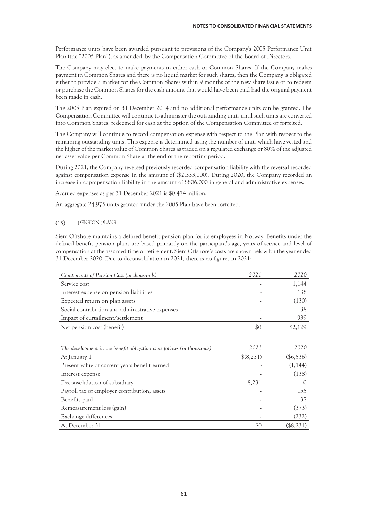Performance units have been awarded pursuant to provisions of the Company's 2005 Performance Unit Plan (the "2005 Plan"), as amended, by the Compensation Committee of the Board of Directors.

The Company may elect to make payments in either cash or Common Shares. If the Company makes payment in Common Shares and there is no liquid market for such shares, then the Company is obligated either to provide a market for the Common Shares within 9 months of the new share issue or to redeem or purchase the Common Shares for the cash amount that would have been paid had the original payment been made in cash.

The 2005 Plan expired on 31 December 2014 and no additional performance units can be granted. The Compensation Committee will continue to administer the outstanding units until such units are converted into Common Shares, redeemed for cash at the option of the Compensation Committee or forfeited.

The Company will continue to record compensation expense with respect to the Plan with respect to the remaining outstanding units. This expense is determined using the number of units which have vested and the higher of the market value of Common Shares as traded on a regulated exchange or 80% of the adjusted net asset value per Common Share at the end of the reporting period.

During 2021, the Company reversed previously recorded compensation liability with the reversal recorded against compensation expense in the amount of (\$2,333,000). During 2020, the Company recorded an increase in copmpensation liability in the amount of \$806,000 in general and administrative expenses.

Accrued expenses as per 31 December 2021 is \$0.474 million.

An aggregate 24,975 units granted under the 2005 Plan have been forfeited.

## (15) PENSION PLANS

Siem Offshore maintains a defined benefit pension plan for its employees in Norway. Benefits under the defined benefit pension plans are based primarily on the participant's age, years of service and level of compensation at the assumed time of retirement. Siem Offshore's costs are shown below for the year ended 31 December 2020. Due to deconsolidation in 2021, there is no figures in 2021:

| Components of Pension Cost (in thousands)       | 2021                     | 2020    |
|-------------------------------------------------|--------------------------|---------|
| Service cost                                    |                          | 1,144   |
| Interest expense on pension liabilities         | ۔                        | 138     |
| Expected return on plan assets                  | $\overline{\phantom{a}}$ | (130)   |
| Social contribution and administrative expenses | ۔                        | 38      |
| Impact of curtailment/settlement                | ۔                        | 939     |
| Net pension cost (benefit)                      |                          | \$2.129 |

| The development in the benefit obligation is as follows (in thousands) | 2021                     | 2020        |
|------------------------------------------------------------------------|--------------------------|-------------|
| At January 1                                                           | \$(8,231)                | $(\$6,536)$ |
| Present value of current years benefit earned                          | ٠                        | (1, 144)    |
| Interest expense                                                       | ٠                        | (138)       |
| Deconsolidation of subsidiary                                          | 8,231                    | U           |
| Payroll tax of employer contribution, assets                           |                          | 155         |
| Benefits paid                                                          | ٠                        | 37          |
| Remeasurement loss (gain)                                              | ٠                        | (373)       |
| Exchange differences                                                   | $\overline{\phantom{a}}$ | (232)       |
| At December 31                                                         | \$0                      | (\$8.231)   |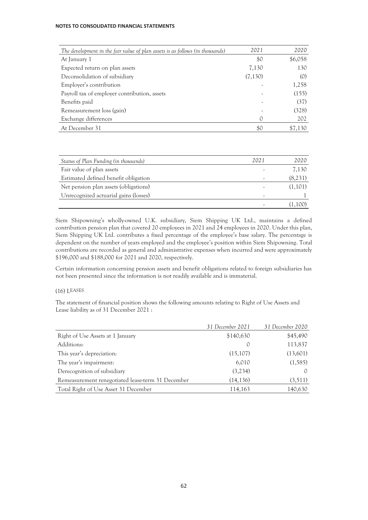| The development in the fair value of plan assets is as follows (in thousands) | 2021                     | 2020    |
|-------------------------------------------------------------------------------|--------------------------|---------|
| At January 1                                                                  | \$0                      | \$6,058 |
| Expected return on plan assets                                                | 7,130                    | 130     |
| Deconsolidation of subsidiary                                                 | (7, 130)                 | (0)     |
| Employer's contribution                                                       |                          | 1,258   |
| Payroll tax of employer contribution, assets                                  | ٠                        | (155)   |
| Benefits paid                                                                 | $\overline{\phantom{a}}$ | (37)    |
| Remeasurement loss (gain)                                                     | ٠                        | (328)   |
| Exchange differences                                                          |                          | 202     |
| At December 31                                                                | \$0                      | \$7,130 |

| Status of Plan Funding (in thousands) | 2021                     | 2020    |
|---------------------------------------|--------------------------|---------|
| Fair value of plan assets             | ٠                        | 7,130   |
| Estimated defined benefit obligation  | ٠                        | (8,231) |
| Net pension plan assets (obligations) | $\overline{\phantom{a}}$ | (1.101) |
| Unrecognized actuarial gains (losses) | $\overline{\phantom{a}}$ |         |
|                                       | $\overline{\phantom{a}}$ |         |

Siem Shipowning's wholly-owned U.K. subsidiary, Siem Shipping UK Ltd., maintains a defined contribution pension plan that covered 20 employees in 2021 and 24 employees in 2020. Under this plan, Siem Shipping UK Ltd. contributes a fixed percentage of the employee's base salary. The percentage is dependent on the number of years employed and the employee's position within Siem Shipowning. Total contributions are recorded as general and administrative expenses when incurred and were approximately \$196,000 and \$188,000 for 2021 and 2020, respectively.

Certain information concerning pension assets and benefit obligations related to foreign subsidiaries has not been presented since the information is not readily available and is immaterial.

## (16) LEASES

The statement of financial position shows the following amounts relating to Right of Use Assets and Lease liability as of 31 December 2021 :

|                                                   | 31 December 2021 | 31 December 2020 |
|---------------------------------------------------|------------------|------------------|
| Right of Use Assets at 1 January                  | \$140,630        | \$45,490         |
| Additions:                                        | 0                | 113,837          |
| This year's depreciation:                         | (15, 107)        | (13,601)         |
| The year's impairment:                            | 6,010            | (1,585)          |
| Derecognition of subsidiary                       | (3,234)          |                  |
| Remeasurement renegotiated lease-term 31 December | (14, 136)        | (3,511)          |
| Total Right of Use Asset 31 December              | 114,163          | 140,630          |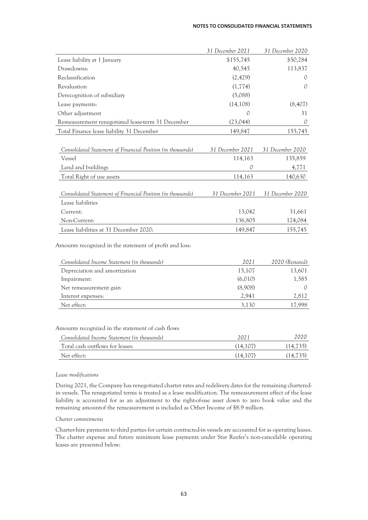|                                                             | 31 December 2021 | 31 December 2020 |
|-------------------------------------------------------------|------------------|------------------|
| Lease liability at 1 January                                | \$155,745        | \$50,284         |
| Drawdowns:                                                  | 40,545           | 113,837          |
| Reclassification                                            | (2,429)          | 0                |
| Revaluation                                                 | (1,774)          | $\Omega$         |
| Derecognition of subsidiary                                 | (5,088)          |                  |
| Lease payments:                                             | (14, 108)        | (8,407)          |
| Other adjustment                                            | 0                | 31               |
| Remeasurement renegotiated lease-term 31 December           | (23,044)         | 0                |
| Total Finance lease liability 31 December                   | 149,847          | 155,745          |
|                                                             |                  |                  |
| Consolidated Statement of Financial Position (in thousands) | 31 December 2021 | 31 December 2020 |
| Vessel                                                      | 114,163          | 135,859          |
| Land and buildings                                          | 0                | 4,771            |
| Total Right of use assets                                   | 114,163          | 140,630          |
|                                                             |                  |                  |
| Consolidated Statement of Financial Position (in thousands) | 31 December 2021 | 31 December 2020 |
| Lease liabilities                                           |                  |                  |
| Current:                                                    | 13,042           | 31,661           |
| Non-Current:                                                | 136,805          | 124,084          |
| Lease liabilities at 31 December 2020:                      | 149,847          | 155,745          |

Amounts recognized in the statement of profit and loss:

| Consolidated Income Statement (in thousands) | 2021    | 2020 (Restated) |
|----------------------------------------------|---------|-----------------|
| Depreciation and amortization                | 15,107  | 13,601          |
| Impairment:                                  | (6,010) | 1,585           |
| Net remeasurement gain                       | (8,908) |                 |
| Interest expenses:                           | 2.941   | 2,812           |
| Net effect:                                  | 3,130   | 17.998          |

Amounts recognized in the statement of cash flows

| Consolidated Income Statement (in thousands) | 2021     | 2020     |
|----------------------------------------------|----------|----------|
| Total cash outflows for leases:              | (14.107) | (14,735) |
| Net effect:                                  | (14.107) | (14,735  |

## *Lease modifications*

During 2021, the Company has renegotiated charter rates and redelivery dates for the remaining charteredin vessels. The renegotiated terms is treated as a lease modification. The remeasurement effect of the lease liability is accounted for as an adjustment to the right-of-use asset down to zero book value and the remaining amountof the remeasurement is included as Other Income of \$8.9 million.

## *Charter commitments*

Charter-hire payments to third parties for certain contracted-in vessels are accounted for as operating leases. The charter expense and future minimum lease payments under Star Reefer's non-cancelable operating leases are presented below: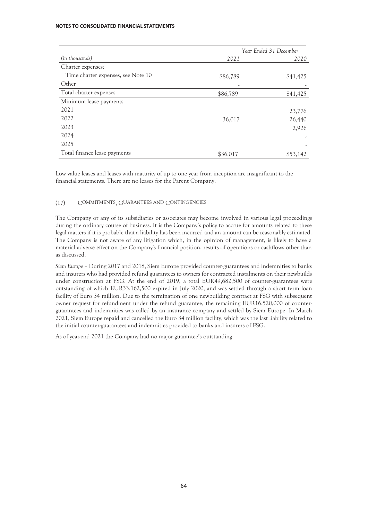|                                    |          | Year Ended 31 December |  |
|------------------------------------|----------|------------------------|--|
| (in thousands)                     | 2021     | 2020                   |  |
| Charter expenses:                  |          |                        |  |
| Time charter expenses, see Note 10 | \$86,789 | \$41,425               |  |
| Other                              |          |                        |  |
| Total charter expenses             | \$86,789 | \$41,425               |  |
| Minimum lease payments             |          |                        |  |
| 2021                               |          | 23,776                 |  |
| 2022                               | 36,017   | 26,440                 |  |
| 2023                               |          | 2,926                  |  |
| 2024                               |          |                        |  |
| 2025                               |          |                        |  |
| Total finance lease payments       | \$36,017 | \$53,142               |  |

Low value leases and leases with maturity of up to one year from inception are insignificant to the financial statements. There are no leases for the Parent Company.

## (17) COMMITMENTS, GUARANTEES AND CONTINGENCIES

The Company or any of its subsidiaries or associates may become involved in various legal proceedings during the ordinary course of business. It is the Company's policy to accrue for amounts related to these legal matters if it is probable that a liability has been incurred and an amount can be reasonably estimated. The Company is not aware of any litigation which, in the opinion of management, is likely to have a material adverse effect on the Company's financial position, results of operations or cashflows other than as discussed.

*Siem Europe* – During 2017 and 2018, Siem Europe provided counter-guarantees and indemnities to banks and insurers who had provided refund guarantees to owners for contracted instalments on their newbuilds under construction at FSG. At the end of 2019, a total EUR49,682,500 of counter-guarantees were outstanding of which EUR33,162,500 expired in July 2020, and was settled through a short term loan facility of Euro 34 million. Due to the termination of one newbuilding contract at FSG with subsequent owner request for refundment under the refund guarantee, the remaining EUR16,520,000 of counterguarantees and indemnities was called by an insurance company and settled by Siem Europe. In March 2021, Siem Europe repaid and cancelled the Euro 34 million facility, which was the last liability related to the initial counter-guarantees and indemnities provided to banks and insurers of FSG.

As of year-end 2021 the Company had no major guarantee's outstanding.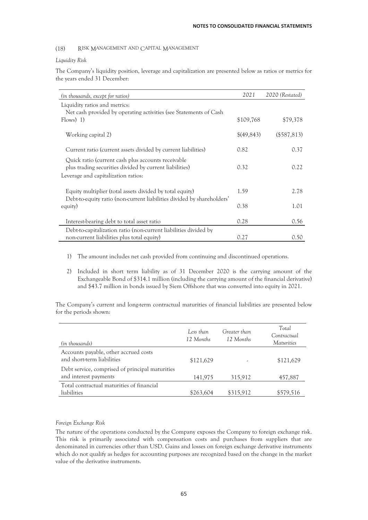## (18) RISK MANAGEMENT AND CAPITAL MANAGEMENT

*Liquidity Risk* 

The Company's liquidity position, leverage and capitalization are presented below as ratios or metrics for the years ended 31 December:

| (in thousands, except for ratios)                                      | 2021       | 2020 (Restated) |
|------------------------------------------------------------------------|------------|-----------------|
| Liquidity ratios and metrics:                                          |            |                 |
| Net cash provided by operating activities (see Statements of Cash      |            |                 |
| $Flows)$ 1)                                                            | \$109,768  | \$79,378        |
| Working capital 2)                                                     | \$(49,843) | (\$587,813)     |
|                                                                        |            |                 |
| Current ratio (current assets divided by current liabilities)          | 0.82       | 0.37            |
| Quick ratio (current cash plus accounts receivable                     |            |                 |
| plus trading securities divided by current liabilities)                | 0.32       | 0.22            |
| Leverage and capitalization ratios:                                    |            |                 |
| Equity multiplier (total assets divided by total equity)               | 1.59       | 2.78            |
| Debt-to-equity ratio (non-current liabilities divided by shareholders' |            |                 |
| equity)                                                                | 0.38       | 1.01            |
|                                                                        |            |                 |
| Interest-bearing debt to total asset ratio                             | 0.28       | 0.56            |
| Debt-to-capitalization ratio (non-current liabilities divided by       |            |                 |
| non-current liabilities plus total equity)                             | 0.27       | 0.50            |

1) The amount includes net cash provided from continuing and discontinued operations.

2) Included in short term liability as of 31 December 2020 is the carrying amount of the Exchangeable Bond of \$314.1 million (including the carrying amount of the financial derivative) and \$43.7 million in bonds issued by Siem Offshore that was converted into equity in 2021.

The Company's current and long-term contractual maturities of financial liabilities are presented below for the periods shown:

| (in thousands)                                                           | Less than<br>12 Months | Greater than<br>12 Months | Total<br>Contractual<br><i>Maturities</i> |
|--------------------------------------------------------------------------|------------------------|---------------------------|-------------------------------------------|
| Accounts payable, other accrued costs<br>and short-term liabilities      | \$121,629              |                           | \$121,629                                 |
| Debt service, comprised of principal maturities<br>and interest payments | 141,975                | 315,912                   | 457,887                                   |
| Total contractual maturities of financial                                |                        |                           |                                           |
| liabilities                                                              | \$263,604              | \$315,912                 | \$579,516                                 |

*Foreign Exchange Risk* 

The nature of the operations conducted by the Company exposes the Company to foreign exchange risk. This risk is primarily associated with compensation costs and purchases from suppliers that are denominated in currencies other than USD. Gains and losses on foreign exchange derivative instruments which do not qualify as hedges for accounting purposes are recognized based on the change in the market value of the derivative instruments.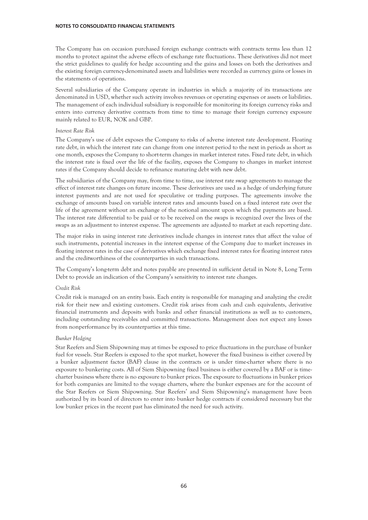The Company has on occasion purchased foreign exchange contracts with contracts terms less than 12 months to protect against the adverse effects of exchange rate fluctuations. These derivatives did not meet the strict guidelines to qualify for hedge accounting and the gains and losses on both the derivatives and the existing foreign currency-denominated assets and liabilities were recorded as currency gains or losses in the statements of operations.

Several subsidiaries of the Company operate in industries in which a majority of its transactions are denominated in USD, whether such activity involves revenues or operating expenses or assets or liabilities. The management of each individual subsidiary is responsible for monitoring its foreign currency risks and enters into currency derivative contracts from time to time to manage their foreign currency exposure mainly related to EUR, NOK and GBP.

### *Interest Rate Risk*

The Company's use of debt exposes the Company to risks of adverse interest rate development. Floating rate debt, in which the interest rate can change from one interest period to the next in periods as short as one month, exposes the Company to short-term changes in market interest rates. Fixed rate debt, in which the interest rate is fixed over the life of the facility, exposes the Company to changes in market interest rates if the Company should decide to refinance maturing debt with new debt.

The subsidiaries of the Company may, from time to time, use interest rate swap agreements to manage the effect of interest rate changes on future income. These derivatives are used as a hedge of underlying future interest payments and are not used for speculative or trading purposes. The agreements involve the exchange of amounts based on variable interest rates and amounts based on a fixed interest rate over the life of the agreement without an exchange of the notional amount upon which the payments are based. The interest rate differential to be paid or to be received on the swaps is recognized over the lives of the swaps as an adjustment to interest expense. The agreements are adjusted to market at each reporting date.

The major risks in using interest rate derivatives include changes in interest rates that affect the value of such instruments, potential increases in the interest expense of the Company due to market increases in floating interest rates in the case of derivatives which exchange fixed interest rates for floating interest rates and the creditworthiness of the counterparties in such transactions.

The Company's long-term debt and notes payable are presented in sufficient detail in Note 8, Long Term Debt to provide an indication of the Company's sensitivity to interest rate changes.

## *Credit Risk*

Credit risk is managed on an entity basis. Each entity is responsible for managing and analyzing the credit risk for their new and existing customers. Credit risk arises from cash and cash equivalents, derivative financial instruments and deposits with banks and other financial institutions as well as to customers, including outstanding receivables and committed transactions. Management does not expect any losses from nonperformance by its counterparties at this time.

#### *Bunker Hedging*

Star Reefers and Siem Shipowning may at times be exposed to price fluctuations in the purchase of bunker fuel for vessels. Star Reefers is exposed to the spot market, however the fixed business is either covered by a bunker adjustment factor (BAF) clause in the contracts or is under time-charter where there is no exposure to bunkering costs. All of Siem Shipowning fixed business is either covered by a BAF or is timecharter business where there is no exposure to bunker prices. The exposure to fluctuations in bunker prices for both companies are limited to the voyage charters, where the bunker expenses are for the account of the Star Reefers or Siem Shipowning. Star Reefers' and Siem Shipowning's management have been authorized by its board of directors to enter into bunker hedge contracts if considered necessary but the low bunker prices in the recent past has eliminated the need for such activity.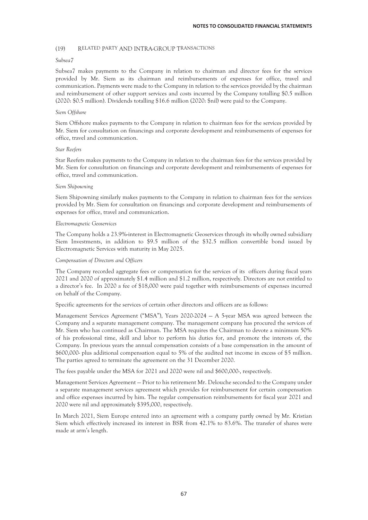## (19) RELATED PARTY AND INTRA-GROUP TRANSACTIONS

## *Subsea7*

Subsea7 makes payments to the Company in relation to chairman and director fees for the services provided by Mr. Siem as its chairman and reimbursements of expenses for office, travel and communication. Payments were made to the Company in relation to the services provided by the chairman and reimbursement of other support services and costs incurred by the Company totalling \$0.5 million (2020: \$0.5 million). Dividends totalling \$16.6 million (2020: \$nil) were paid to the Company.

## *Siem Offshore*

Siem Offshore makes payments to the Company in relation to chairman fees for the services provided by Mr. Siem for consultation on financings and corporate development and reimbursements of expenses for office, travel and communication.

## *Star Reefers*

Star Reefers makes payments to the Company in relation to the chairman fees for the services provided by Mr. Siem for consultation on financings and corporate development and reimbursements of expenses for office, travel and communication.

## *Siem Shipowning*

Siem Shipowning similarly makes payments to the Company in relation to chairman fees for the services provided by Mr. Siem for consultation on financings and corporate development and reimbursements of expenses for office, travel and communication.

## *Electromagnetic Geoservices*

The Company holds a 23.9%-interest in Electromagnetic Geoservices through its wholly owned subsidiary Siem Investments, in addition to \$9.5 million of the \$32.5 million convertible bond issued by Electromagnetic Services with maturity in May 2025.

# *Compensation of Directors and Officers*

The Company recorded aggregate fees or compensation for the services of its officers during fiscal years 2021 and 2020 of approximately \$1.4 million and \$1.2 million, respectively. Directors are not entitled to a director's fee. In 2020 a fee of \$18,000 were paid together with reimbursements of expenses incurred on behalf of the Company.

Specific agreements for the services of certain other directors and officers are as follows:

Management Services Agreement ("MSA"), Years 2020-2024 — A 5-year MSA was agreed between the Company and a separate management company. The management company has procured the services of Mr. Siem who has continued as Chairman. The MSA requires the Chairman to devote a minimum 50% of his professional time, skill and labor to perform his duties for, and promote the interests of, the Company. In previous years the annual compensation consists of a base compensation in the amount of \$600,000- plus additional compensation equal to 5% of the audited net income in excess of \$5 million. The parties agreed to terminate the agreement on the 31 December 2020.

The fees payable under the MSA for 2021 and 2020 were nil and \$600,000-, respectively.

Management Services Agreement — Prior to his retirement Mr. Delouche seconded to the Company under a separate management services agreement which provides for reimbursement for certain compensation and office expenses incurred by him. The regular compensation reimbursements for fiscal year 2021 and 2020 were nil and approximately \$395,000, respectively.

In March 2021, Siem Europe entered into an agreement with a company partly owned by Mr. Kristian Siem which effectively increased its interest in BSR from 42.1% to 83.6%. The transfer of shares were made at arm's length.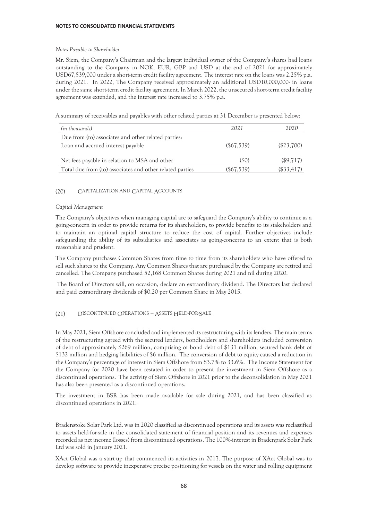## *Notes Payable to Shareholder*

Mr. Siem, the Company's Chairman and the largest individual owner of the Company's shares had loans outstanding to the Company in NOK, EUR, GBP and USD at the end of 2021 for approximately USD67,539,000 under a short-term credit facility agreement. The interest rate on the loans was 2.25% p.a. during 2021. In 2022, The Company received approximately an additional USD10,000,000- in loans under the same short-term credit facility agreement. In March 2022, the unsecured short-term credit facility agreement was extended, and the interest rate increased to 3.75% p.a.

A summary of receivables and payables with other related parties at 31 December is presented below:

| (in thousands)                                           | 2021              | 2020        |
|----------------------------------------------------------|-------------------|-------------|
| Due from (to) associates and other related parties:      |                   |             |
| Loan and accrued interest payable                        | $(\$67,539)$      | (\$23,700)  |
| Net fees payable in relation to MSA and other            | (S <sub>0</sub> ) | $(\$9,717)$ |
| Total due from (to) associates and other related parties | $(\$67,539)$      | (\$33,417)  |

# (20) CAPITALIZATION AND CAPITAL ACCOUNTS

## *Capital Management*

The Company's objectives when managing capital are to safeguard the Company's ability to continue as a going-concern in order to provide returns for its shareholders, to provide benefits to its stakeholders and to maintain an optimal capital structure to reduce the cost of capital. Further objectives include safeguarding the ability of its subsidiaries and associates as going-concerns to an extent that is both reasonable and prudent.

The Company purchases Common Shares from time to time from its shareholders who have offered to sell such shares to the Company. Any Common Shares that are purchased by the Company are retired and cancelled. The Company purchased 52,168 Common Shares during 2021 and nil during 2020.

 The Board of Directors will, on occasion, declare an extraordinary dividend. The Directors last declared and paid extraordinary dividends of \$0.20 per Common Share in May 2015.

# (21) DISCONTINUED OPERATIONS — ASSETS HELD-FOR-SALE

In May 2021, Siem Offshore concluded and implemented its restructuring with its lenders. The main terms of the restructuring agreed with the secured lenders, bondholders and shareholders included conversion of debt of approximately \$269 million, comprising of bond debt of \$131 million, secured bank debt of \$132 million and hedging liabilities of \$6 million. The conversion of debt to equity caused a reduction in the Company's percentage of interest in Siem Offshore from 83.7% to 33.6%. The Income Statement for the Company for 2020 have been restated in order to present the investment in Siem Offshore as a discontinued operations. The activity of Siem Offshore in 2021 prior to the deconsolidation in May 2021 has also been presented as a discontinued operations.

The investment in BSR has been made available for sale during 2021, and has been classified as discontinued operations in 2021.

Bradenstoke Solar Park Ltd. was in 2020 classified as discontinued operations and its assets was reclassified to assets held-for-sale in the consolidated statement of financial position and its revenues and expenses recorded as net income (losses) from discontinued operations. The 100%-interest in Bradenpark Solar Park Ltd was sold in January 2021.

XAct Global was a start-up that commenced its activities in 2017. The purpose of XAct Global was to develop software to provide inexpensive precise positioning for vessels on the water and rolling equipment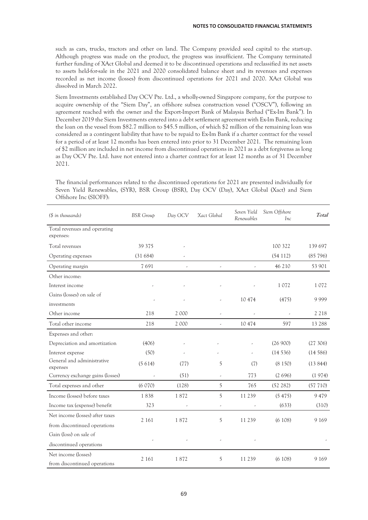such as cars, trucks, tractors and other on land. The Company provided seed capital to the start-up. Although progress was made on the product, the progress was insufficient. The Company terminated further funding of XAct Global and deemed it to be discontinued operations and reclassified its net assets to assets held-for-sale in the 2021 and 2020 consolidated balance sheet and its revenues and expenses recorded as net income (losses) from discontinued operations for 2021 and 2020. XAct Global was dissolved in March 2022.

Siem Investments established Day OCV Pte. Ltd., a wholly-owned Singapore company, for the purpose to acquire ownership of the "Siem Day", an offshore subsea construction vessel ("OSCV"), following an agreement reached with the owner and the Export-Import Bank of Malaysia Berhad ("Ex-Im Bank"). In December 2019 the Siem Investments entered into a debt settlement agreement with Ex-Im Bank, reducing the loan on the vessel from \$82.7 million to \$45.5 million, of which \$2 million of the remaining loan was considered as a contingent liability that have to be repaid to Ex-Im Bank if a charter contract for the vessel for a period of at least 12 months has been entered into prior to 31 December 2021. The remaining loan of \$2 million are included in net income from discontinued operations in 2021 as a debt forgivenss as long as Day OCV Pte. Ltd. have not entered into a charter contract for at least 12 months as of 31 December 2021.

The financial performances related to the discontinued operations for 2021 are presented individually for Seven Yield Renewables, (SYR), BSR Group (BSR), Day OCV (Day), XAct Global (Xact) and Siem Offshore Inc (SIOFF):

| (\$ in thousands)                         | <b>BSR</b> Group | Day OCV | Xact Global              | Seven Yield<br>Renewables | Siem Offshore<br><i>Inc</i> | Total   |
|-------------------------------------------|------------------|---------|--------------------------|---------------------------|-----------------------------|---------|
| Total revenues and operating<br>expenses: |                  |         |                          |                           |                             |         |
| Total revenues                            | 39 3 7 5         |         |                          |                           | 100 322                     | 139 697 |
| Operating expenses                        | (31684)          | J,      |                          |                           | (54112)                     | (85796) |
| Operating margin                          | 7691             |         | ×                        | $\overline{\phantom{a}}$  | 46 210                      | 53 901  |
| Other income:                             |                  |         |                          |                           |                             |         |
| Interest income                           |                  |         |                          |                           | 1072                        | 1072    |
| Gains (losses) on sale of                 |                  |         |                          | 10474                     | (475)                       | 9 9 9 9 |
| investments                               |                  |         |                          |                           |                             |         |
| Other income                              | 218              | 2 000   |                          |                           |                             | 2 2 1 8 |
| Total other income                        | 218              | 2 000   | ×,                       | 10 474                    | 597                         | 13 28 8 |
| Expenses and other:                       |                  |         |                          |                           |                             |         |
| Depreciation and amortization             | (406)            |         |                          |                           | (26900)                     | (27306) |
| Interest expense                          | (50)             |         |                          |                           | (14536)                     | (14586) |
| General and administrative<br>expenses    | (5614)           | (77)    | 5                        | (7)                       | (8150)                      | (13844) |
| Currency exchange gains (losses)          |                  | (51)    | $\overline{\phantom{a}}$ | 773                       | (2696)                      | (1974)  |
| Total expenses and other                  | (6070)           | (128)   | 5                        | 765                       | (52 282)                    | (57710) |
| Income (losses) before taxes              | 1838             | 1872    | 5                        | 11 239                    | (5475)                      | 9 4 7 9 |
| Income tax (expense) benefit              | 323              |         |                          |                           | (633)                       | (310)   |
| Net income (losses) after taxes           | 2 1 6 1          |         |                          |                           |                             | 9 1 6 9 |
| from discontinued operations              |                  | 1872    | 5                        | 11 2 3 9                  | (6108)                      |         |
| Gain (loss) on sale of                    |                  |         |                          |                           |                             |         |
| discontinued operations                   |                  |         |                          |                           |                             |         |
| Net income (losses)                       | 2 1 6 1          | 1872    | 5                        | 11 2 3 9                  |                             | 9 1 6 9 |
| from discontinued operations              |                  |         |                          |                           | (6108)                      |         |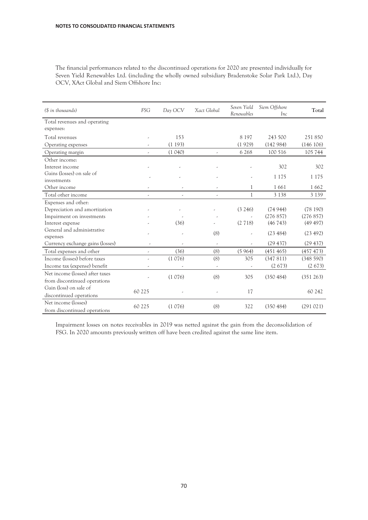The financial performances related to the discontinued operations for 2020 are presented individually for Seven Yield Renewables Ltd. (including the wholly owned subsidiary Bradenstoke Solar Park Ltd.), Day OCV, XAct Global and Siem Offshore Inc:

| (\$ in thousands)                         | <b>FSG</b>               | Day OCV | Xact Global              | Seven Yield<br>Renewables | Siem Offshore<br><i>Inc</i> | Total     |
|-------------------------------------------|--------------------------|---------|--------------------------|---------------------------|-----------------------------|-----------|
| Total revenues and operating<br>expenses: |                          |         |                          |                           |                             |           |
| Total revenues                            |                          | 153     |                          | 8 1 9 7                   | 243 500                     | 251850    |
|                                           |                          | (1193)  |                          | (1929)                    | (142984)                    | (146 106) |
| Operating expenses                        |                          |         |                          |                           |                             |           |
| Operating margin                          | ٠                        | (1040)  | $\overline{\phantom{a}}$ | 6 2 6 8                   | 100 516                     | 105 744   |
| Other income:                             |                          |         |                          |                           |                             |           |
| Interest income                           |                          |         |                          |                           | 302                         | 302       |
| Gains (losses) on sale of                 |                          |         |                          |                           | 1 1 7 5                     | 1 1 7 5   |
| investments                               |                          |         |                          |                           |                             |           |
| Other income                              |                          |         |                          | 1                         | 1661                        | 1 6 6 2   |
| Total other income                        | $\overline{\phantom{a}}$ |         | $\overline{\phantom{a}}$ | 1                         | 3 1 3 8                     | 3 1 3 9   |
| Expenses and other:                       |                          |         |                          |                           |                             |           |
| Depreciation and amortization             |                          |         |                          | (3 246)                   | (74944)                     | (78190)   |
| Impairment on investments                 |                          |         |                          |                           | (276857)                    | (276857)  |
| Interest expense                          |                          | (36)    |                          | (2718)                    | (46743)                     | (49 497)  |
| General and administrative                |                          |         | (8)                      |                           | (23, 484)                   | (23 492)  |
| expenses                                  |                          |         |                          |                           |                             |           |
| Currency exchange gains (losses)          | ٠                        |         | $\overline{\phantom{a}}$ |                           | (29437)                     | (29437)   |
| Total expenses and other                  |                          | (36)    | (8)                      | (5964)                    | (451465)                    | (457 473) |
| Income (losses) before taxes              |                          | (1076)  | (8)                      | 305                       | (347811)                    | (348 590) |
| Income tax (expense) benefit              |                          |         | ٠                        |                           | (2673)                      | (2673)    |
| Net income (losses) after taxes           |                          |         |                          |                           |                             |           |
| from discontinued operations              |                          | (1076)  | (8)                      | 305                       | (350 484)                   | (351 263) |
| Gain (loss) on sale of                    |                          |         |                          |                           |                             |           |
| discontinued operations                   | 60 225                   |         |                          | 17                        |                             | 60 24 2   |
| Net income (losses)                       |                          |         |                          |                           |                             |           |
| from discontinued operations              | 60 225                   | (1076)  | (8)                      | 322                       | (350, 484)                  | (291021)  |

Impairment losses on notes receivables in 2019 was netted against the gain from the deconsolidation of FSG. In 2020 amounts previously written off have been credited against the same line item.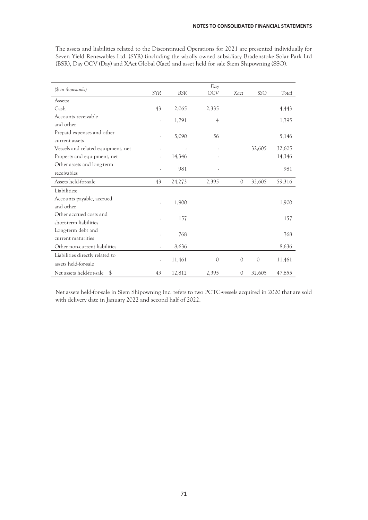The assets and liabilities related to the Discontinued Operations for 2021 are presented individually for Seven Yield Renewables Ltd. (SYR) (including the wholly owned subsidiary Bradenstoke Solar Park Ltd (BSR), Day OCV (Day) and XAct Global (Xact) and asset held for sale Siem Shipowning (SSO).

| (\$ in thousands)                         |                          |            | Day            |               |               |        |
|-------------------------------------------|--------------------------|------------|----------------|---------------|---------------|--------|
|                                           | <b>SYR</b>               | <b>BSR</b> | <b>OCV</b>     | Xact          | SSO           | Total  |
| Assets:                                   |                          |            |                |               |               |        |
| Cash                                      | 43                       | 2,065      | 2,335          |               |               | 4,443  |
| Accounts receivable                       |                          |            | $\overline{4}$ |               |               |        |
| and other                                 | $\overline{\phantom{a}}$ | 1,791      |                |               |               | 1,795  |
| Prepaid expenses and other                |                          |            | 56             |               |               |        |
| current assets                            | $\overline{a}$           | 5,090      |                |               |               | 5,146  |
| Vessels and related equipment, net        |                          |            |                |               | 32,605        | 32,605 |
| Property and equipment, net               |                          | 14,346     |                |               |               | 14,346 |
| Other assets and long-term                |                          |            |                |               |               |        |
| receivables                               |                          | 981        |                |               |               | 981    |
| Assets held-for-sale                      | 43                       | 24,273     | 2,395          | $\mathcal{O}$ | 32,605        | 59,316 |
| Liabilities:                              |                          |            |                |               |               |        |
| Accounts payable, accrued                 |                          |            |                |               |               |        |
| and other                                 | $\overline{\phantom{a}}$ | 1,900      |                |               |               | 1,900  |
| Other accrued costs and                   |                          |            |                |               |               |        |
| short-term liabilities                    |                          | 157        |                |               |               | 157    |
| Long-term debt and                        |                          | 768        |                |               |               | 768    |
| current maturities                        |                          |            |                |               |               |        |
| Other non-current liabilities             |                          | 8,636      |                |               |               | 8,636  |
| Liabilities directly related to           |                          |            |                |               |               |        |
| assets held-for-sale                      | $\overline{\phantom{a}}$ | 11,461     | $\mathcal{O}$  | $\mathcal{O}$ | $\mathcal{O}$ | 11,461 |
| $\mathcal{S}$<br>Net assets held-for-sale | 43                       | 12,812     | 2,395          | $\mathcal{O}$ | 32.605        | 47,855 |

Net assets held-for-sale in Siem Shipowning Inc. refers to two PCTC-vessels acquired in 2020 that are sold with delivery date in January 2022 and second half of 2022.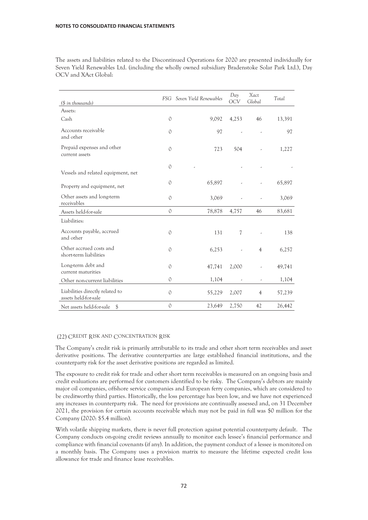| (\$ in thousands)                                       |               | FSG Seven Yield Renewables |                          | Xact<br>Global           | Total  |
|---------------------------------------------------------|---------------|----------------------------|--------------------------|--------------------------|--------|
| Assets:                                                 |               |                            |                          |                          |        |
| Cash                                                    | $\mathcal{O}$ | 9,092                      | 4,253                    | 46                       | 13,391 |
| Accounts receivable<br>and other                        | $\mathcal{O}$ | 97                         |                          |                          | 97     |
| Prepaid expenses and other<br>current assets            | $\mathcal{O}$ | 723                        | 504                      |                          | 1,227  |
| Vessels and related equipment, net                      | $\mathcal{O}$ |                            |                          |                          |        |
| Property and equipment, net                             | $\mathcal{O}$ | 65,897                     |                          |                          | 65,897 |
| Other assets and long-term<br>receivables               | $\mathcal{O}$ | 3,069                      |                          |                          | 3,069  |
| Assets held-for-sale                                    | $\mathcal{O}$ | 78,878                     | 4,757                    | 46                       | 83,681 |
| Liabilities:                                            |               |                            |                          |                          |        |
| Accounts payable, accrued<br>and other                  | $\mathcal{O}$ | 131                        | 7                        | $\overline{a}$           | 138    |
| Other accrued costs and<br>short-term liabilities       | $\mathcal{O}$ | 6,253                      |                          | $\overline{4}$           | 6,257  |
| Long-term debt and<br>current maturities                | $\mathcal{O}$ | 47,741                     | 2,000                    |                          | 49,741 |
| Other non-current liabilities                           | $\mathcal{O}$ | 1,104                      | $\overline{\phantom{a}}$ | $\overline{\phantom{a}}$ | 1,104  |
| Liabilities directly related to<br>assets held-for-sale | $\mathcal{O}$ | 55,229                     | 2,007                    | $\overline{4}$           | 57,239 |
| Net assets held-for-sale<br>\$                          | $\mathcal{O}$ | 23,649                     | 2,750                    | 42                       | 26,442 |

The assets and liabilities related to the Discontinued Operations for 2020 are presented individually for Seven Yield Renewables Ltd. (including the wholly owned subsidiary Bradenstoke Solar Park Ltd.), Day OCV and XAct Global:

# (22) CREDIT RISK AND CONCENTRATION RISK

The Company's credit risk is primarily attributable to its trade and other short term receivables and asset derivative positions. The derivative counterparties are large established financial institutions, and the counterparty risk for the asset derivative positions are regarded as limited.

The exposure to credit risk for trade and other short term receivables is measured on an ongoing basis and credit evaluations are performed for customers identified to be risky. The Company's debtors are mainly major oil companies, offshore service companies and European ferry companies, which are considered to be creditworthy third parties. Historically, the loss percentage has been low, and we have not experienced any increases in counterparty risk. The need for provisions are continually assessed and, on 31 December 2021, the provision for certain accounts receivable which may not be paid in full was \$0 million for the Company (2020: \$5.4 million).

With volatile shipping markets, there is never full protection against potential counterparty default. The Company conducts on-going credit reviews annually to monitor each lessee's financial performance and compliance with financial covenants (if any). In addition, the payment conduct of a lessee is monitored on a monthly basis. The Company uses a provision matrix to measure the lifetime expected credit loss allowance for trade and finance lease receivables.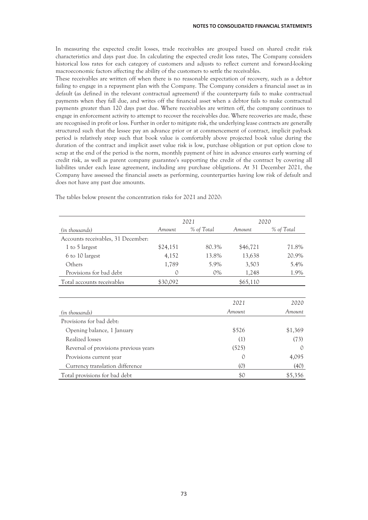In measuring the expected credit losses, trade receivables are grouped based on shared credit risk characteristics and days past due. In calculating the expected credit loss rates, The Company considers historical loss rates for each category of customers and adjusts to reflect current and forward-looking macroeconomic factors affecting the ability of the customers to settle the receivables.

These receivables are written off when there is no reasonable expectation of recovery, such as a debtor failing to engage in a repayment plan with the Company. The Company considers a financial asset as in default (as defined in the relevant contractual agreement) if the counterparty fails to make contractual payments when they fall due, and writes off the financial asset when a debtor fails to make contractual payments greater than 120 days past due. Where receivables are written off, the company continues to engage in enforcement activity to attempt to recover the receivables due. Where recoveries are made, these are recognised in profit or loss. Further in order to mitigate risk, the underlying lease contracts are generally structured such that the lessee pay an advance prior or at commencement of contract, implicit payback period is relatively steep such that book value is comfortably above projected book value during the duration of the contract and implicit asset value risk is low, purchase obligation or put option close to scrap at the end of the period is the norm, monthly payment of hire in advance ensures early warning of credit risk, as well as parent company guarantee's supporting the credit of the contract by covering all liabilites under each lease agreement, including any purchase obligations. At 31 December 2021, the Company have assessed the financial assets as performing, counterparties having low risk of default and does not have any past due amounts.

|                                       |          | 2021       |          | 2020       |
|---------------------------------------|----------|------------|----------|------------|
| (in thousands)                        | Amount   | % of Total | Amount   | % of Total |
| Accounts receivables, 31 December:    |          |            |          |            |
| 1 to 5 largest                        | \$24,151 | 80.3%      | \$46,721 | 71.8%      |
| 6 to 10 largest                       | 4,152    | 13.8%      | 13,638   | 20.9%      |
| Others                                | 1,789    | 5.9%       | 3,503    | 5.4%       |
| Provisions for bad debt               | $\Omega$ | $0\%$      | 1,248    | 1.9%       |
| Total accounts receivables            | \$30,092 |            | \$65,110 |            |
|                                       |          |            |          |            |
|                                       |          |            | 2021     | 2020       |
| ( <i>in thousands</i> )               |          |            | Amount   | Amount     |
| Provisions for bad debt:              |          |            |          |            |
| Opening balance, 1 January            |          |            | \$526    | \$1,369    |
| Realized losses                       |          |            | (1)      | (73)       |
| Reversal of provisions previous years |          |            | (525)    | 0          |
| Provisions current year               |          |            | O        | 4,095      |
| Currency translation difference       |          |            | (0)      | (40)       |
| Total provisions for bad debt         |          |            | \$0      | \$5,356    |

The tables below present the concentration risks for 2021 and 2020: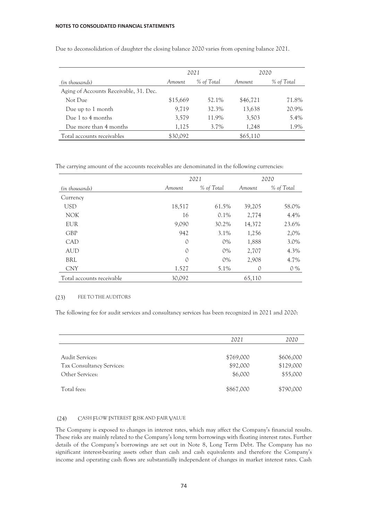#### **NOTES TO CONSOLIDATED FINANCIAL STATEMENTS**

|                                        | 2021     |            |          | 2020       |
|----------------------------------------|----------|------------|----------|------------|
| (in thousands)                         | Amount   | % of Total | Amount   | % of Total |
| Aging of Accounts Receivable, 31. Dec. |          |            |          |            |
| Not Due                                | \$15,669 | 52.1%      | \$46,721 | 71.8%      |
| Due up to 1 month                      | 9.719    | 32.3%      | 13,638   | 20.9%      |
| Due 1 to 4 months                      | 3.579    | 11.9%      | 3,503    | 5.4%       |
| Due more than 4 months                 | 1,125    | 3.7%       | 1,248    | 1.9%       |
| Total accounts receivables             | \$30,092 |            | \$65,110 |            |

Due to deconsolidation of daughter the closing balance 2020 varies from opening balance 2021.

The carrying amount of the accounts receivables are denominated in the following currencies:

|                           |          | 2021       | 2020          |            |
|---------------------------|----------|------------|---------------|------------|
| (in thousands)            | Amount   | % of Total | Amount        | % of Total |
| Currency                  |          |            |               |            |
| <b>USD</b>                | 18,517   | 61.5%      | 39,205        | 58.0%      |
| NOK                       | 16       | $0.1\%$    | 2,774         | 4.4%       |
| <b>EUR</b>                | 9,090    | 30.2%      | 14,372        | 23.6%      |
| <b>GBP</b>                | 942      | 3.1%       | 1,256         | 2,0%       |
| CAD                       | 0        | $0\%$      | 1,888         | 3.0%       |
| <b>AUD</b>                | $\Omega$ | $0\%$      | 2,707         | 4.3%       |
| <b>BRL</b>                | $\Omega$ | $0\%$      | 2,908         | 4.7%       |
| <b>CNY</b>                | 1.527    | 5.1%       | $\mathcal{O}$ | $0\%$      |
| Total accounts receivable | 30,092   |            | 65,110        |            |

## (23) FEE TO THE AUDITORS

The following fee for audit services and consultancy services has been recognized in 2021 and 2020:

|                           | 2021      | 2020      |
|---------------------------|-----------|-----------|
|                           |           |           |
| <b>Audit Services:</b>    | \$769,000 | \$606,000 |
| Tax Consultancy Services: | \$92,000  | \$129,000 |
| Other Services:           | \$6,000   | \$55,000  |
| Total fees:               | \$867,000 | \$790,000 |

#### (24) CASH FLOW INTEREST RISK AND FAIR VALUE

The Company is exposed to changes in interest rates, which may affect the Company's financial results. These risks are mainly related to the Company's long term borrowings with floating interest rates. Further details of the Company's borrowings are set out in Note 8, Long Term Debt. The Company has no significant interest-bearing assets other than cash and cash equivalents and therefore the Company's income and operating cash flows are substantially independent of changes in market interest rates. Cash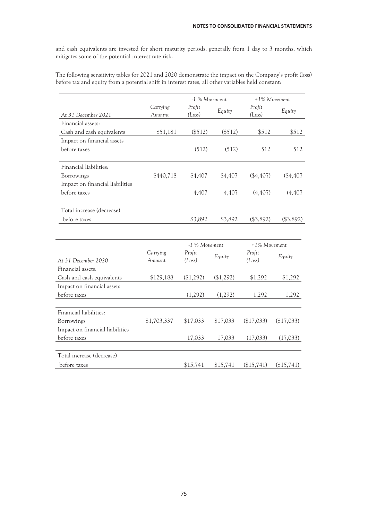and cash equivalents are invested for short maturity periods, generally from 1 day to 3 months, which mitigates some of the potential interest rate risk.

The following sensitivity tables for 2021 and 2020 demonstrate the impact on the Company's profit (loss) before tax and equity from a potential shift in interest rates, all other variables held constant:

|                                 |                    | -1 % Movement    |           | +1% Movement     |            |
|---------------------------------|--------------------|------------------|-----------|------------------|------------|
| At 31 December 2021             | Carrying<br>Amount | Profit<br>(Loss) | Equity    | Profit<br>(Loss) | Equity     |
| Financial assets:               |                    |                  |           |                  |            |
| Cash and cash equivalents       | \$51,181           | (\$512)          | (\$512)   | \$512            | \$512      |
| Impact on financial assets      |                    |                  |           |                  |            |
| before taxes                    |                    | (512)            | (512)     | 512              | 512        |
|                                 |                    |                  |           |                  |            |
| Financial liabilities:          |                    |                  |           |                  |            |
| Borrowings                      | \$440,718          | \$4,407          | \$4,407   | (\$4,407)        | $(\$4,407$ |
| Impact on financial liabilities |                    |                  |           |                  |            |
| before taxes                    |                    | 4,407            | 4,407     | (4, 407)         | (4, 407)   |
|                                 |                    |                  |           |                  |            |
| Total increase (decrease)       |                    |                  |           |                  |            |
| before taxes                    |                    | \$3,892          | \$3,892   | (\$3,892)        | (\$3,892)  |
|                                 |                    |                  |           |                  |            |
|                                 |                    |                  |           |                  |            |
|                                 |                    | -1 % Movement    |           | +1% Movement     |            |
|                                 | Carrying           | Profit           | Equity    | Profit           | Equity     |
| At 31 December 2020             | Amount             | (Loss)           |           | (Loss)           |            |
| Financial assets:               |                    |                  |           |                  |            |
| Cash and cash equivalents       | \$129,188          | (\$1,292)        | (\$1,292) | \$1,292          | \$1,292    |
| Impact on financial assets      |                    |                  |           |                  |            |
| before taxes                    |                    | (1,292)          | (1,292)   | 1,292            | 1,292      |
|                                 |                    |                  |           |                  |            |
| Financial liabilities:          |                    |                  |           |                  |            |
| Borrowings                      | \$1,703,337        | \$17,033         | \$17,033  | (\$17,033)       | (\$17,033) |
| Impact on financial liabilities |                    |                  |           |                  |            |
| before taxes                    |                    | 17,033           | 17,033    | (17,033)         | (17,033)   |
|                                 |                    |                  |           |                  |            |
| Total increase (decrease)       |                    |                  |           |                  |            |
| before taxes                    |                    | \$15,741         | \$15,741  | (\$15,741)       | (\$15,741) |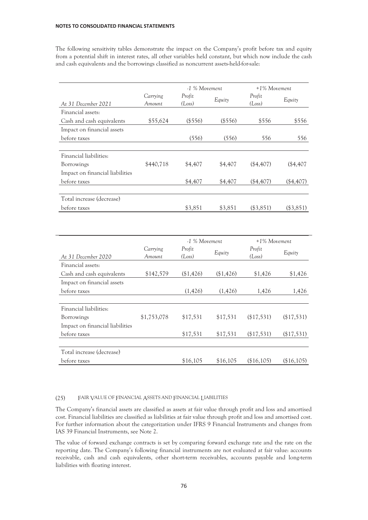The following sensitivity tables demonstrate the impact on the Company's profit before tax and equity from a potential shift in interest rates, all other variables held constant, but which now include the cash and cash equivalents and the borrowings classified as noncurrent assets-held-for-sale:

|                                 |                    | -1 % Movement    |           | $+1\%$ Movement  |             |
|---------------------------------|--------------------|------------------|-----------|------------------|-------------|
| At 31 December 2021             | Carrying<br>Amount | Profit<br>(Loss) | Equity    | Profit<br>(Loss) | Equity      |
| Financial assets:               |                    |                  |           |                  |             |
| Cash and cash equivalents       | \$55,624           | (\$556)          | $(\$556)$ | \$556            | \$556       |
| Impact on financial assets      |                    |                  |           |                  |             |
| before taxes                    |                    | (556)            | (556)     | 556              | 556         |
|                                 |                    |                  |           |                  |             |
| Financial liabilities:          |                    |                  |           |                  |             |
| <b>Borrowings</b>               | \$440,718          | \$4,407          | \$4,407   | (\$4,407)        | (\$4,407    |
| Impact on financial liabilities |                    |                  |           |                  |             |
| before taxes                    |                    | \$4,407          | \$4,407   | $(\$4,407)$      | $(\$4,407)$ |
|                                 |                    |                  |           |                  |             |
| Total increase (decrease)       |                    |                  |           |                  |             |
| before taxes                    |                    | \$3,851          | \$3,851   | $(\$3,851)$      | (\$3,851)   |

|                                 |                    | $-1\%$ Movement  |           | +1% Movement     |            |
|---------------------------------|--------------------|------------------|-----------|------------------|------------|
| At 31 December 2020             | Carrying<br>Amount | Profit<br>(Loss) | Equity    | Profit<br>(Loss) | Equity     |
| Financial assets:               |                    |                  |           |                  |            |
| Cash and cash equivalents       | \$142,579          | (\$1,426)        | (\$1,426) | \$1,426          | \$1,426    |
| Impact on financial assets      |                    |                  |           |                  |            |
| before taxes                    |                    | (1,426)          | (1,426)   | 1,426            | 1,426      |
|                                 |                    |                  |           |                  |            |
| Financial liabilities:          |                    |                  |           |                  |            |
| <b>Borrowings</b>               | \$1,753,078        | \$17,531         | \$17,531  | (\$17,531)       | (\$17,531) |
| Impact on financial liabilities |                    |                  |           |                  |            |
| before taxes                    |                    | \$17,531         | \$17,531  | (\$17,531)       | (\$17,531) |
|                                 |                    |                  |           |                  |            |
| Total increase (decrease)       |                    |                  |           |                  |            |
| before taxes                    |                    | \$16,105         | \$16,105  | $(\$16, 105)$    | (\$16,105) |

# (25) FAIR VALUE OF FINANCIAL ASSETS AND FINANCIAL LIABILITIES

The Company's financial assets are classified as assets at fair value through profit and loss and amortised cost. Financial liabilities are classified as liabilities at fair value through profit and loss and amortised cost. For further information about the categorization under IFRS 9 Financial Instruments and changes from IAS 39 Financial Instruments, see Note 2.

The value of forward exchange contracts is set by comparing forward exchange rate and the rate on the reporting date. The Company's following financial instruments are not evaluated at fair value: accounts receivable, cash and cash equivalents, other short-term receivables, accounts payable and long-term liabilities with floating interest.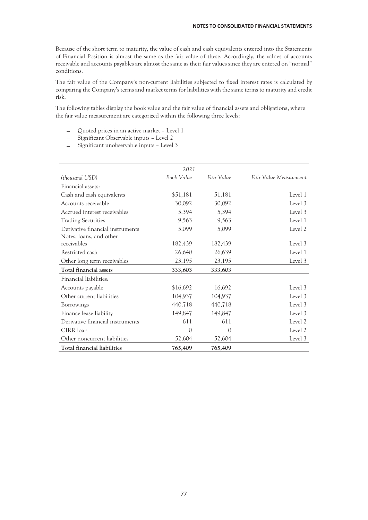Because of the short term to maturity, the value of cash and cash equivalents entered into the Statements of Financial Position is almost the same as the fair value of these. Accordingly, the values of accounts receivable and accounts payables are almost the same as their fair values since they are entered on "normal" conditions.

The fair value of the Company's non-current liabilities subjected to fixed interest rates is calculated by comparing the Company's terms and market terms for liabilities with the same terms to maturity and credit risk.

The following tables display the book value and the fair value of financial assets and obligations, where the fair value measurement are categorized within the following three levels:

- Quoted prices in an active market Level 1
- Significant Observable inputs Level 2
- Significant unobservable inputs Level 3

|                                    | 2021       |            |                        |
|------------------------------------|------------|------------|------------------------|
| (thousand USD)                     | Book Value | Fair Value | Fair Value Measurement |
| Financial assets:                  |            |            |                        |
| Cash and cash equivalents          | \$51,181   | 51,181     | Level 1                |
| Accounts receivable                | 30,092     | 30,092     | Level 3                |
| Accrued interest receivables       | 5,394      | 5,394      | Level 3                |
| <b>Trading Securities</b>          | 9,563      | 9,563      | Level 1                |
| Derivative financial instruments   | 5,099      | 5,099      | Level 2                |
| Notes, loans, and other            |            |            |                        |
| receivables                        | 182,439    | 182,439    | Level 3                |
| Restricted cash                    | 26,640     | 26,639     | Level 1                |
| Other long term receivables        | 23,195     | 23,195     | Level 3                |
| Total financial assets             | 333,603    | 333,603    |                        |
| Financial liabilities:             |            |            |                        |
| Accounts payable                   | \$16,692   | 16,692     | Level 3                |
| Other current liabilities          | 104,937    | 104,937    | Level 3                |
| <b>Borrowings</b>                  | 440,718    | 440,718    | Level 3                |
| Finance lease liability            | 149,847    | 149,847    | Level 3                |
| Derivative financial instruments   | 611        | 611        | Level 2                |
| CIRR loan                          | $\Omega$   | $\Omega$   | Level 2                |
| Other noncurrent liabilities       | 52,604     | 52,604     | Level 3                |
| <b>Total financial liabilities</b> | 765,409    | 765,409    |                        |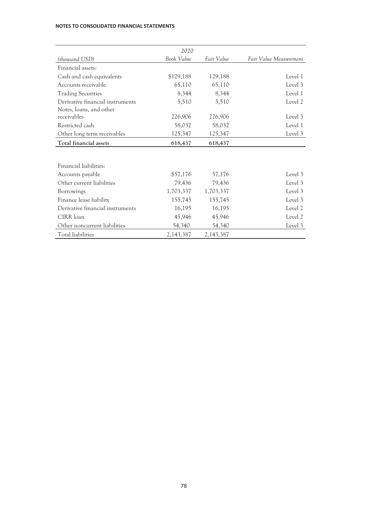# **NOTES TO CONSOLIDATED FINANCIAL STATEMENTS**

|                                  | 2020       |            |                        |
|----------------------------------|------------|------------|------------------------|
| (thousand USD)                   | Book Value | Fair Value | Fair Value Measurement |
| Financial assets:                |            |            |                        |
| Cash and cash equivalents        | \$129,188  | 129,188    | Level 1                |
| Accounts receivable              | 65,110     | 65,110     | Level 3                |
| <b>Trading Securities</b>        | 8,344      | 8,344      | Level 1                |
| Derivative financial instruments | 5,510      | 5,510      | Level 2                |
| Notes, loans, and other          |            |            |                        |
| receivables                      | 226,906    | 226,906    | Level 3                |
| Restricted cash                  | 58,032     | 58,032     | Level 1                |
| Other long term receivables      | 125,347    | 125,347    | Level 3                |
| Total financial assets           | 618,437    | 618,437    |                        |
|                                  |            |            |                        |
| Financial liabilities:           |            |            |                        |
| Accounts payable                 | \$57,176   | 57,176     | Level 3                |
| Other current liabilities        | 79,436     | 79,436     | Level 3                |
| <b>Borrowings</b>                | 1,703,337  | 1,703,337  | Level 3                |
| Finance lease liability          | 155,745    | 155,745    | Level 3                |
| Derivative financial instruments | 16,195     | 16,195     | Level 2                |
| CIRR loan                        | 45,946     | 45,946     | Level 2                |
| Other noncurrent liabilities     | 54,340     | 54,340     | Level 3                |
| Total liabilities                | 2,143,387  | 2,143,387  |                        |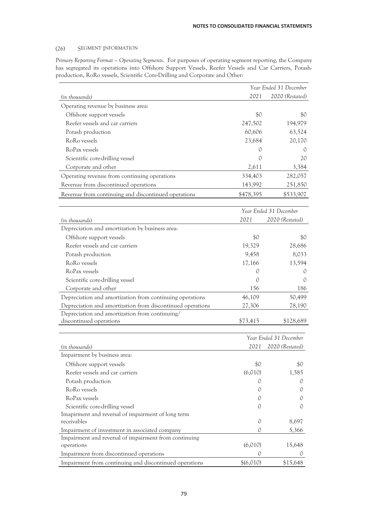# (26) SEGMENT INFORMATION

*Primary Reporting Format – Operating Segments*. For purposes of operating segment reporting, the Company has segregated its operations into Offshore Support Vessels, Reefer Vessels and Car Carriers, Potashproduction, RoRo vessels, Scientific Core-Drilling and Corporate and Other:

|                                                            |                  | Year Ended 31 December |
|------------------------------------------------------------|------------------|------------------------|
| (in thousands)                                             | 2021             | 2020 (Restated)        |
| Operating revenue by business area:                        |                  |                        |
| Offshore support vessels                                   | \$0              | \$0                    |
| Reefer vessels and car carriers                            | 247,502          | 194,979                |
| Potash production                                          | 60,606           | 63,524                 |
| RoRo vessels                                               | 23,684           | 20,170                 |
| RoPax vessels                                              | $\left( \right)$ | $\left( \right)$       |
| Scientific core-drilling vessel                            | 0                | 20                     |
| Corporate and other                                        | 2,611            | 3,384                  |
| Operating revenue from continuing operations               | 334,403          | 282,057                |
| Revenue from discontinued operations                       | 143,992          | 251,850                |
| Revenue from continuing and discontinued operations        | \$478,395        | \$533,907              |
|                                                            |                  |                        |
|                                                            |                  | Year Ended 31 December |
| (in thousands)                                             | 2021             | 2020 (Restated)        |
| Depreciation and amortization by business area:            |                  |                        |
| Offshore support vessels                                   | \$0              | \$0                    |
| Reefer vessels and car carriers                            | 19,329           | 28,686                 |
| Potash production                                          | 9,458            | 8,033                  |
| RoRo vessels                                               | 17,166           | 13,594                 |
| RoPax vessels                                              | $\Omega$         | $\left( \right)$       |
| Scientific core-drilling vessel                            | $\Omega$         | $\circ$                |
| Corporate and other                                        | 156              | 186                    |
| Depreciation and amortization from continuing operations   | 46,109           | 50,499                 |
| Depreciation and amortization from discontinued operations | 27,306           | 78,190                 |
| Depreciation and amortization from continuing/             |                  |                        |
| discontinued operations                                    | \$73,415         | \$128,689              |
|                                                            |                  |                        |
|                                                            |                  | Year Ended 31 December |
| (in thousands)                                             | 2021             | 2020 (Restated)        |
| Impairment by business area:                               |                  |                        |
| Offshore support vessels                                   | \$0              | \$0                    |
| Reefer vessels and car carriers                            | (6,010)          | 1,585                  |
| Potash production                                          | $\left( \right)$ | $\left( \right)$       |
| RoRo vessels                                               | $^{()}$          |                        |
| RoPax vessels                                              | $\left( \right)$ |                        |
| Scientific core-drilling vessel                            | $\left( \right)$ | $\left( \right)$       |
| Imapirment and reversal of impairment of long term         |                  |                        |
| receivables                                                | 0                | 8,697                  |
| Impairment of investment in associated company             | 0                | 5,366                  |
| Impairment and reversal of impairment from continuing      | (6,010)          |                        |
| operations                                                 | $\mathcal{O}$    | 15,648                 |
| Impairment from discontinued operations                    |                  | $\cup$                 |
| Impairment from continuing and discontinued operations     | \$(6,010)        | \$15,648               |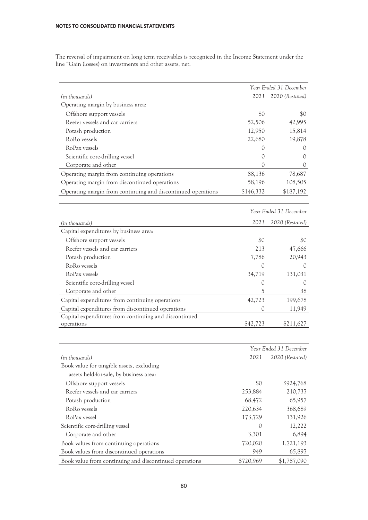The reversal of impairment on long term receivables is recogniced in the Income Statement under the line "Gain (losses) on investments and other assets, net.

|                                                              |                  | Year Ended 31 December |
|--------------------------------------------------------------|------------------|------------------------|
| (in thousands)                                               | 2021             | 2020 (Restated)        |
| Operating margin by business area:                           |                  |                        |
| Offshore support vessels                                     | \$0              | \$0                    |
| Reefer vessels and car carriers                              | 52,506           | 42,995                 |
| Potash production                                            | 12,950           | 15,814                 |
| RoRo vessels                                                 | 22,680           | 19,878                 |
| RoPax vessels                                                | $\left( \right)$ |                        |
| Scientific core-drilling vessel                              | 0                | $\circ$                |
| Corporate and other                                          | 0                | $\left( \right)$       |
| Operating margin from continuing operations                  | 88,136           | 78,687                 |
| Operating margin from discontinued operations                | 58,196           | 108,505                |
| Operating margin from continuing and discontinued operations | \$146,332        | \$187,192              |
|                                                              |                  | Year Ended 31 December |
| (in thousands)                                               | 2021             | 2020 (Restated)        |
| Capital expenditures by business area:                       |                  |                        |
| Offshore support vessels                                     | \$0              | \$0                    |
| Reefer vessels and car carriers                              | 213              | 47,666                 |
| Potash production                                            | 7,786            | 20,943                 |
| RoRo vessels                                                 | 0                | $\Omega$               |
| RoPax vessels                                                | 34,719           | 131,031                |
| Scientific core-drilling vessel                              | 0                | $\Omega$               |
| Corporate and other                                          | 5                | 38                     |
| Capital expenditures from continuing operations              | 42,723           | 199,678                |
| Capital expenditures from discontinued operations            | 0                | 11,949                 |
| Capital expenditures from continuing and discontinued        |                  |                        |
| operations                                                   | \$42,723         | \$211,627              |
|                                                              |                  | Year Ended 31 December |
| (in thousands)                                               |                  | 2021 2020 (Restated)   |
| Book value for tangible assets, excluding                    |                  |                        |
| assets held-for-sale, by business area:                      |                  |                        |
| Offshore support vessels                                     | \$0              | \$924,768              |
| Reefer vessels and car carriers                              | 253,884          | 210,737                |
| Potash production                                            | 68,472           | 65,957                 |
| RoRo vessels                                                 | 220,634          | 368,689                |

RoPax vessel 173,729 131,926 Scientific core-drilling vessel 0 12,222 Corporate and other 3,301 6,894 Book values from continuing operations 720,020 1,721,193 Book values from discontinued operations 949 65,897 Book value from continuing and discontinued operations \$720,969 \$1,787,090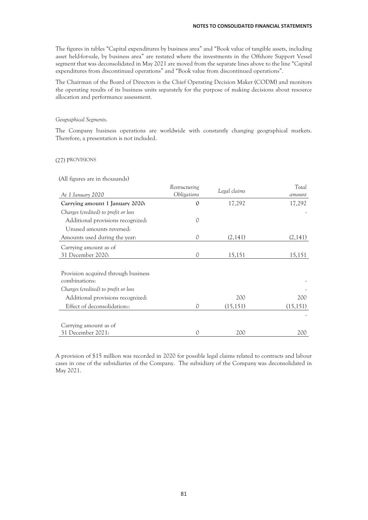The figures in tables "Capital expenditures by business area" and "Book value of tangible assets, including asset held-for-sale, by business area" are restated where the investments in the Offshore Support Vessel segment that was deconsolidated in May 2021 are moved from the separate lines above to the line "Capital expenditures from discontinued operations" and "Book value from discontinued operations".

The Chairman of the Board of Directors is the Chief Operating Decision Maker (CODM) and monitors the operating results of its business units separately for the purpose of making decisions about resource allocation and performance assessment.

### *Geographical Segments*.

The Company business operations are worldwide with constantly changing geographical markets. Therefore, a presentation is not included.

### (27) PROVISIONS

(All figures are in thousands)

|                                                      | Restructuring | Legal claims | Total     |
|------------------------------------------------------|---------------|--------------|-----------|
| At 1 January 2020                                    | Obligations   |              | amount    |
| Carrying amount 1 January 2020:                      | $\mathbf{0}$  | 17,292       | 17,292    |
| Charges (credited) to profit or loss                 |               |              |           |
| Additional provisions recognized:                    | 0             |              |           |
| Unused amounts reversed:                             |               |              |           |
| Amounts used during the year:                        | 0             | (2,141)      | (2,141)   |
| Carrying amount as of                                |               |              |           |
| 31 December 2020:                                    | 0             | 15,151       | 15,151    |
|                                                      |               |              |           |
| Provision acquired through business<br>combinations: |               |              |           |
| Charges (credited) to profit or loss                 |               |              |           |
| Additional provisions recognized:                    |               | 200          | 200       |
| Effect of deconsolidation::                          | 0             | (15, 151)    | (15, 151) |
|                                                      |               |              |           |
| Carrying amount as of                                |               |              |           |
| 31 December 2021:                                    | 0             | 200          | 200       |

A provision of \$15 million was recorded in 2020 for possible legal claims related to contracts and labour cases in one of the subsidiaries of the Company. The subsidiary of the Company was deconsolidated in May 2021.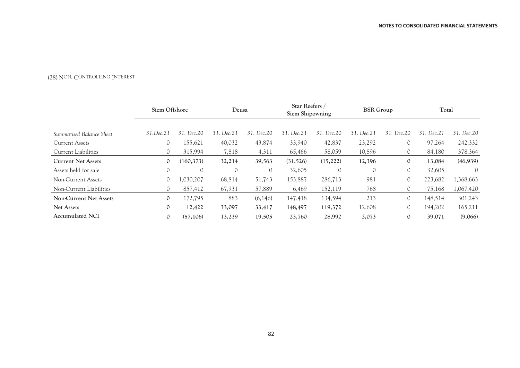# (28) NON- CONTROLLING INTEREST

|                            | Siem Offshore |             | Deusa       |               | Star Reefers /<br>Siem Shipowning |             | <b>BSR</b> Group |               | Total       |               |
|----------------------------|---------------|-------------|-------------|---------------|-----------------------------------|-------------|------------------|---------------|-------------|---------------|
|                            |               |             |             |               |                                   |             |                  |               |             |               |
| Summarised Balance Sheet   | 31.Dec.21     | 31. Dec. 20 | 31. Dec. 21 | 31. Dec. 20   | 31. Dec. 21                       | 31. Dec. 20 | 31. Dec.21       | 31. Dec. $20$ | 31. Dec. 21 | 31. Dec. 20   |
| Current Assets             | $\mathcal{O}$ | 155,621     | 40,032      | 43,874        | 33,940                            | 42,837      | 23,292           | $\mathcal{O}$ | 97,264      | 242,332       |
| <b>Current Liabilities</b> | $\circ$       | 315,994     | 7,818       | 4,311         | 65,466                            | 58,059      | 10,896           | $\mathcal{O}$ | 84,180      | 378,364       |
| <b>Current Net Assets</b>  | $\mathbf{O}$  | (160, 373)  | 32,214      | 39,563        | (31, 526)                         | (15, 222)   | 12,396           | $\mathbf{0}$  | 13,084      | (46, 939)     |
| Assets held for sale       | $\mathcal{O}$ | $\circ$     | $\circ$     | $\mathcal{O}$ | 32,605                            | $\Omega$    | $\circ$          | $\circ$       | 32,605      | $\mathcal{O}$ |
| Non-Current Assets         | $\mathcal{O}$ | 1,030,207   | 68,814      | 51,743        | 153,887                           | 286,713     | 981              | $\mathcal{O}$ | 223,682     | 1,368,663     |
| Non-Current Liabilities    | $\circ$       | 857,412     | 67,931      | 57,889        | 6,469                             | 152,119     | 768              | $\mathcal{O}$ | 75,168      | 1,067,420     |
| Non-Current Net Assets     | $\mathbf{0}$  | 172,795     | 883         | (6, 146)      | 147,418                           | 134,594     | 213              | $\circ$       | 148,514     | 301,243       |
| Net Assets                 | $\mathbf{0}$  | 12,422      | 33,097      | 33,417        | 148,497                           | 119,372     | 12,608           | $\circ$       | 194,202     | 165,211       |
| <b>Accumulated NCI</b>     | $\mathbf{0}$  | (57, 106)   | 13,239      | 19,505        | 23,760                            | 28,992      | 2,073            | $\mathbf{O}$  | 39,071      | (9,066)       |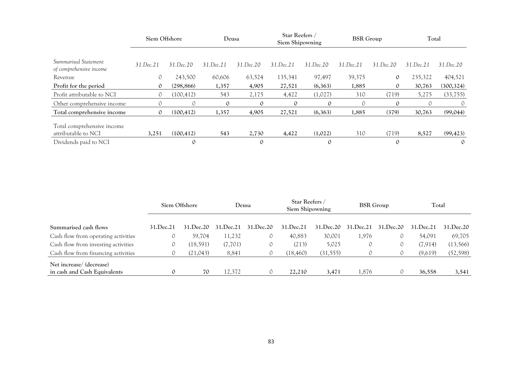|                                                   | Siem Offshore |            |               | Deusa        |             | Star Reefers /<br>Siem Shipowning | <b>BSR</b> Group |                 | Total     |                 |
|---------------------------------------------------|---------------|------------|---------------|--------------|-------------|-----------------------------------|------------------|-----------------|-----------|-----------------|
| Summarised Statement<br>of comprehensive income   | 31.Dec.21     | 31.Dec.20  | 31.Dec.21     | 31.Dec.20    | 31. Dec. 21 | 31.Dec.20                         | 31.Dec.21        | $31.$ Dec. $20$ | 31.Dec.21 | $31.$ Dec. $20$ |
| Revenue                                           | 0             | 243,500    | 60,606        | 63,524       | 135,341     | 97,497                            | 39,375           | $\mathbf{0}$    | 235,322   | 404,521         |
| Profit for the period                             | $\mathbf{0}$  | (298, 866) | 1,357         | 4,905        | 27,521      | (6,363)                           | 1,885            | $\mathbf{0}$    | 30,763    | (300, 324)      |
| Profit attributable to NCI                        | 0             | (100, 412) | 543           | 2,175        | 4,422       | (1,027)                           | 310              | (719)           | 5,275     | (33, 755)       |
| Other comprehensive income                        |               |            | $\mathcal{O}$ |              |             | $\mathcal{O}$                     |                  | $\mathbf{O}$    |           | 0               |
| Total comprehensive income                        | $\mathbf{0}$  | (100, 412) | 1,357         | 4,905        | 27,521      | (6,363)                           | 1,885            | (379)           | 30,763    | (99,044)        |
| Total comprehensive income<br>attributable to NCI | 3,251         | (100, 412) | 543           | 2,730        | 4,422       | (1,022)                           | 310              | (719)           | 8,527     | (99, 423)       |
| Dividends paid to NCI                             |               | 0          |               | $\mathbf{O}$ |             | 0                                 |                  | $\mathbf{0}$    |           | $\mathbf{0}$    |

|                                                          |           | Siem Offshore |           | Deusa     | Star Reefers /<br>Siem Shipowning |           | <b>BSR</b> Group |           | Total     |           |
|----------------------------------------------------------|-----------|---------------|-----------|-----------|-----------------------------------|-----------|------------------|-----------|-----------|-----------|
| Summarised cash flows                                    | 31.Dec.21 | 31.Dec.20     | 31.Dec.21 | 31.Dec.20 | 31.Dec.21                         | 31.Dec.20 | 31.Dec.21        | 31.Dec.20 | 31.Dec.21 | 31.Dec.20 |
| Cash flow from operating activities                      |           | 39,704        | 11,232    |           | 40,883                            | 30,001    | 1,976            |           | 54,091    | 69,705    |
| Cash flow from investing activities                      |           | (18, 591)     | (7,701)   |           | (213)                             | 5,025     |                  |           | (7, 914)  | (13,566)  |
| Cash flow from financing activities                      |           | (21,043)      | 8,841     |           | (18, 460)                         | (31, 555) |                  |           | (9,619)   | (52, 598) |
| Net increase/ (decrease)<br>in cash and Cash Equivalents |           | 70            | 12.372    |           | 22,210                            | 3,471     | 1,876            |           | 36,558    | 3,541     |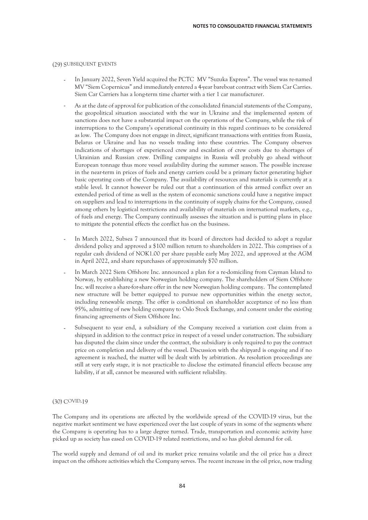#### (29) SUBSEQUENT EVENTS

- In January 2022, Seven Yield acquired the PCTC MV "Suzuka Express". The vessel was re-named MV "Siem Copernicus" and immediately entered a 4-year bareboat contract with Siem Car Carries. Siem Car Carriers has a long-term time charter with a tier 1 car manufacturer.
- As at the date of approval for publication of the consolidated financial statements of the Company, the geopolitical situation associated with the war in Ukraine and the implemented system of sanctions does not have a substantial impact on the operations of the Company, while the risk of interruptions to the Company's operational continuity in this regard continues to be considered as low. The Company does not engage in direct, significant transactions with entities from Russia, Belarus or Ukraine and has no vessels trading into these countries. The Company observes indications of shortages of experienced crew and escalation of crew costs due to shortages of Ukrainian and Russian crew. Drilling campaigns in Russia will probably go ahead without European tonnage thus more vessel availability during the summer season. The possible increase in the near-term in prices of fuels and energy carriers could be a primary factor generating higher basic operating costs of the Company. The availability of resources and materials is currently at a stable level. It cannot however be ruled out that a continuation of this armed conflict over an extended period of time as well as the system of economic sanctions could have a negative impact on suppliers and lead to interruptions in the continuity of supply chains for the Company, caused among others by logistical restrictions and availability of materials on international markets, e.g., of fuels and energy. The Company continually assesses the situation and is putting plans in place to mitigate the potential effects the conflict has on the business.
- In March 2022, Subsea 7 announced that its board of directors had decided to adopt a regular dividend policy and approved a \$100 million return to shareholders in 2022. This comprises of a regular cash dividend of NOK1.00 per share payable early May 2022, and approved at the AGM in April 2022, and share repurchases of approximately \$70 million.
- In March 2022 Siem Offshore Inc. announced a plan for a re-domiciling from Cayman Island to Norway, by establishing a new Norwegian holding company. The shareholders of Siem Offshore Inc. will receive a share-for-share offer in the new Norwegian holding company. The contemplated new structure will be better equipped to pursue new opportunities within the energy sector, including renewable energy. The offer is conditional on shareholder acceptance of no less than 95%, admitting of new holding company to Oslo Stock Exchange, and consent under the existing financing agreements of Siem Offshore Inc.
- Subsequent to year end, a subsidiary of the Company received a variation cost claim from a shipyard in addition to the contract price in respect of a vessel under construction. The subsidiary has disputed the claim since under the contract, the subsidiary is only required to pay the contract price on completion and delivery of the vessel. Discussion with the shipyard is ongoing and if no agreement is reached, the matter will be dealt with by arbitration. As resolution proceedings are still at very early stage, it is not practicable to disclose the estimated financial effects because any liability, if at all, cannot be measured with sufficient reliability.

#### (30) COVID-19

The Company and its operations are affected by the worldwide spread of the COVID-19 virus, but the negative market sentiment we have experienced over the last couple of years in some of the segments where the Company is operating has to a large degree turned. Trade, transportation and economic activity have picked up as society has eased on COVID-19 related restrictions, and so has global demand for oil.

The world supply and demand of oil and its market price remains volatile and the oil price has a direct impact on the offshore activities which the Company serves. The recent increase in the oil price, now trading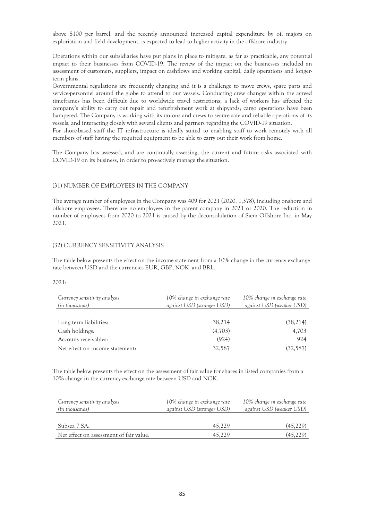above \$100 per barrel, and the recently announced increased capital expenditure by oil majors on exploriation and field development, is expected to lead to higher activity in the offshore industry.

Operations within our subsidiaries have put plans in place to mitigate, as far as practicable, any potential impact to their businesses from COVID-19. The review of the impact on the businesses included an assessment of customers, suppliers, impact on cashflows and working capital, daily operations and longerterm plans.

Governmental regulations are frequently changing and it is a challenge to move crews, spare parts and service-personnel around the globe to attend to our vessels. Conducting crew changes within the agreed timeframes has been difficult due to worldwide travel restrictions; a lack of workers has affected the company's ability to carry out repair and refurbishment work at shipyards; cargo operations have been hampered. The Company is working with its unions and crews to secure safe and reliable operations of its vessels, and interacting closely with several clients and partners regarding the COVID-19 situation. For shore-based staff the IT infrastructure is ideally suited to enabling staff to work remotely with all

The Company has assessed, and are continually assessing, the current and future risks associated with COVID-19 on its business, in order to pro-actively manage the situation.

members of staff having the required equipment to be able to carry out their work from home.

## (31) NUMBER OF EMPLOYEES IN THE COMPANY

The average number of employees in the Company was 409 for 2021 (2020: 1,378), including onshore and offshore employees. There are no employees in the parent company in 2021 or 2020. The reduction in number of employees from 2020 to 2021 is caused by the deconsolidation of Siem Offshore Inc. in May 2021.

### (32) CURRENCY SENSITIVITY ANALYSIS

The table below presents the effect on the income statement from a 10% change in the currency exchange rate between USD and the currencies EUR, GBP, NOK and BRL.

#### 2021:

| Currency sensitivity analysis   | 10% change in exchange rate | 10% change in exchange rate |
|---------------------------------|-----------------------------|-----------------------------|
| (in thousands)                  | against USD (stronger USD)  | against USD (weaker USD)    |
|                                 |                             |                             |
| Long term liabilities:          | 38,214                      | (38,214)                    |
| Cash holdings:                  | (4,703)                     | 4,703                       |
| Accouns receivables:            | (924)                       | 924                         |
| Net effect on income statement: | 32,587                      | (32, 587)                   |

The table below presents the effect on the assessment of fair value for shares in listed companies from a 10% change in the currency exchange rate between USD and NOK.

| Currency sensitivity analysis           | 10% change in exchange rate | 10% change in exchange rate |
|-----------------------------------------|-----------------------------|-----------------------------|
| (in thousands)                          | against USD (stronger USD)  | against USD (weaker USD)    |
|                                         |                             |                             |
| Subsea 7 SA:                            | 45.229                      | (45, 229)                   |
| Net effect on assessment of fair value: | 45,229                      | (45, 229)                   |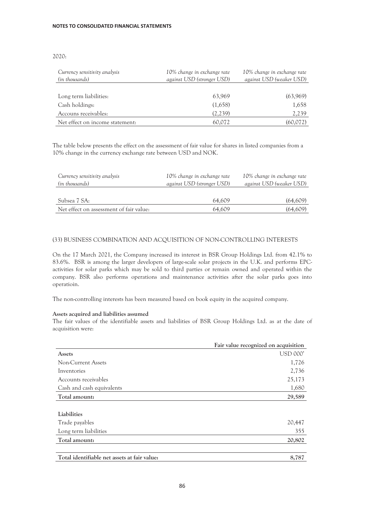#### **NOTES TO CONSOLIDATED FINANCIAL STATEMENTS**

| Currency sensitivity analysis   | 10% change in exchange rate | 10% change in exchange rate |
|---------------------------------|-----------------------------|-----------------------------|
| (in thousands)                  | against USD (stronger USD)  | against USD (weaker USD)    |
|                                 |                             |                             |
| Long term liabilities:          | 63,969                      | (63,969)                    |
| Cash holdings:                  | (1,658)                     | 1,658                       |
| Accouns receivables:            | (2,239)                     | 2,239                       |
| Net effect on income statement: | 60,072                      | (60,072)                    |

The table below presents the effect on the assessment of fair value for shares in listed companies from a 10% change in the currency exchange rate between USD and NOK.

| Currency sensitivity analysis           | 10% change in exchange rate | 10% change in exchange rate |
|-----------------------------------------|-----------------------------|-----------------------------|
| (in thousands)                          | against USD (stronger USD)  | against USD (weaker USD)    |
|                                         |                             |                             |
| Subsea 7 SA:                            | 64.609                      | (64,609)                    |
| Net effect on assessment of fair value: | 64.609                      | (64,609)                    |

# (33) BUSINESS COMBINATION AND ACQUISITION OF NON-CONTROLLING INTERESTS

On the 17 March 2021, the Company increased its interest in BSR Group Holdings Ltd. from 42.1% to 83.6%. BSR is among the larger developers of large-scale solar projects in the U.K. and performs EPCactivities for solar parks which may be sold to third parties or remain owned and operated within the company. BSR also performs operations and maintenance activities after the solar parks goes into operatioin.

The non-controlling interests has been measured based on book equity in the acquired company.

### **Assets acquired and liabilities assumed**

The fair values of the identifiable assets and liabilities of BSR Group Holdings Ltd. as at the date of acquisition were:

|                                              | Fair value recognized on acquisition |
|----------------------------------------------|--------------------------------------|
| Assets                                       | USD 000'                             |
| Non-Current Assets                           | 1,726                                |
| Inventories                                  | 2,736                                |
| Accounts receivables                         | 25,173                               |
| Cash and cash equivalents                    | 1,680                                |
| Total amount:                                | 29,589                               |
|                                              |                                      |
| Liabilities                                  |                                      |
| Trade payables                               | 20,447                               |
| Long term liabilities                        | 355                                  |
| Total amount:                                | 20,802                               |
|                                              |                                      |
| Total identifiable net assets at fair value: | 8,787                                |

2020: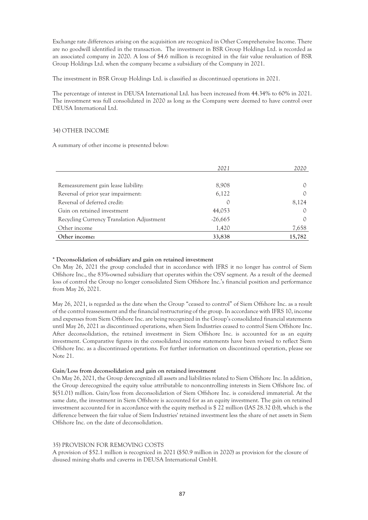Exchange rate differences arising on the acquisition are recogniced in Other Comprehensive Income. There are no goodwill identified in the transaction. The investment in BSR Group Holdings Ltd. is recorded as an associated company in 2020. A loss of \$4.6 million is recognized in the fair value revaluation of BSR Group Holdings Ltd. when the company became a subsidiary of the Company in 2021.

The investment in BSR Group Holdings Ltd. is classified as discontinued operations in 2021.

The percentage of interest in DEUSA International Ltd. has been increased from 44.34% to 60% in 2021. The investment was full consolidated in 2020 as long as the Company were deemed to have control over DEUSA International Ltd.

# 34) OTHER INCOME

A summary of other income is presented below:

|                                           | 2021      | 2020   |
|-------------------------------------------|-----------|--------|
|                                           |           |        |
| Remeasurement gain lease liability:       | 8,908     |        |
| Reversal of prior year impairment:        | 6,122     |        |
| Reversal of deferred credit:              |           | 8,124  |
| Gain on retained investment               | 44,053    |        |
| Recycling Currency Translation Adjustment | $-26,665$ |        |
| Other income                              | 1,420     | 7,658  |
| Other income:                             | 33,838    | 15,782 |

# **\* Deconsolidation of subsidiary and gain on retained investment**

On May 26, 2021 the group concluded that in accordance with IFRS it no longer has control of Siem Offshore Inc., the 83%-owned subsidiary that operates within the OSV segment. As a result of the deemed loss of control the Group no longer consolidated Siem Offshore Inc.'s financial position and performance from May 26, 2021.

May 26, 2021, is regarded as the date when the Group "ceased to control" of Siem Offshore Inc. as a result of the control reassessment and the financial restructuring of the group. In accordance with IFRS 10, income and expenses from Siem Offshore Inc. are being recognized in the Group's consolidated financial statements until May 26, 2021 as discontinued operations, when Siem Industries ceased to control Siem Offshore Inc. After deconsolidation, the retained investment in Siem Offshore Inc. is accounted for as an equity investment. Comparative figures in the consolidated income statements have been revised to reflect Siem Offshore Inc. as a discontinued operations. For further information on discontinued operation, please see Note 21.

## **Gain/Loss from deconsolidation and gain on retained investment**

On May 26, 2021, the Group derecognized all assets and liabilities related to Siem Offshore Inc. In addition, the Group derecognized the equity value attributable to noncontrolling interests in Siem Offshore Inc. of \$(51.01) million. Gain/loss from deconsolidation of Siem Offshore Inc. is considered immaterial. At the same date, the investment in Siem Offshore is accounted for as an equity investment. The gain on retained investment accounted for in accordance with the equity method is \$ 22 million (IAS 28.32 (b)), which is the difference between the fair value of Siem Industries' retained investment less the share of net assets in Siem Offshore Inc. on the date of deconsolidation.

# 35) PROVISION FOR REMOVING COSTS

A provision of \$52.1 million is recogniced in 2021 (\$50.9 million in 2020) as provision for the closure of disused mining shafts and caverns in DEUSA International GmbH.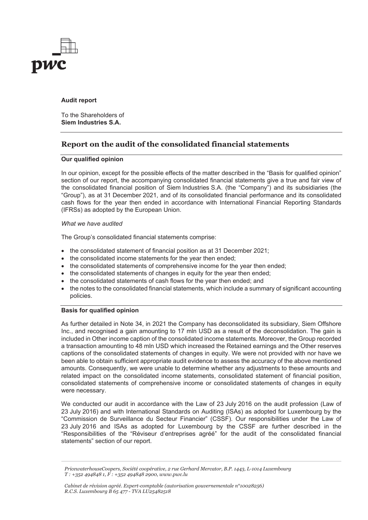

# **Audit report**

To the Shareholders of **Siem Industries S.A.**

# **Report on the audit of the consolidated financial statements**

# **Our qualified opinion**

In our opinion, except for the possible effects of the matter described in the "Basis for qualified opinion" section of our report, the accompanying consolidated financial statements give a true and fair view of the consolidated financial position of Siem Industries S.A. (the "Company") and its subsidiaries (the "Group"), as at 31 December 2021, and of its consolidated financial performance and its consolidated cash flows for the year then ended in accordance with International Financial Reporting Standards (IFRSs) as adopted by the European Union.

# *What we have audited*

The Group's consolidated financial statements comprise:

- the consolidated statement of financial position as at 31 December 2021;
- the consolidated income statements for the year then ended;
- the consolidated statements of comprehensive income for the year then ended;
- the consolidated statements of changes in equity for the year then ended;
- the consolidated statements of cash flows for the year then ended; and
- the notes to the consolidated financial statements, which include a summary of significant accounting policies.

## **Basis for qualified opinion**

As further detailed in Note 34, in 2021 the Company has deconsolidated its subsidiary, Siem Offshore Inc., and recognised a gain amounting to 17 mln USD as a result of the deconsolidation. The gain is included in Other income caption of the consolidated income statements. Moreover, the Group recorded a transaction amounting to 48 mln USD which increased the Retained earnings and the Other reserves captions of the consolidated statements of changes in equity. We were not provided with nor have we been able to obtain sufficient appropriate audit evidence to assess the accuracy of the above mentioned amounts. Consequently, we were unable to determine whether any adjustments to these amounts and related impact on the consolidated income statements, consolidated statement of financial position, consolidated statements of comprehensive income or consolidated statements of changes in equity were necessary.

We conducted our audit in accordance with the Law of 23 July 2016 on the audit profession (Law of 23 July 2016) and with International Standards on Auditing (ISAs) as adopted for Luxembourg by the "Commission de Surveillance du Secteur Financier" (CSSF). Our responsibilities under the Law of 23 July 2016 and ISAs as adopted for Luxembourg by the CSSF are further described in the "Responsibilities of the "Réviseur d'entreprises agréé" for the audit of the consolidated financial statements" section of our report.

*PricewaterhouseCoopers, Société coopérative, 2 rue Gerhard Mercator, B.P. 1443, L-1014 Luxembourg T : +352 494848 1, F : +352 494848 2900, www.pwc.lu*

*Cabinet de révision agréé. Expert-comptable (autorisation gouvernementale n°10028256) R.C.S. Luxembourg B 65 477 - TVA LU25482518*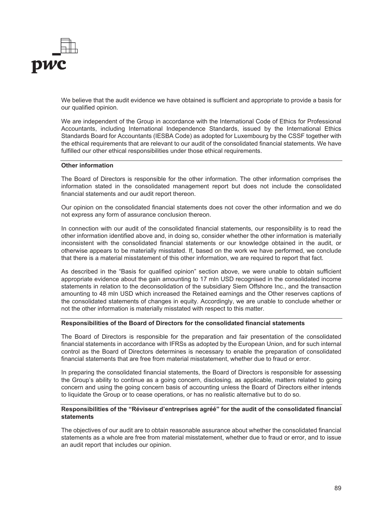

We believe that the audit evidence we have obtained is sufficient and appropriate to provide a basis for our qualified opinion.

We are independent of the Group in accordance with the International Code of Ethics for Professional Accountants, including International Independence Standards, issued by the International Ethics Standards Board for Accountants (IESBA Code) as adopted for Luxembourg by the CSSF together with the ethical requirements that are relevant to our audit of the consolidated financial statements. We have fulfilled our other ethical responsibilities under those ethical requirements.

# **Other information**

The Board of Directors is responsible for the other information. The other information comprises the information stated in the consolidated management report but does not include the consolidated financial statements and our audit report thereon.

Our opinion on the consolidated financial statements does not cover the other information and we do not express any form of assurance conclusion thereon.

In connection with our audit of the consolidated financial statements, our responsibility is to read the other information identified above and, in doing so, consider whether the other information is materially inconsistent with the consolidated financial statements or our knowledge obtained in the audit, or otherwise appears to be materially misstated. If, based on the work we have performed, we conclude that there is a material misstatement of this other information, we are required to report that fact.

As described in the "Basis for qualified opinion" section above, we were unable to obtain sufficient appropriate evidence about the gain amounting to 17 mln USD recognised in the consolidated income statements in relation to the deconsolidation of the subsidiary Siem Offshore Inc., and the transaction amounting to 48 mln USD which increased the Retained earnings and the Other reserves captions of the consolidated statements of changes in equity. Accordingly, we are unable to conclude whether or not the other information is materially misstated with respect to this matter.

## **Responsibilities of the Board of Directors for the consolidated financial statements**

The Board of Directors is responsible for the preparation and fair presentation of the consolidated financial statements in accordance with IFRSs as adopted by the European Union, and for such internal control as the Board of Directors determines is necessary to enable the preparation of consolidated financial statements that are free from material misstatement, whether due to fraud or error.

In preparing the consolidated financial statements, the Board of Directors is responsible for assessing the Group's ability to continue as a going concern, disclosing, as applicable, matters related to going concern and using the going concern basis of accounting unless the Board of Directors either intends to liquidate the Group or to cease operations, or has no realistic alternative but to do so.

# **Responsibilities of the "Réviseur d'entreprises agréé" for the audit of the consolidated financial statements**

The objectives of our audit are to obtain reasonable assurance about whether the consolidated financial statements as a whole are free from material misstatement, whether due to fraud or error, and to issue an audit report that includes our opinion.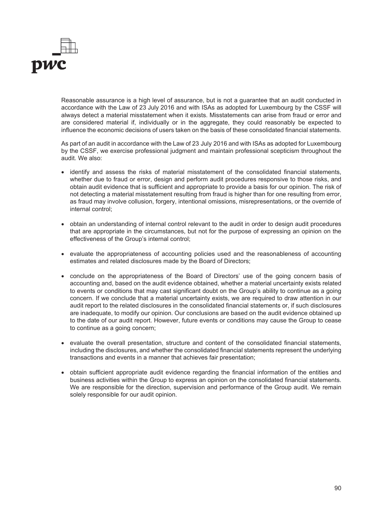

Reasonable assurance is a high level of assurance, but is not a guarantee that an audit conducted in accordance with the Law of 23 July 2016 and with ISAs as adopted for Luxembourg by the CSSF will always detect a material misstatement when it exists. Misstatements can arise from fraud or error and are considered material if, individually or in the aggregate, they could reasonably be expected to influence the economic decisions of users taken on the basis of these consolidated financial statements.

As part of an audit in accordance with the Law of 23 July 2016 and with ISAs as adopted for Luxembourg by the CSSF, we exercise professional judgment and maintain professional scepticism throughout the audit. We also:

- identify and assess the risks of material misstatement of the consolidated financial statements, whether due to fraud or error, design and perform audit procedures responsive to those risks, and obtain audit evidence that is sufficient and appropriate to provide a basis for our opinion. The risk of not detecting a material misstatement resulting from fraud is higher than for one resulting from error, as fraud may involve collusion, forgery, intentional omissions, misrepresentations, or the override of internal control;
- obtain an understanding of internal control relevant to the audit in order to design audit procedures that are appropriate in the circumstances, but not for the purpose of expressing an opinion on the effectiveness of the Group's internal control;
- evaluate the appropriateness of accounting policies used and the reasonableness of accounting estimates and related disclosures made by the Board of Directors;
- conclude on the appropriateness of the Board of Directors' use of the going concern basis of accounting and, based on the audit evidence obtained, whether a material uncertainty exists related to events or conditions that may cast significant doubt on the Group's ability to continue as a going concern. If we conclude that a material uncertainty exists, we are required to draw attention in our audit report to the related disclosures in the consolidated financial statements or, if such disclosures are inadequate, to modify our opinion. Our conclusions are based on the audit evidence obtained up to the date of our audit report. However, future events or conditions may cause the Group to cease to continue as a going concern;
- evaluate the overall presentation, structure and content of the consolidated financial statements, including the disclosures, and whether the consolidated financial statements represent the underlying transactions and events in a manner that achieves fair presentation;
- obtain sufficient appropriate audit evidence regarding the financial information of the entities and business activities within the Group to express an opinion on the consolidated financial statements. We are responsible for the direction, supervision and performance of the Group audit. We remain solely responsible for our audit opinion.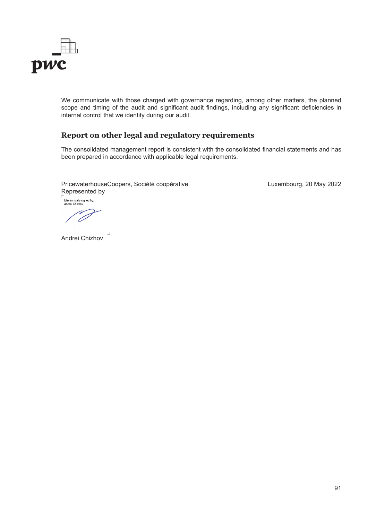

We communicate with those charged with governance regarding, among other matters, the planned scope and timing of the audit and significant audit findings, including any significant deficiencies in internal control that we identify during our audit.

# **Report on other legal and regulatory requirements**

The consolidated management report is consistent with the consolidated financial statements and has been prepared in accordance with applicable legal requirements.

PricewaterhouseCoopers, Société coopérative Represented by

 $\Box$ 

Luxembourg, 20 May 2022

Electronically signed by:<br>Andrei Chizhov

Andrei Chizhov